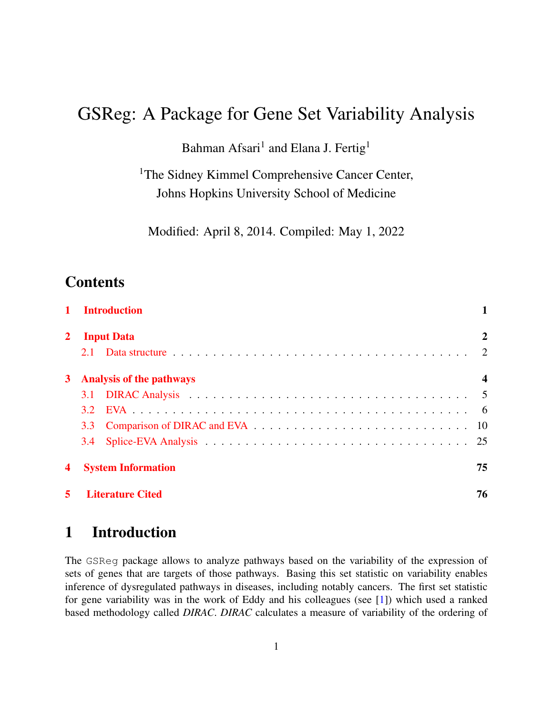# GSReg: A Package for Gene Set Variability Analysis

Bahman Afsari<sup>1</sup> and Elana J. Fertig<sup>1</sup>

<sup>1</sup>The Sidney Kimmel Comprehensive Cancer Center, Johns Hopkins University School of Medicine

Modified: April 8, 2014. Compiled: May 1, 2022

### **Contents**

|              | <b>Introduction</b>             |                            |
|--------------|---------------------------------|----------------------------|
| $\mathbf{2}$ | <b>Input Data</b>               | 2                          |
|              | 2.1                             |                            |
| 3            | <b>Analysis of the pathways</b> | $\boldsymbol{\mathcal{L}}$ |
|              |                                 |                            |
|              | 32                              |                            |
|              | 3.3                             |                            |
|              | 3.4                             | 25                         |
| 4            | <b>System Information</b>       | 75                         |
|              | <b>Literature Cited</b>         | 76                         |

### <span id="page-0-0"></span>1 Introduction

The GSReg package allows to analyze pathways based on the variability of the expression of sets of genes that are targets of those pathways. Basing this set statistic on variability enables inference of dysregulated pathways in diseases, including notably cancers. The first set statistic for gene variability was in the work of Eddy and his colleagues (see [\[1\]](#page-75-1)) which used a ranked based methodology called *DIRAC*. *DIRAC* calculates a measure of variability of the ordering of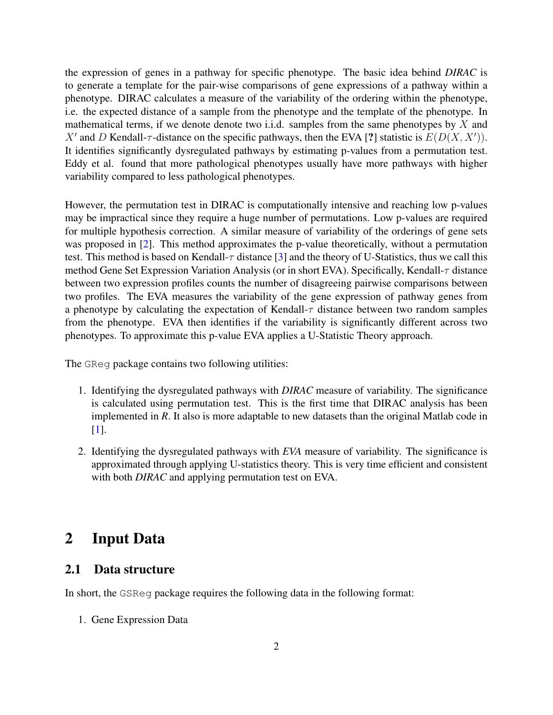the expression of genes in a pathway for specific phenotype. The basic idea behind *DIRAC* is to generate a template for the pair-wise comparisons of gene expressions of a pathway within a phenotype. DIRAC calculates a measure of the variability of the ordering within the phenotype, i.e. the expected distance of a sample from the phenotype and the template of the phenotype. In mathematical terms, if we denote denote two i.i.d. samples from the same phenotypes by  $X$  and X' and D Kendall- $\tau$ -distance on the specific pathways, then the EVA [?] statistic is  $E(D(X, X'))$ . It identifies significantly dysregulated pathways by estimating p-values from a permutation test. Eddy et al. found that more pathological phenotypes usually have more pathways with higher variability compared to less pathological phenotypes.

However, the permutation test in DIRAC is computationally intensive and reaching low p-values may be impractical since they require a huge number of permutations. Low p-values are required for multiple hypothesis correction. A similar measure of variability of the orderings of gene sets was proposed in [\[2\]](#page-75-2). This method approximates the p-value theoretically, without a permutation test. This method is based on Kendall- $\tau$  distance [\[3\]](#page-75-3) and the theory of U-Statistics, thus we call this method Gene Set Expression Variation Analysis (or in short EVA). Specifically, Kendall-τ distance between two expression profiles counts the number of disagreeing pairwise comparisons between two profiles. The EVA measures the variability of the gene expression of pathway genes from a phenotype by calculating the expectation of Kendall- $\tau$  distance between two random samples from the phenotype. EVA then identifies if the variability is significantly different across two phenotypes. To approximate this p-value EVA applies a U-Statistic Theory approach.

The GReg package contains two following utilities:

- 1. Identifying the dysregulated pathways with *DIRAC* measure of variability. The significance is calculated using permutation test. This is the first time that DIRAC analysis has been implemented in *R*. It also is more adaptable to new datasets than the original Matlab code in [\[1\]](#page-75-1).
- 2. Identifying the dysregulated pathways with *EVA* measure of variability. The significance is approximated through applying U-statistics theory. This is very time efficient and consistent with both *DIRAC* and applying permutation test on EVA.

### <span id="page-1-0"></span>2 Input Data

#### <span id="page-1-1"></span>2.1 Data structure

In short, the GSReg package requires the following data in the following format:

1. Gene Expression Data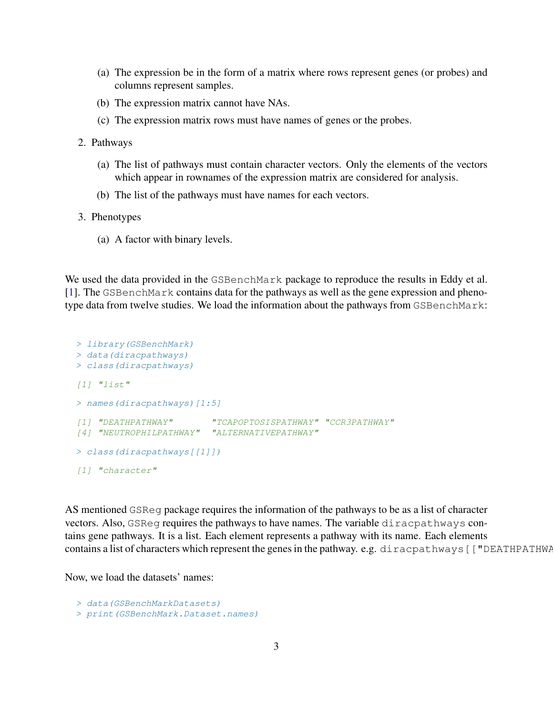- (a) The expression be in the form of a matrix where rows represent genes (or probes) and columns represent samples.
- (b) The expression matrix cannot have NAs.
- (c) The expression matrix rows must have names of genes or the probes.
- 2. Pathways
	- (a) The list of pathways must contain character vectors. Only the elements of the vectors which appear in rownames of the expression matrix are considered for analysis.
	- (b) The list of the pathways must have names for each vectors.
- 3. Phenotypes
	- (a) A factor with binary levels.

We used the data provided in the GSBenchMark package to reproduce the results in Eddy et al. [\[1\]](#page-75-1). The GSBenchMark contains data for the pathways as well as the gene expression and phenotype data from twelve studies. We load the information about the pathways from GSBenchMark:

```
> library(GSBenchMark)
> data(diracpathways)
> class(diracpathways)
[1] "list"
> names(diracpathways)[1:5]
[1] "DEATHPATHWAY" "TCAPOPTOSISPATHWAY" "CCR3PATHWAY"
[4] "NEUTROPHILPATHWAY" "ALTERNATIVEPATHWAY"
> class(diracpathways[[1]])
[1] "character"
```
AS mentioned GSReg package requires the information of the pathways to be as a list of character vectors. Also, GSReg requires the pathways to have names. The variable diracpathways contains gene pathways. It is a list. Each element represents a pathway with its name. Each elements contains a list of characters which represent the genes in the pathway. e.g. diracpathways [["DEATHPATHWAY"]]

Now, we load the datasets' names:

```
> data(GSBenchMarkDatasets)
> print(GSBenchMark.Dataset.names)
```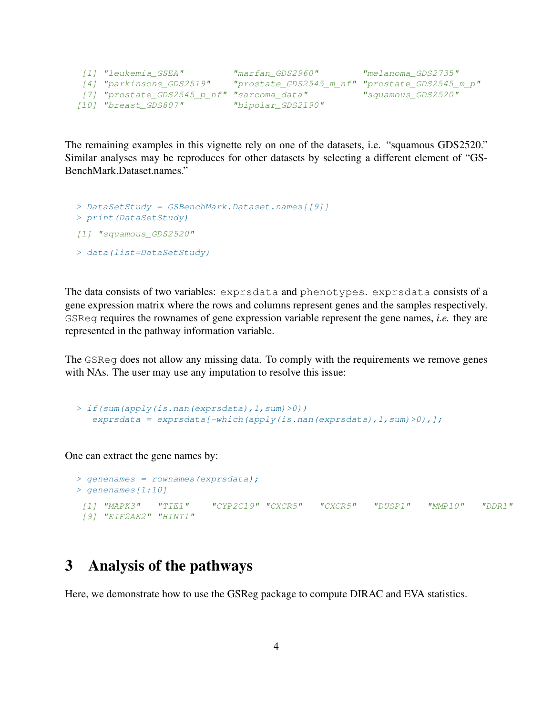```
[1] "leukemia_GSEA" "marfan_GDS2960" "melanoma_GDS2735"
[4] "parkinsons_GDS2519" "prostate_GDS2545_m_nf" "prostate_GDS2545_m_p"
[7] "prostate_GDS2545_p_nf" "sarcoma_data" "squamous_GDS2520"
[10] "breast_GDS807" "bipolar_GDS2190"
```
The remaining examples in this vignette rely on one of the datasets, i.e. "squamous GDS2520." Similar analyses may be reproduces for other datasets by selecting a different element of "GS-BenchMark.Dataset.names."

```
> DataSetStudy = GSBenchMark.Dataset.names[[9]]
> print(DataSetStudy)
[1] "squamous GDS2520"
> data(list=DataSetStudy)
```
The data consists of two variables: exprsdata and phenotypes. exprsdata consists of a gene expression matrix where the rows and columns represent genes and the samples respectively. GSReg requires the rownames of gene expression variable represent the gene names, *i.e.* they are represented in the pathway information variable.

The GSReg does not allow any missing data. To comply with the requirements we remove genes with NAs. The user may use any imputation to resolve this issue:

```
> if(sum(apply(is.nan(exprsdata),1,sum)>0))
   exprsdata = exprsdata[-which(apply(is.nan(exprsdata),l,sum)&0),];
```
One can extract the gene names by:

```
> genenames = rownames (exprsdata);
> genenames[1:10]
[1] "MAPK3" "TIE1" "CYP2C19" "CXCR5" "CXCR5" "DUSP1" "MMP10" "DDR1"
 [9] "EIF2AK2" "HINT1"
```
### <span id="page-3-0"></span>3 Analysis of the pathways

Here, we demonstrate how to use the GSReg package to compute DIRAC and EVA statistics.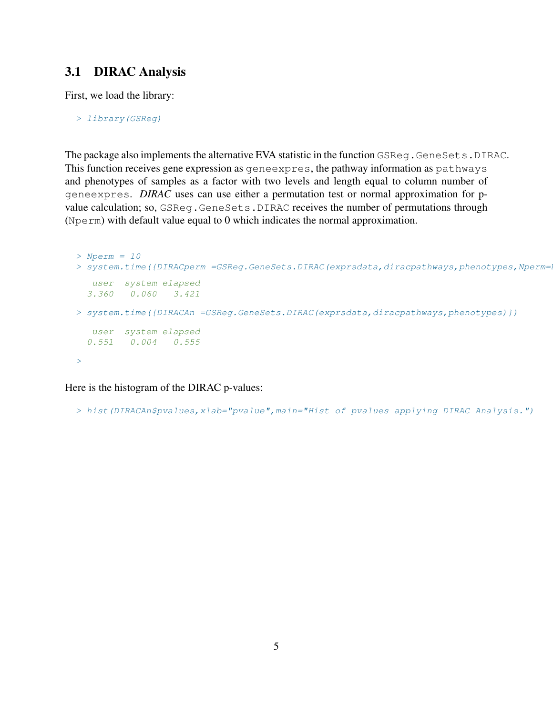#### <span id="page-4-0"></span>3.1 DIRAC Analysis

First, we load the library:

> library(GSReg)

The package also implements the alternative EVA statistic in the function GSReq.GeneSets.DIRAC. This function receives gene expression as geneexpres, the pathway information as pathways and phenotypes of samples as a factor with two levels and length equal to column number of geneexpres. *DIRAC* uses can use either a permutation test or normal approximation for pvalue calculation; so, GSReg.GeneSets.DIRAC receives the number of permutations through (Nperm) with default value equal to 0 which indicates the normal approximation.

```
> Nperm = 10
> system.time({DIRACperm =GSReq.GeneSets.DIRAC(exprsdata,diracpathways,phenotypes,Nperm=
  user system elapsed
 3.360 0.060 3.421
> system.time({DIRACAn =GSReg.GeneSets.DIRAC(exprsdata,diracpathways,phenotypes)})
  user system elapsed
 0.551 0.004 0.555
>
```
Here is the histogram of the DIRAC p-values:

> hist(DIRACAn\$pvalues,xlab="pvalue",main="Hist of pvalues applying DIRAC Analysis.")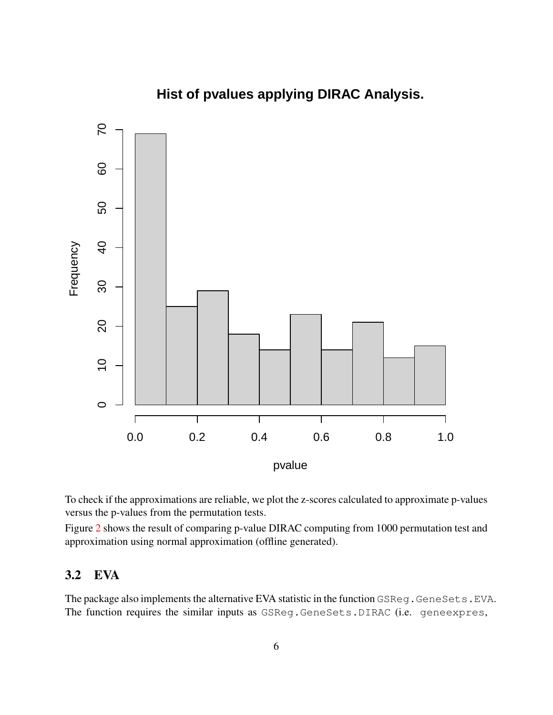

**Hist of pvalues applying DIRAC Analysis.**

To check if the approximations are reliable, we plot the z-scores calculated to approximate p-values versus the p-values from the permutation tests.

Figure [2](#page-7-0) shows the result of comparing p-value DIRAC computing from 1000 permutation test and approximation using normal approximation (offline generated).

#### <span id="page-5-0"></span>3.2 EVA

The package also implements the alternative EVA statistic in the function GSReg.GeneSets.EVA. The function requires the similar inputs as GSReg.GeneSets.DIRAC (i.e. geneexpres,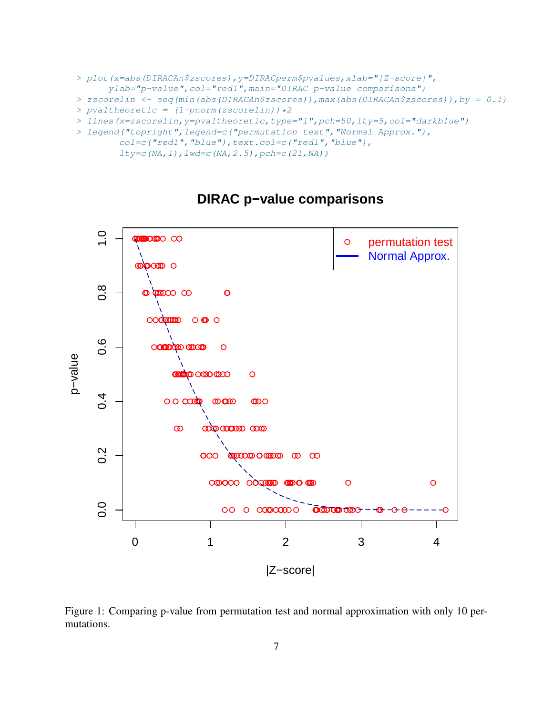```
> plot(x=abs(DIRACAn$zscores),y=DIRACperm$pvalues,xlab="|Z-score|",
      ylab="p-value", col="red1", main="DIRAC p-value comparisons")
> zscorelin <- seq(min(abs(DIRACAn$zscores)),max(abs(DIRACAn$zscores)),by = 0.1)
> pvaltheoretic = (1-pnorm(zscorelin)) *2> lines(x=zscorelin,y=pvaltheoretic,type="l",pch=50,lty=5,col="darkblue")
> legend("topright",legend=c("permutation test","Normal Approx."),
        col=c("red1","blue"),text.col=c("red1","blue"),
        lty=c(NA,1),lwd=c(NA,2.5),pch=c(21,NA))
```


### **DIRAC p−value comparisons**

Figure 1: Comparing p-value from permutation test and normal approximation with only 10 permutations.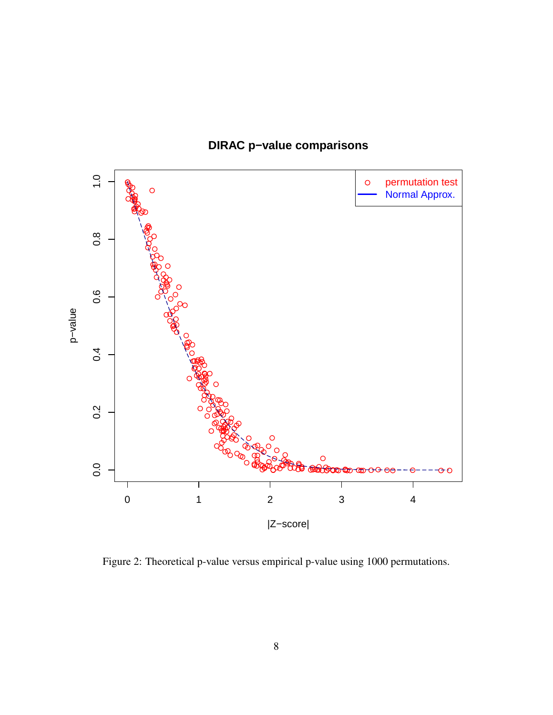

## **DIRAC p−value comparisons**

<span id="page-7-0"></span>Figure 2: Theoretical p-value versus empirical p-value using 1000 permutations.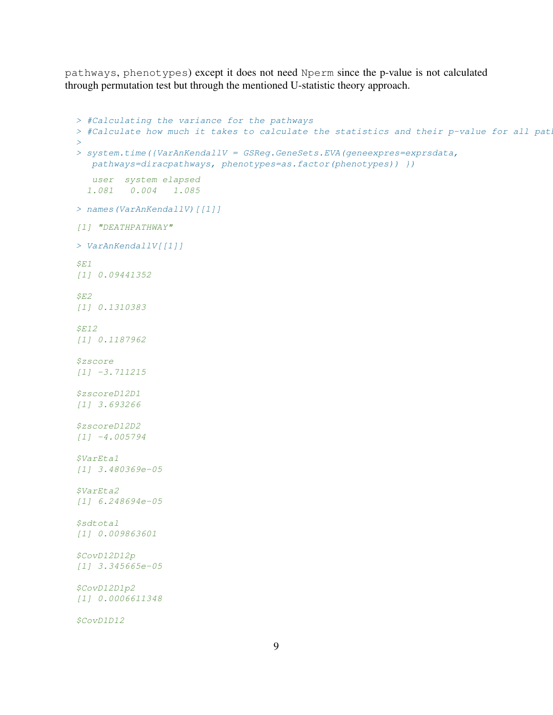pathways, phenotypes) except it does not need Nperm since the p-value is not calculated through permutation test but through the mentioned U-statistic theory approach.

```
> #Calculating the variance for the pathways
> #Calculate how much it takes to calculate the statistics and their p-value for all pat.
>
> system.time({VarAnKendallV = GSReg.GeneSets.EVA(geneexpres=exprsdata,
  pathways=diracpathways, phenotypes=as.factor(phenotypes)) })
   user system elapsed
  1.081 0.004 1.085
> names(VarAnKendallV)[[1]]
[1] "DEATHPATHWAY"
> VarAnKendallV[[1]]
SE1[1] 0.09441352
SE2[1] 0.1310383
$E12
[1] 0.1187962
$zscore
[1] -3.711215
$zscoreD12D1
[1] 3.693266
$zscoreD12D2
[1] -4.005794
$VarEta1
[1] 3.480369e-05
$VarEta2
[1] 6.248694e-05
$sdtotal
[1] 0.009863601
$CovD12D12p
[1] 3.345665e-05
$CovD12D1p2
[1] 0.0006611348
$CovD1D12
```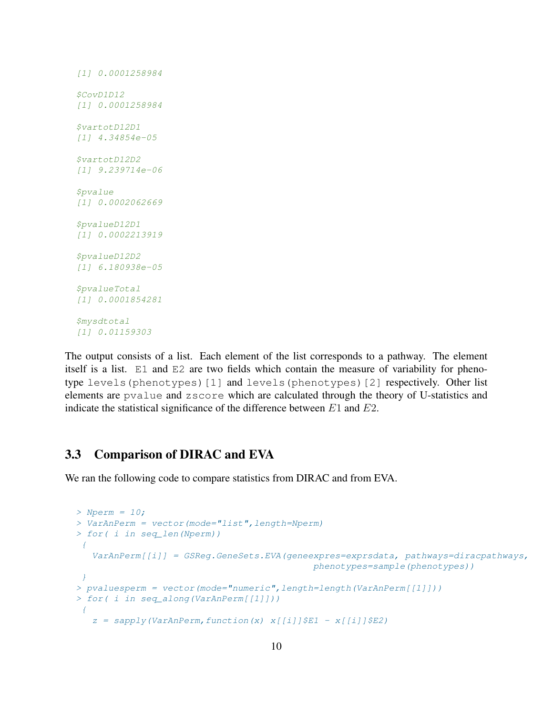```
[1] 0.0001258984
$CovD1D12
[1] 0.0001258984
$vartotD12D1
[1] 4.34854e-05
$vartotD12D2
[1] 9.239714e-06
$pvalue
[1] 0.0002062669
$pvalueD12D1
[1] 0.0002213919
$pvalueD12D2
[1] 6.180938e-05
$pvalueTotal
[1] 0.0001854281
$mysdtotal
[1] 0.01159303
```
The output consists of a list. Each element of the list corresponds to a pathway. The element itself is a list. E1 and E2 are two fields which contain the measure of variability for phenotype levels(phenotypes)[1] and levels(phenotypes)[2] respectively. Other list elements are pvalue and zscore which are calculated through the theory of U-statistics and indicate the statistical significance of the difference between  $E1$  and  $E2$ .

### <span id="page-9-0"></span>3.3 Comparison of DIRAC and EVA

We ran the following code to compare statistics from DIRAC and from EVA.

```
> Nperm = 10;
> VarAnPerm = vector(mode="list",length=Nperm)
> for( i in seq_len(Nperm))
 \left\{ \right.VarAnPerm[[i]] = GSReg.GeneSets.EVA(geneexpres=exprsdata, pathways=diracpathways,
                                              phenotypes=sample(phenotypes))
 }
> pvaluesperm = vector(mode="numeric", length=length(VarAnPerm[[1]]))
> for( i in seq_along(VarAnPerm[[1]]))
 \{z = sapply (VarAnPerm, function (x) x[[i]]$E1 - x[[i]]$E2)
```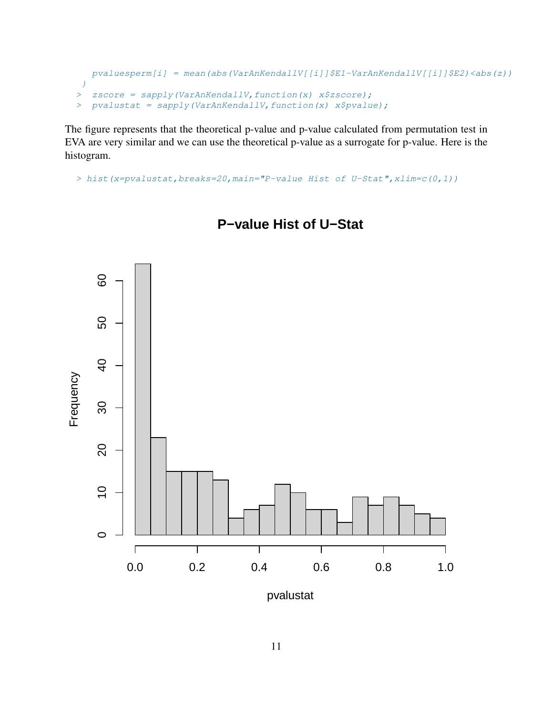```
pvaluesperm[i] = mean(abs(VarAnKendallV[[i]]$E1-VarAnKendallV[[i]]$E2)<abs(z))
 }
> zscore = sapply(VarAnKendallV, function(x) x$zscore);
> pvalustat = sapply(VarAnKendallV, function(x) x$pvalue);
```
The figure represents that the theoretical p-value and p-value calculated from permutation test in EVA are very similar and we can use the theoretical p-value as a surrogate for p-value. Here is the histogram.

```
> hist(x=pvalustat,breaks=20,main="P-value Hist of U-Stat",xlim=c(0,1))
```


### **P−value Hist of U−Stat**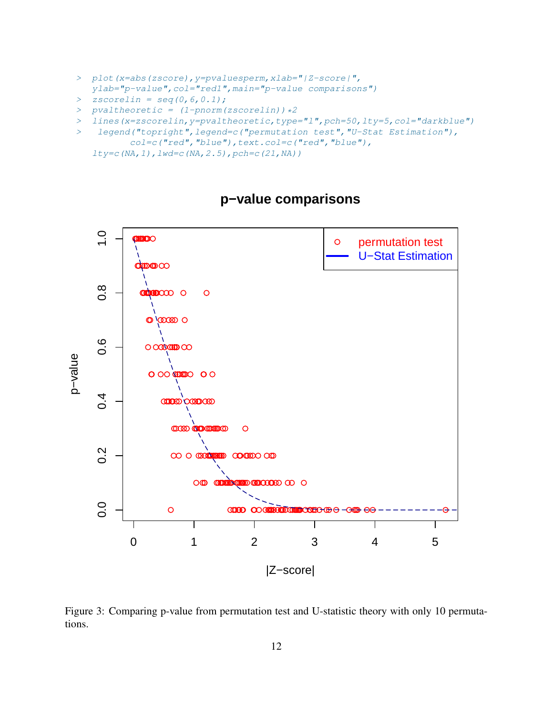- > plot(x=abs(zscore),y=pvaluesperm,xlab="|Z-score|", ylab="p-value",col="red1",main="p-value comparisons")
- $>$  zscorelin = seq(0,6,0.1);
- $>$  pvaltheoretic = (1-pnorm(zscorelin)) \*2
- > lines(x=zscorelin,y=pvaltheoretic,type="l",pch=50,lty=5,col="darkblue")
- > legend("topright",legend=c("permutation test","U-Stat Estimation"),

```
col=c("red", "blue"), text.col=c("red", "blue"),
lty=c(NA,1), lwd=c(NA,2.5), pch=c(21,NA))
```


### **p−value comparisons**

Figure 3: Comparing p-value from permutation test and U-statistic theory with only 10 permutations.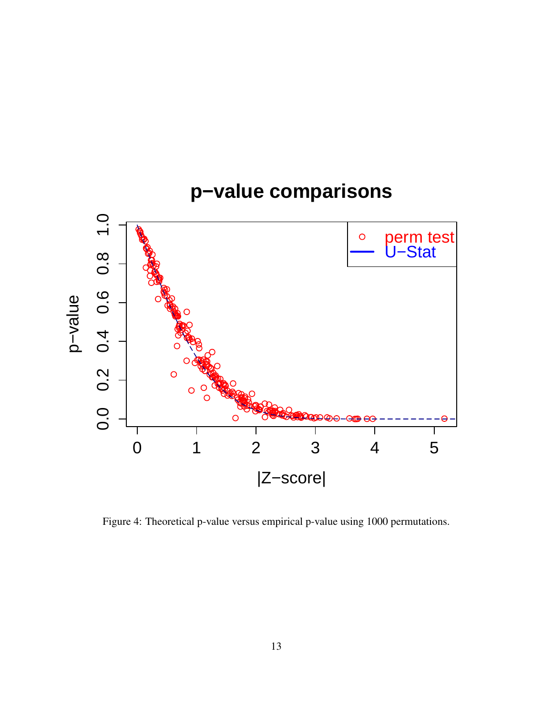

<span id="page-12-0"></span>Figure 4: Theoretical p-value versus empirical p-value using 1000 permutations.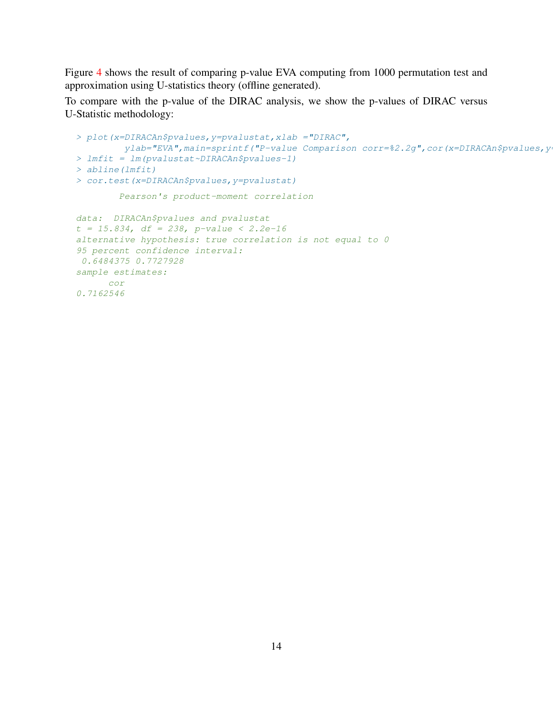Figure [4](#page-12-0) shows the result of comparing p-value EVA computing from 1000 permutation test and approximation using U-statistics theory (offline generated).

To compare with the p-value of the DIRAC analysis, we show the p-values of DIRAC versus U-Statistic methodology:

```
> plot(x=DIRACAn$pvalues,y=pvalustat,xlab ="DIRAC",
        ylab="EVA", main=sprintf("P-value Comparison corr=%2.2g", cor(x=DIRACAn$pvalues, y
> lmfit = lm(pvalustat~DIRACAn$pvalues-1)
> abline(lmfit)
> cor.test(x=DIRACAn$pvalues,y=pvalustat)
        Pearson's product-moment correlation
data: DIRACAn$pvalues and pvalustat
t = 15.834, df = 238, p-value < 2.2e-16
alternative hypothesis: true correlation is not equal to 0
95 percent confidence interval:
0.6484375 0.7727928
sample estimates:
    cor
0.7162546
```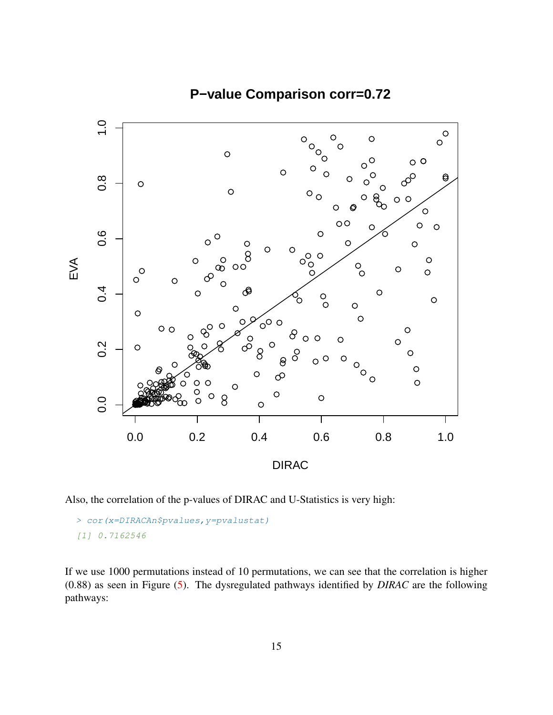

## **P−value Comparison corr=0.72**

Also, the correlation of the p-values of DIRAC and U-Statistics is very high:

```
> cor(x=DIRACAn$pvalues,y=pvalustat)
[1] 0.7162546
```
If we use 1000 permutations instead of 10 permutations, we can see that the correlation is higher (0.88) as seen in Figure [\(5\)](#page-16-0). The dysregulated pathways identified by *DIRAC* are the following pathways: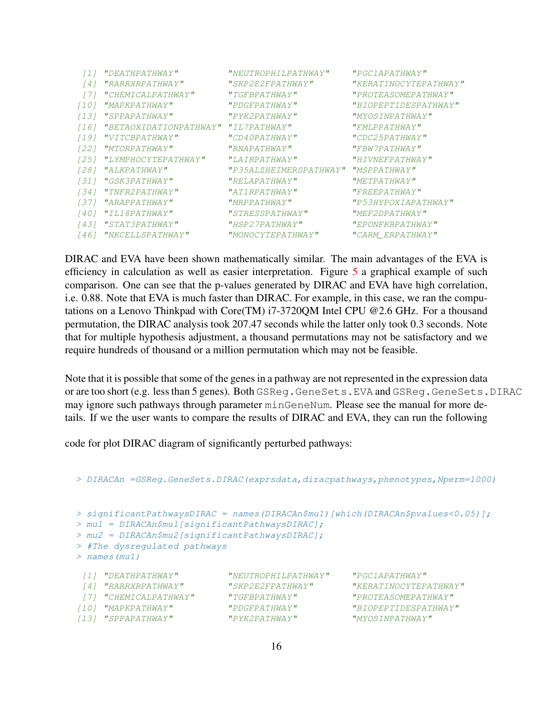|                  | [1] "DEATHPATHWAY"          | "NEUTROPHILPATHWAY"    | "PGC1APATHWAY"        |
|------------------|-----------------------------|------------------------|-----------------------|
| $\left[4\right]$ | "RARRXRPATHWAY"             | "SKP2E2FPATHWAY"       | "KERATINOCYTEPATHWAY" |
|                  | [7] "CHEMICALPATHWAY"       | "TGFBPATHWAY"          | "PROTEASOMEPATHWAY"   |
| 1101             | "MAPKPATHWAY"               | "PDGFPATHWAY"          | "BIOPEPTIDESPATHWAY"  |
|                  | [13] "SPPAPATHWAY"          | "PYK2PATHWAY"          | "MYOSINPATHWAY"       |
|                  | [16] "BETAOXIDATIONPATHWAY" | "IL7PATHWAY"           | "FMLPPATHWAY"         |
| 1191             | "VITCBPATHWAY"              | "CD40PATHWAY"          | "CDC25PATHWAY"        |
|                  | [22] "MTORPATHWAY"          | "RNAPATHWAY"           | "FBW7PATHWAY"         |
|                  | [25] "LYMPHOCYTEPATHWAY"    | "LAIRPATHWAY"          | "HIVNEFPATHWAY"       |
|                  | [28] "ALKPATHWAY"           | "P35ALZHEIMERSPATHWAY" | "MSPPATHWAY"          |
|                  | [31] "GSK3PATHWAY"          | "RELAPATHWAY"          | "METPATHWAY"          |
|                  | [34] "TNFR2PATHWAY"         | "AT1RPATHWAY"          | "FREEPATHWAY"         |
|                  | [37] "ARAPPATHWAY"          | "MRPPATHWAY"           | "P53HYPOXIAPATHWAY"   |
|                  | [40] "IL18PATHWAY"          | "STRESSPATHWAY"        | "MEF2DPATHWAY"        |
|                  | [43] "STAT3PATHWAY"         | "HSP27PATHWAY"         | "EPONFKBPATHWAY"      |
| 1461             | "NKCELLSPATHWAY"            | "MONOCYTEPATHWAY"      | "CARM ERPATHWAY"      |
|                  |                             |                        |                       |

DIRAC and EVA have been shown mathematically similar. The main advantages of the EVA is efficiency in calculation as well as easier interpretation. Figure [5](#page-16-0) a graphical example of such comparison. One can see that the p-values generated by DIRAC and EVA have high correlation, i.e. 0.88. Note that EVA is much faster than DIRAC. For example, in this case, we ran the computations on a Lenovo Thinkpad with Core(TM) i7-3720QM Intel CPU @2.6 GHz. For a thousand permutation, the DIRAC analysis took 207.47 seconds while the latter only took 0.3 seconds. Note that for multiple hypothesis adjustment, a thousand permutations may not be satisfactory and we require hundreds of thousand or a million permutation which may not be feasible.

Note that it is possible that some of the genes in a pathway are not represented in the expression data or are too short (e.g. less than 5 genes). Both GSReg.GeneSets.EVA and GSReg.GeneSets.DIRAC may ignore such pathways through parameter minGeneNum. Please see the manual for more details. If we the user wants to compare the results of DIRAC and EVA, they can run the following

code for plot DIRAC diagram of significantly perturbed pathways:

```
> DIRACAn =GSReg.GeneSets.DIRAC(exprsdata,diracpathways,phenotypes,Nperm=1000)
> significantPathwaysDIRAC = names(DIRACAn$mu1)[which(DIRACAn$pvalues<0.05)];
> mu1 = DIRACAn$mu1[significantPathwaysDIRAC];
> mu2 = DIRACAn$mu2[significantPathwaysDIRAC];
> #The dysregulated pathways
> names(mu1)
[1] "DEATHPATHWAY" "NEUTROPHILPATHWAY" "PGC1APATHWAY"
                         [4] "RARRXRPATHWAY" "SKP2E2FPATHWAY" "KERATINOCYTEPATHWAY"
[7] "CHEMICALPATHWAY" "TGFBPATHWAY" "PROTEASOMEPATHWAY"
[10] "MAPKPATHWAY" "PDGFPATHWAY" "BIOPEPTIDESPATHWAY"
[13] "SPPAPATHWAY" "PYK2PATHWAY" "MYOSINPATHWAY"
```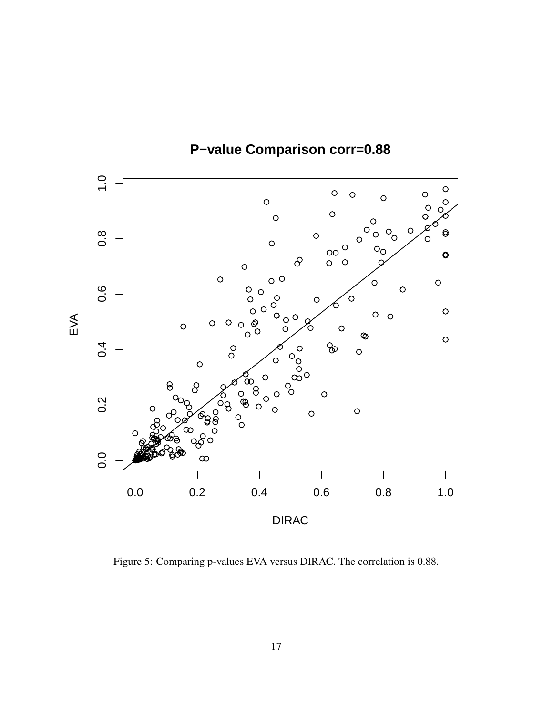

**P−value Comparison corr=0.88**

<span id="page-16-0"></span>Figure 5: Comparing p-values EVA versus DIRAC. The correlation is 0.88.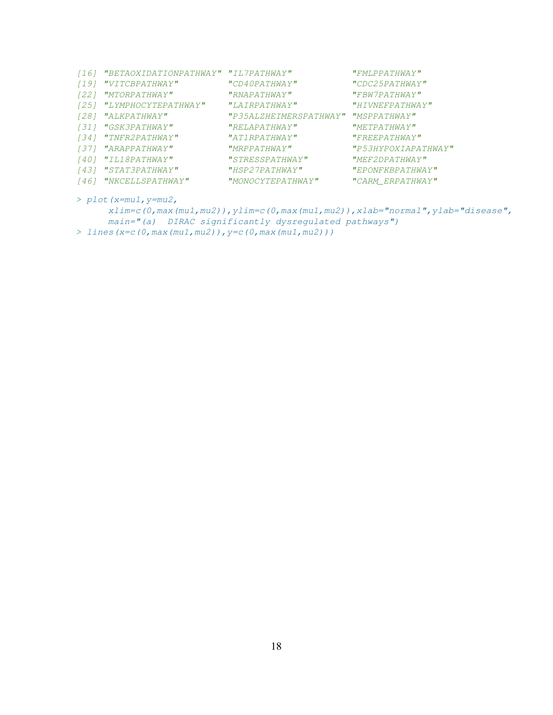| 1161 | "BETAOXIDATIONPATHWAY" "IL7PATHWAY" |                                     | "FMLPPATHWAY"       |
|------|-------------------------------------|-------------------------------------|---------------------|
| 1191 | "VITCBPATHWAY"                      | "CD40PATHWAY"                       | "CDC25PATHWAY"      |
| 1221 | <i>"MTORPATHWAY"</i>                | "RNAPATHWAY"                        | "FBW7PATHWAY"       |
| 1251 | "LYMPHOCYTEPATHWAY"                 | "LAYRPATHWAY"                       | "HTVNEFPATHWAY"     |
| 1281 | <i>"ALKPATHWAY"</i>                 | "P35ALZHEIMERSPATHWAY" "MSPPATHWAY" |                     |
|      | [31] "GSK3PATHWAY"                  | "RELAPATHWAY"                       | "METPATHWAY"        |
|      | [34] "TNFR2PATHWAY"                 | "AT1RPATHWAY"                       | "FREEPATHWAY"       |
|      | [37] "ARAPPATHWAY"                  | "MRPPATHWAY"                        | "P53HYPOXIAPATHWAY" |
| 1401 | "IL18PATHWAY"                       | "STRESSPATHWAY"                     | "MEF2DPATHWAY"      |
| 1431 | <i>"STAT3PATHWAY"</i>               | "HSP27PATHWAY"                      | "EPONFKBPATHWAY"    |
| 1461 | "NKCELLSPATHWAY"                    | "MONOCYTEPATHWAY"                   | "CARM ERPATHWAY"    |
|      |                                     |                                     |                     |

> plot(x=mu1,y=mu2,

```
xlim=c(0,max(mu1,mu2)),ylim=c(0,max(mu1,mu2)),xlab="normal",ylab="disease",
     main="(a) DIRAC significantly dysregulated pathways")
> lines(x=c(0,max(mu1,mu2)),y=c(0,max(mu1,mu2)))
```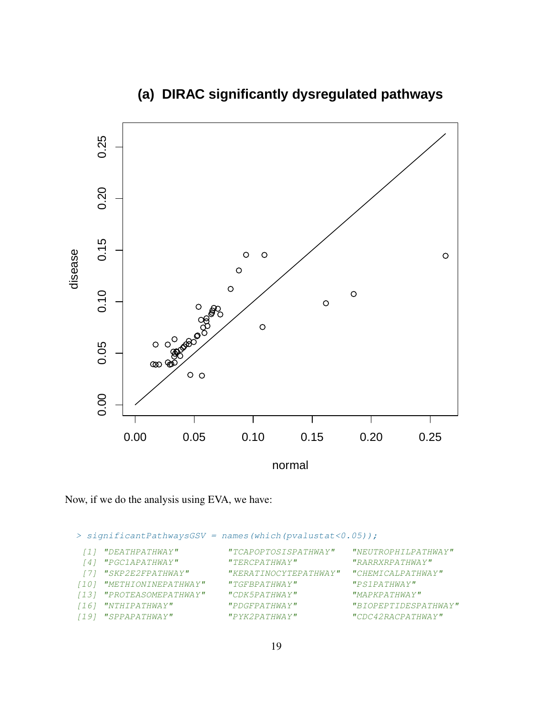

# **(a) DIRAC significantly dysregulated pathways**

Now, if we do the analysis using EVA, we have:

> significantPathwaysGSV = names(which(pvalustat<0.05));

| [1] "DEATHPATHWAY"       | "TCAPOPTOSISPATHWAY"  | "NEUTROPHILPATHWAY"  |
|--------------------------|-----------------------|----------------------|
| [4] "PGC1APATHWAY"       | "TERCPATHWAY"         | "RARRXRPATHWAY"      |
| [7] "SKP2E2FPATHWAY"     | "KERATINOCYTEPATHWAY" | "CHEMICALPA THWAY"   |
| [10] "METHIONINEPATHWAY" | "TGFBPA THWAY"        | "PSIPATHWAY"         |
| [13] "PROTEASOMEPATHWAY" | "CDK5PATHWAY"         | "MAPKPATHWAY"        |
| [16] "NTHIPATHWAY"       | "PDGFPATHWAY"         | "BIOPEPTIDESPATHWAY" |
| [19] "SPPAPATHWAY"       | $"$ PYK $2$ PATHWAY"  | "CDC42RACPATHWAY"    |
|                          |                       |                      |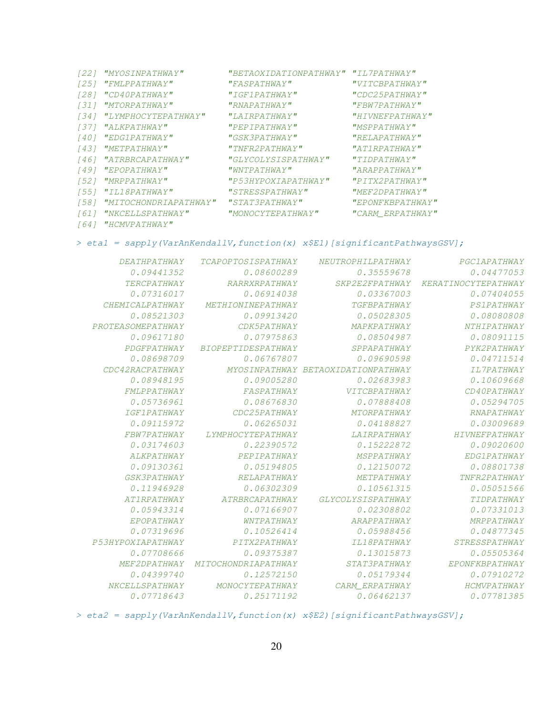|      | [22] "MYOSINPATHWAY"     | "BETAOXIDATIONPATHWAY" "IL7PATHWAY" |                  |
|------|--------------------------|-------------------------------------|------------------|
| 1251 | "FMLPPATHWAY"            | "FASPATHWAY"                        | "VITCBPATHWAY"   |
| 1281 | <i>"CD40PATHWAY"</i>     | "IGF1PATHWAY"                       | "CDC25PATHWAY"   |
|      | [31] "MTORPATHWAY"       | "RNAPATHWAY"                        | "FBW7PATHWAY"    |
|      | [34] "LYMPHOCYTEPATHWAY" | "LAYRPATHWAY"                       | "HIVNEFPATHWAY"  |
|      | [37] "ALKPATHWAY"        | "PEPIPATHWAY"                       | "MSPPATHWAY"     |
| 1401 | "EDG1PATHWAY"            | "GSK3PATHWAY"                       | "RELAPATHWAY"    |
|      | [43] "METPATHWAY"        | "TNFR2PATHWAY"                      | "ATIRPATHWAY"    |
|      | [46] "ATRBRCAPATHWAY"    | "GLYCOLYSISPATHWAY"                 | "TIDPATHWAY"     |
| 1491 | "EPOPATHWAY"             | "WNTPATHWAY"                        | "ARAPPATHWAY"    |
|      | [52] "MRPPATHWAY"        | "P53HYPOXIAPATHWAY"                 | "PITX2PATHWAY"   |
|      | [55] "IL18PATHWAY"       | "STRESSPATHWAY"                     | "MEF2DPATHWAY"   |
| [58] | "MITOCHONDRIAPATHWAY"    | "STAT3PATHWAY"                      | "EPONFKBPATHWAY" |
| 1611 | "NKCELLSPATHWAY"         | "MONOCYTEPATHWAY"                   | "CARM ERPATHWAY" |
|      |                          |                                     |                  |

### [64] "HCMVPATHWAY"

#### > etal = sapply(VarAnKendallV, function(x) x\$E1)[significantPathwaysGSV];

| PGC1APATHWAY        | NEUTROPHILPATHWAY                  | <b>TCAPOPTOSISPATHWAY</b> | <b>DEATHPATHWAY</b>       |
|---------------------|------------------------------------|---------------------------|---------------------------|
| 0.04477053          | 0.35559678                         | 0.08600289                | 0.09441352                |
| KERATINOCYTEPATHWAY | SKP2E2FPATHWAY                     | RARRXRPATHWAY             | <b>TERCPATHWAY</b>        |
| 0.07404055          | 0.03367003                         | 0.06914038                | 0.07316017                |
| <b>PS1PATHWAY</b>   | <b>TGFBPATHWAY</b>                 | METHIONINEPATHWAY         | <b>CHEMICALPATHWAY</b>    |
| 0.08080808          | 0.05028305                         | 0.09913420                | 0.08521303                |
| <b>NTHIPATHWAY</b>  | MAPKPATHWAY                        | CDK5PATHWAY               | PROTEASOMEPATHWAY         |
| 0.08091115          | 0.08504987                         | 0.07975863                | 0.09617180                |
| PYK2PATHWAY         | SPPAPATHWAY                        | <b>BIOPEPTIDESPATHWAY</b> | PDGFPATHWAY               |
| 0.04711514          | 0.09690598                         | 0.06767807                | 0.08698709                |
| <b>IL7PATHWAY</b>   | MYOSINPATHWAY BETAOXIDATIONPATHWAY |                           | CDC42RACPATHWAY           |
| 0.10609668          | 0.02683983                         | 0.09005280                | 0.08948195                |
| CD40PATHWAY         | <b>VITCBPATHWAY</b>                | FASPATHWAY                | FMLPPATHWAY               |
| 0.05294705          | 0.07888408                         | 0.08676830                | 0.05736961                |
| <b>RNAPATHWAY</b>   | MTORPATHWAY                        | CDC25PATHWAY              | <i><b>IGF1PATHWAY</b></i> |
| 0.03009689          | 0.04188827                         | 0.06265031                | 0.09115972                |
| HIVNEFPATHWAY       | <b>LAIRPATHWAY</b>                 | LYMPHOCYTEPATHWAY         | FBW7PATHWAY               |
| 0.09020600          | 0.15222872                         | 0.22390572                | 0.03174603                |
| EDG1PATHWAY         | <b>MSPPATHWAY</b>                  | PEPIPATHWAY               | ALKPATHWAY                |
| 0.08801738          | 0.12150072                         | 0.05194805                | 0.09130361                |
| TNFR2PATHWAY        | METPATHWAY                         | <b>RELAPATHWAY</b>        | GSK3PATHWAY               |
| 0.05051566          | 0.10561315                         | 0.06302309                | 0.11946928                |
| TIDPATHWAY          | GLYCOLYSISPATHWAY                  | ATRBRCAPATHWAY            | AT1RPATHWAY               |
| 0.07331013          | 0.02308802                         | 0.07166907                | 0.05943314                |
| MRPPATHWAY          | ARAPPATHWAY                        | WNTPATHWAY                | EPOPATHWAY                |
| 0.04877345          | 0.05988456                         | 0.10526414                | 0.07319696                |
| STRESSPATHWAY       | IL18PATHWAY                        | PITX2PATHWAY              | P53HYPOXIAPATHWAY         |
| 0.05505364          | 0.13015873                         | 0.09375387                | 0.07708666                |
| EPONFKBPATHWAY      | <i>STAT3PATHWAY</i>                | MITOCHONDRIAPATHWAY       | MEF2DPATHWAY              |
| 0.07910272          | 0.05179344                         | 0.12572150                | 0.04399740                |
| HCMVPATHWAY         | CARM ERPATHWAY                     | MONOCYTEPATHWAY           | <b>NKCELLSPATHWAY</b>     |
| 0.07781385          | 0.06462137                         | 0.25171192                | 0.07718643                |
|                     |                                    |                           |                           |

> eta2 = sapply(VarAnKendallV, function(x) x\$E2)[significantPathwaysGSV];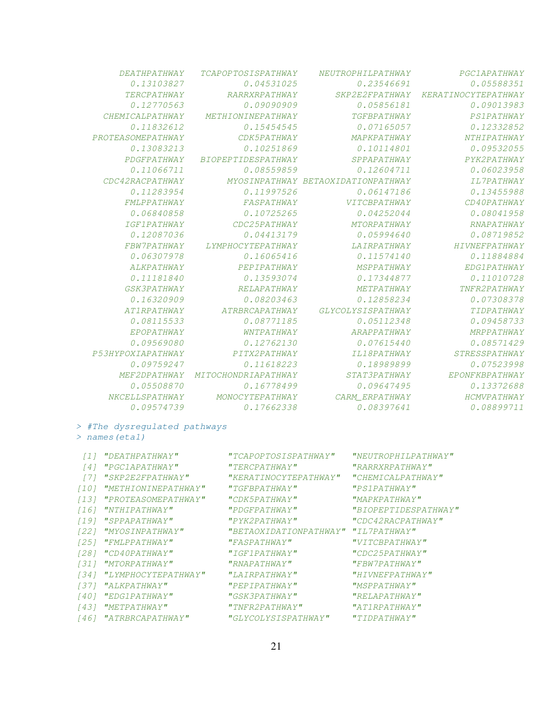| PGC1APATHWAY         | NEUTROPHILPATHWAY                  | <b>TCAPOPTOSISPATHWAY</b> | <b>DEATHPATHWAY</b>    |
|----------------------|------------------------------------|---------------------------|------------------------|
| 0.05588351           | 0.23546691                         | 0.04531025                | 0.13103827             |
| KERATINOCYTEPATHWAY  | SKP2E2FPATHWAY                     | RARRXRPATHWAY             | TERCPATHWAY            |
| 0.09013983           | 0.05856181                         | 0.09090909                | 0.12770563             |
| PS1PATHWAY           | <b>TGFBPATHWAY</b>                 | <b>METHIONINEPATHWAY</b>  | <b>CHEMICALPATHWAY</b> |
| 0.12332852           | 0.07165057                         | 0.15454545                | 0.11832612             |
| NTHIPATHWAY          | MAPKPATHWAY                        | CDK5PATHWAY               | PROTEASOMEPATHWAY      |
| 0.09532055           | 0.10114801                         | 0.10251869                | 0.13083213             |
| PYK2PATHWAY          | SPPAPATHWAY                        | <b>BIOPEPTIDESPATHWAY</b> | PDGFPATHWAY            |
| 0.06023958           | 0.12604711                         | 0.08559859                | 0.11066711             |
| <b>IL7PATHWAY</b>    | MYOSINPATHWAY BETAOXIDATIONPATHWAY |                           | CDC42RACPATHWAY        |
| 0.13455988           | 0.06147186                         | 0.11997526                | 0.11283954             |
| CD40PATHWAY          | <b>VITCBPATHWAY</b>                | FASPATHWAY                | <b>FMLPPATHWAY</b>     |
| 0.08041958           | 0.04252044                         | 0.10725265                | 0.06840858             |
| RNAPATHWAY           | MTORPATHWAY                        | CDC25PATHWAY              | <i>IGF1PATHWAY</i>     |
| 0.08719852           | 0.05994640                         | 0.04413179                | 0.12087036             |
| HIVNEFPATHWAY        | LAIRPATHWAY                        | LYMPHOCYTEPATHWAY         | FBW7PATHWAY            |
| 0.11884884           | 0.11574140                         | 0.16065416                | 0.06307978             |
| EDG1PATHWAY          | <b>MSPPATHWAY</b>                  | PEPIPATHWAY               | <b>ALKPATHWAY</b>      |
| 0.11010728           | 0.17344877                         | 0.13593074                | 0.11181840             |
| TNFR2PATHWAY         | <b>METPATHWAY</b>                  | <b>RELAPATHWAY</b>        | GSK3PATHWAY            |
| 0.07308378           | 0.12858234                         | 0.08203463                | 0.16320909             |
| TIDPATHWAY           | GLYCOLYSISPATHWAY                  | ATRBRCAPATHWAY            | AT1RPATHWAY            |
| 0.09458733           | 0.05112348                         | 0.08771185                | 0.08115533             |
| MRPPATHWAY           | ARAPPATHWAY                        | WNTPATHWAY                | EPOPATHWAY             |
| 0.08571429           | 0.07615440                         | 0.12762130                | 0.09569080             |
| <b>STRESSPATHWAY</b> | <b>IL18PATHWAY</b>                 | PITX2PATHWAY              | Р5ЗНҮРОХІАРАТНИАҮ      |
| 0.07523998           | 0.18989899                         | 0.11618223                | 0.09759247             |
| EPONFKBPATHWAY       | <b>STAT3PATHWAY</b>                | MITOCHONDRIAPATHWAY       | MEF2DPATHWAY           |
| 0.13372688           | 0.09647495                         | 0.16778499                | 0.05508870             |
| HCMVPATHWAY          | CARM ERPATHWAY                     | MONOCYTEPATHWAY           | NKCELLSPATHWAY         |
| 0.08899711           | 0.08397641                         | 0.17662338                | 0.09574739             |
|                      |                                    |                           |                        |

> #The dysregulated pathways

> names(eta1)

|                  | <i>[1] "DEATHPATHWAY"</i> | "TCAPOPTOSISPATHWAY"                | "NEUTROPHILPATHWAY"  |
|------------------|---------------------------|-------------------------------------|----------------------|
| $\left[4\right]$ | "PGC1APATHWAY"            | "TERCPATHWAY"                       | "RARRXRPATHWAY"      |
|                  | "SKP2E2FPATHWAY"          | "KERATINOCYTEPATHWAY"               | "CHEMICALPATHWAY"    |
| [10]             | "METHIONINEPATHWAY"       | "TGFBPATHWAY"                       | "PSIPATHWAY"         |
| 1131             | "PROTEASOMEPATHWAY"       | "CDK5PATHWAY"                       | "MAPKPATHWAY"        |
| 1161             | "NTHIPATHWAY"             | "PDGFPATHWAY"                       | "BIOPEPTIDESPATHWAY" |
| [19]             | <i>"SPPAPATHWAY"</i>      | "PYK2PATHWAY"                       | "CDC42RACPATHWAY"    |
| 1221             | "MYOSINPATHWAY"           | "BETAOXIDATIONPATHWAY" "IL7PATHWAY" |                      |
| 1251             | "FMLPPATHWAY"             | "FASPATHWAY"                        | "VITCBPATHWAY"       |
| 1281             | <i>"CD40PATHWAY"</i>      | "IGF1PATHWAY"                       | "CDC25PATHWAY"       |
| 1311             | "MTORPATHWAY"             | "RNAPATHWAY"                        | "FBW7PATHWAY"        |
| 1341             | "LYMPHOCYTEPATHWAY"       | "LAIRPATHWAY"                       | "HIVNEFPATHWAY"      |
| 1371             | "ALKPATHWAY"              | "PEPIPATHWAY"                       | "MSPPATHWAY"         |
| 1401             | "EDG1PATHWAY"             | "GSK3PATHWAY"                       | "RELAPATHWAY"        |
| [43]             | "METPATHWAY"              | "TNFR2PATHWAY"                      | "AT1RPATHWAY"        |
| 1461             | "ATRBRCAPATHWAY"          | "GLYCOLYSISPATHWAY"                 | "TIDPATHWAY"         |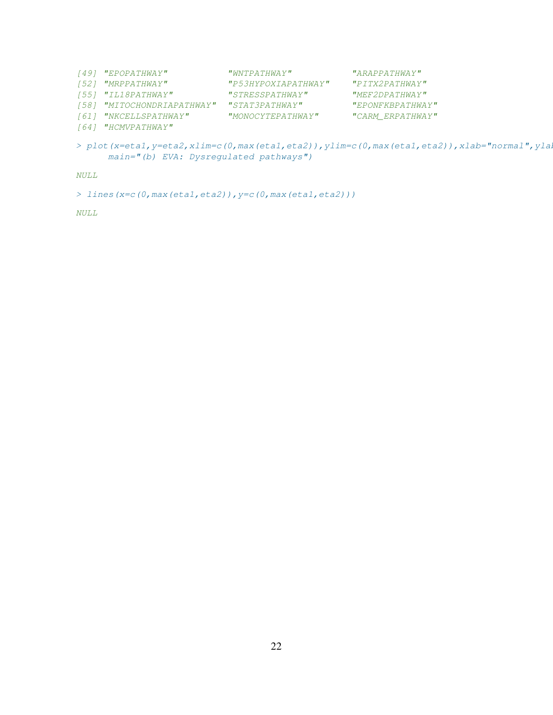| [49] "EPOPATHWAY"          | "WNTPATHWAY"        | "ARAPPATHWA Y"    |
|----------------------------|---------------------|-------------------|
| [52] "MRPPATHWAY"          | "P53HYPOXIAPATHWAY" | "PITX2PATHWAY"    |
| [55] "IL18PATHWAY"         | "STRESSPATHWAY"     | "MEF2DPATHWAY"    |
| [58] "MITOCHONDRIAPATHWAY" | "STAT3PATHWAY"      | "EPONFKBPA THWAY" |
| [61] "NKCELLSPATHWAY"      | "MONOCYTEPATHWAY"   | "CARM ERPATHWAY"  |
| [64] "HCMVPATHWAY"         |                     |                   |
|                            |                     |                   |

> plot(x=eta1, y=eta2, xlim=c(0, max(eta1, eta2)), ylim=c(0, max(eta1, eta2)), xlab="normal", yla main="(b) EVA: Dysregulated pathways")

NULL

```
> lines(x=c(0,max(eta1,eta2)),y=c(0,max(eta1,eta2)))
```
NULL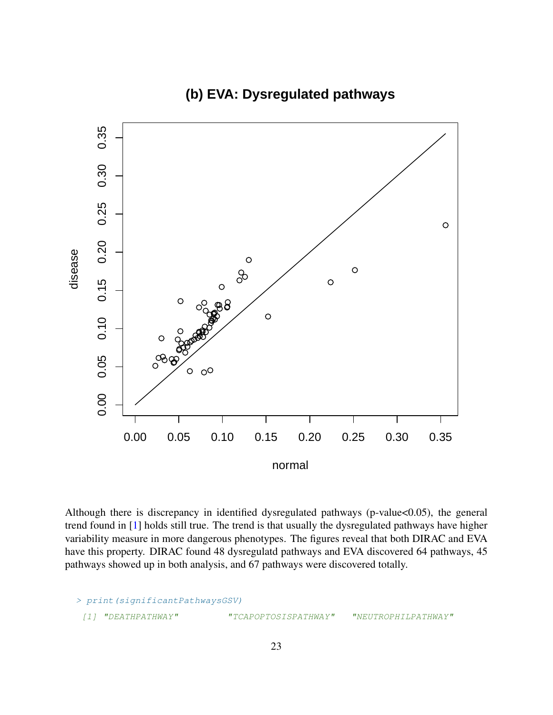

**(b) EVA: Dysregulated pathways**

Although there is discrepancy in identified dysregulated pathways (p-value<0.05), the general trend found in [\[1\]](#page-75-1) holds still true. The trend is that usually the dysregulated pathways have higher variability measure in more dangerous phenotypes. The figures reveal that both DIRAC and EVA have this property. DIRAC found 48 dysregulatd pathways and EVA discovered 64 pathways, 45 pathways showed up in both analysis, and 67 pathways were discovered totally.

```
> print(significantPathwaysGSV)
 [1] "DEATHPATHWAY" "TCAPOPTOSISPATHWAY" "NEUTROPHILPATHWAY"
```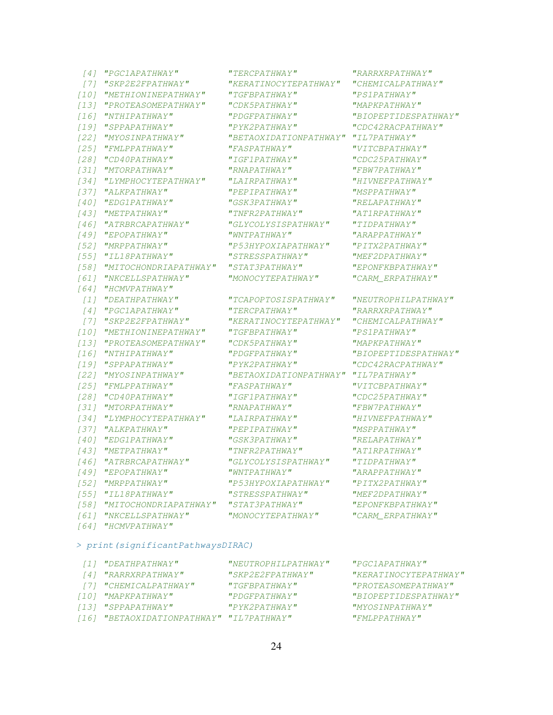| [4]    | "PGC1APATHWAY"        | "TERC                    |
|--------|-----------------------|--------------------------|
| [7]    | "SKP2E2FPATHWAY"      | "KERA                    |
| $[10]$ | "METHIONINEPATHWAY"   | "TGFB                    |
| $[13]$ | "PROTEASOMEPATHWAY"   | "CDK5                    |
| $[16]$ | "NTHIPATHWAY"         | "PDGF                    |
| $[19]$ | "SPPAPATHWAY"         | $"$ PYK2                 |
| $[22]$ | "MYOSINPATHWAY"       | "BETA                    |
| $[25]$ | "FMLPPATHWAY"         | "FASP.                   |
| $[28]$ | "CD40PATHWAY"         | "IGF1                    |
| [31]   | "MTORPATHWAY"         | "RNAP.                   |
| $[34]$ | "LYMPHOCYTEPATHWAY"   | "LAIR                    |
| [37]   | "ALKPATHWAY"          | "PEPI                    |
| [40]   | "EDG1PATHWAY"         | "GSK3.                   |
| [43]   | "METPATHWAY"          | "TNFR                    |
| $[46]$ | "ATRBRCAPATHWAY"      | "GLYC                    |
| $[49]$ | "EPOPATHWAY"          | "WNTP.                   |
| [52]   | "MRPPATHWAY"          | "P53H                    |
| $[55]$ | "IL18PATHWAY"         | "SIRE                    |
| [58]   | "MITOCHONDRIAPATHWAY" | "STAT                    |
| [61]   | "NKCELLSPATHWAY"      | "MONO                    |
| [64]   | "HCMVPATHWAY"         |                          |
| $[1]$  | "DEATHPATHWAY"        | TCAP                     |
| [4]    | "PGC1APATHWAY"        | "TERC                    |
| [7]    | "SKP2E2FPATHWAY"      | "KERA                    |
| $[10]$ | "METHIONINEPATHWAY"   | "TGFB                    |
| $[13]$ | "PROTEASOMEPATHWAY"   | "CDK5                    |
| $[16]$ | "NTHIPATHWAY"         | "PDGF.                   |
| $[19]$ | "SPPAPATHWAY"         | $"$ PYK2                 |
| $[22]$ | "MYOSINPATHWAY"       | "BETA                    |
| $[25]$ | "FMLPPATHWAY"         | "FASP.                   |
| $[28]$ | "CD40PATHWAY"         | $^{\prime\prime} I$ GF1. |
| $[31]$ | "MTORPATHWAY"         | "RNAP.                   |
| $[34]$ | "LYMPHOCYTEPATHWAY"   | "LAIR                    |
| $[37]$ | "ALKPATHWAY"          | "PEPI                    |
| [40]   | "EDG1PATHWAY"         | "GSK3.                   |
| $[43]$ | "METPATHWAY"          | "TNFR                    |
| $[46]$ | "ATRBRCAPATHWAY"      | "GLYC                    |
| [49]   | "EPOPATHWAY"          | "WNTP.                   |
| $[52]$ | "MRPPATHWAY"          | "P53H                    |
| [55]   | "IL18PATHWAY"         | "SIRE                    |
| [58]   | "MITOCHONDRIAPATHWAY" | "STAT                    |
| [61]   | "NKCELLSPATHWAY"      | "MONO                    |
| 1641   | "HCMVPATHWAY"         |                          |

#### > print(significantPathwaysDIRAC)

| [1] "DEATHPATHWAY"                       | "NEUTROPHILPATHWAY"  | "PGC1APATHWAY"        |
|------------------------------------------|----------------------|-----------------------|
| [4] "RARRXRPATHWAY"                      | "SKP2E2FPATHWAY"     | "KERATINOCYTEPATHWAY" |
| [7] "CHEMICALPATHWAY"                    | "TGFBPA THWAY"       | "PROTEASOMEPATHWAY"   |
| [10] "MAPKPATHWAY"                       | "PDGFPATHWAY"        | "BIOPEPTIDESPATHWAY"  |
| [13] "SPPAPATHWAY"                       | $"$ PYK $2$ PATHWAY" | "MYOSINPATHWAY"       |
| [16] "BETAOXIDATIONPATHWAY" "IL7PATHWAY" |                      | $"$ FMI,PPATHWAY"     |
|                                          |                      |                       |

" "RARRXRPATHWAY" "RARRXRPATHWAY" ITINOCYTEPATHWAY" "CHEMICALPATHWAY" " "PS1PATHWAY" "PS1PATHWAY"  $\bar{H}$   $P$ ATHWAY" "MAPKPATHWAY" "PATHWAY" "BIOPEPTIDESPATHWAY" PATHWAY" "CDC42RACPATHWAY" OXIDATIONPATHWAY" "IL7PATHWAY" "NTHWAY" "VITCBPATHWAY"  $'$ PATHWAY" "CDC25PATHWAY" "NATHWAY" "FBW7PATHWAY" " "HIVNEFPATHWAY" "HIVNEFPATHWAY" " "MSPPATHWAY" "MSPPATHWAY" [40] "EDG1PATHWAY" "GSK3PATHWAY" "RELAPATHWAY" "NETRATHWAY" "AT1RPATHWAY" "OLYSISPATHWAY" "TIDPATHWAY" "
PATHWAY"

"ARAPPATHWAY" [52] "MRPPATHWAY" "P53HYPOXIAPATHWAY" "PITX2PATHWAY" ESSPATHWAY" "MEF2DPATHWAY" " "SPATHWAY" "*EPONFKBPATHWAY"*<br>"CARM ERPATHWAY" "CARM ERPATHWAY" " CARM\_ERPATHWAY"

"OPTOSISPATHWAY" "NEUTROPHILPATHWAY" [4] "PGC1APATHWAY" "TERCPATHWAY" "RARRXRPATHWAY" ATINOCYTEPATHWAY" "CHEMICALPATHWAY" " "PS1PATHWAY" "PS1PATHWAY" FRATHWAY" "MAPKPATHWAY" "NTHATHWAY" "BIOPEPTIDESPATHWAY" PATHWAY" "CDC42RACPATHWAY" [22] "MYOSINPATHWAY" "BETAOXIDATIONPATHWAY" "IL7PATHWAY" 'ATHWAY" "VITCBPATHWAY"  $'$ PATHWAY" "CDC25PATHWAY" "NTORPATHWAY" "FBW7PATHWAY" (34) "PATHWAY" "HIVNEFPATHWAY" " "MSPPATHWAY" "MSPPATHWAY" [40] "EDG1PATHWAY" "GSK3PATHWAY" "RELAPATHWAY" (2) THE THAT IS NOTHING AT THAT IS NOTHING A THAT IS NOTHING AT A THAT IS NOTHING AT A THAT IS NOTHING AT A TH " "TIDPATHWAY" "TIDPATHWAY" "ATHWAY" "ARAPPATHWAY" [52] "MRPPATHWAY" "P53HYPOXIAPATHWAY" "PITX2PATHWAY" [55] "IL18PATHWAY" "STRESSPATHWAY" "MEF2DPATHWAY" "<br>"MITOCHONDRIAL" "STATATHWAY" "STATE "STATE "STATE "STATE "STATE "STATE "STATE "STATE "STATE" "EPATHWAY" " CARM\_ERPATHWAY"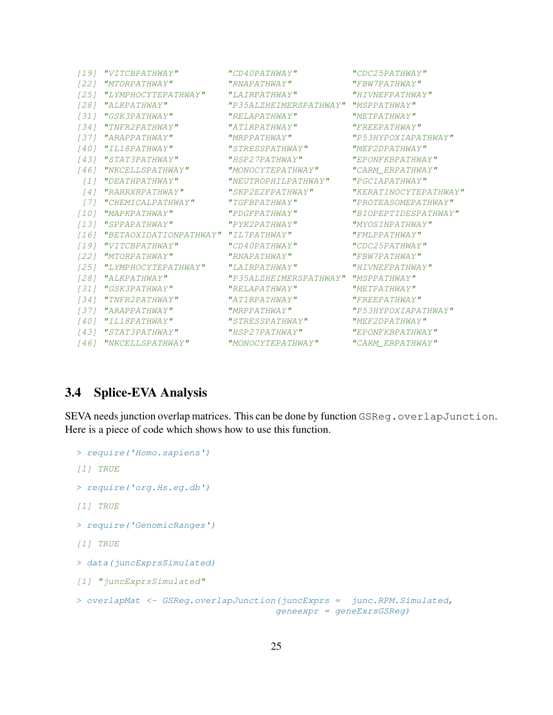| [19]              | "VITCBPATHWAY"                           | "CD40PATHWAY"          | "CDC25PATHWAY"        |
|-------------------|------------------------------------------|------------------------|-----------------------|
| [22]              | "MTORPATHWAY"                            | "RNAPATHWAY"           | "FBW7PATHWAY"         |
|                   | [25] "LYMPHOCYTEPATHWAY"                 | "LAIRPATHWAY"          | "HIVNEFPATHWAY"       |
|                   | [28] "ALKPATHWAY"                        | "P35ALZHEIMERSPATHWAY" | "MSPPATHWAY"          |
|                   | [31] "GSK3PATHWAY"                       | "RELAPATHWAY"          | "METPATHWAY"          |
|                   | [34] "TNFR2PATHWAY"                      | "AT1RPATHWAY"          | "FREEPATHWAY"         |
|                   | [37] "ARAPPATHWAY"                       | "MRPPATHWAY"           | "P53HYPOXIAPATHWAY"   |
| 1401              | <i>"IL18PATHWAY"</i>                     | "STRESSPATHWAY"        | "MEF2DPA THWAY"       |
| [43]              | "STAT3PATHWAY"                           | $"HSP2$ 7PA THWAY"     | "EPONFKBPATHWAY"      |
|                   | [46] "NKCELLSPATHWAY"                    | "MONOCYTEPATHWAY"      | "CARM ERPATHWAY"      |
| T 1 1             | "DEATHPATHWAY"                           | "NEUTROPHILPATHWAY"    | "PGC1APATHWAY"        |
| $\lceil 4 \rceil$ | "RARRXRPATHWAY"                          | "SKP2E2FPATHWAY"       | "KERATINOCYTEPATHWAY" |
| $\sqrt{77}$       | "CHEMICALPATHWAY"                        | "TGFBPATHWAY"          | "PROTEASOMEPATHWAY"   |
|                   | [10] "MAPKPATHWAY"                       | "PDGFPATHWAY"          | "BIOPEPTIDESPATHWAY"  |
| 131               | "SPPAPATHWAY"                            | $"$ PYK2PATHWAY"       | "MYOSINPATHWAY"       |
|                   | [16] "BETAOXIDATIONPATHWAY" "IL7PATHWAY" |                        | "FMLPPATHWAY"         |
| 1191              | "VITCBPATHWAY"                           | "CD40PATHWAY"          | "CDC25PATHWAY"        |
|                   | [22] "MTORPATHWAY"                       | "RNAPATHWAY"           | "FBW7PATHWAY"         |
| 1251              | "LYMPHOCYTEPATHWAY"                      | "LATRPATHWAY"          | "HTVNEFPATHWAY"       |
| [28]              | "ALKPATHWAY"                             | "P35ALZHEIMERSPATHWAY" | "MSPPATHWAY"          |
|                   | [31] "GSK3PATHWAY"                       | "RELAPATHWAY"          | "METPATHWAY"          |
| $1341$            | "TNFR2PATHWAY"                           | "AT1RPATHWAY"          | "FREEPATHWAY"         |
|                   | [37] "ARAPPATHWAY"                       | "MRPPATHWAY"           | "P53HYPOXIAPATHWAY"   |
|                   | [40] "IL18PATHWAY"                       | "STRESSPATHWAY"        | "MEF2DPA THWAY"       |
|                   | [43] "STAT3PATHWAY"                      | "HSP27PATHWAY"         | "EPONFKBPATHWAY"      |
|                   | [46] "NKCELLSPATHWAY"                    | "MONOCYTEPATHWAY"      | "CARM ERPATHWAY"      |

#### <span id="page-24-0"></span>3.4 Splice-EVA Analysis

SEVA needs junction overlap matrices. This can be done by function GSReg.overlapJunction. Here is a piece of code which shows how to use this function.

```
> require('Homo.sapiens')
[1] TRUE
> require('org.Hs.eg.db')
[1] TRUE
> require('GenomicRanges')
[1] TRUE
> data(juncExprsSimulated)
[1] "juncExprsSimulated"
> overlapMat <- GSReg.overlapJunction(juncExprs = junc.RPM.Simulated,
                                     geneexpr = geneExrsGSReg)
```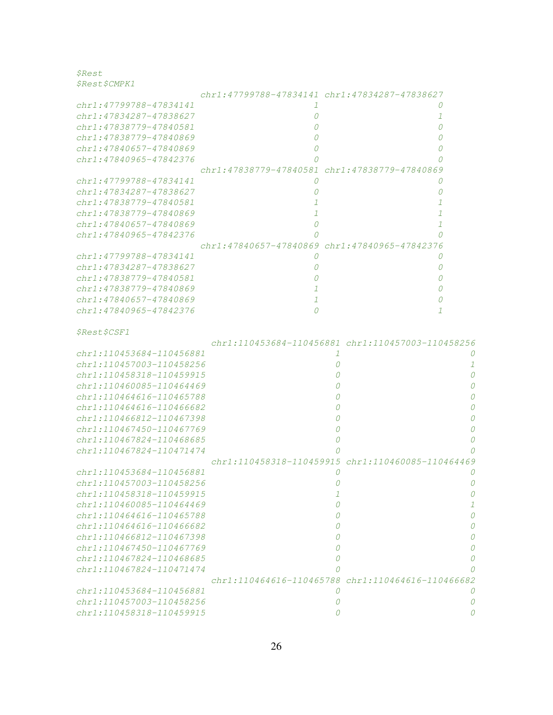\$Rest \$Rest\$CMPK1

|                              | chr1:47799788-47834141 chr1:47834287-47838627               |          |          |
|------------------------------|-------------------------------------------------------------|----------|----------|
| chr1:47799788-47834141       | -1                                                          |          |          |
| chr1:47834287-47838627       | 0                                                           |          | 1        |
| chr1:47838779-47840581       | $\theta$                                                    |          | 0        |
| chr1:47838779-47840869       |                                                             |          | $\theta$ |
| $chr1: 47840657 - 47840869$  | 0                                                           |          | O        |
| chr1:47840965-47842376       |                                                             |          |          |
|                              | chr1:47838779-47840581 chr1:47838779-47840869               |          |          |
| chr1:47799788-47834141       | 0                                                           |          | 0        |
| chr1:47834287-47838627       | 0                                                           |          | 0        |
| chr1:47838779-47840581       |                                                             |          |          |
| chr1:47838779-47840869       |                                                             |          |          |
| chr1:47840657-47840869       | 0                                                           |          |          |
| chr1:47840965-47842376       |                                                             |          | Ω        |
|                              | chr1:47840657-47840869 chr1:47840965-47842376               |          |          |
| chr1:47799788-47834141       | 0                                                           |          | 0        |
| chr1:47834287-47838627       | 0                                                           |          | 0        |
| chr1:47838779-47840581       |                                                             |          | 0        |
| chr1:47838779-47840869       |                                                             |          | 0        |
| chr1:47840657-47840869       | 1                                                           |          | Ω        |
| chr1:47840965-47842376       | 0                                                           |          | 1        |
| <i>\$Rest\$CSF1</i>          |                                                             |          |          |
|                              | $chr1: 110453684 - 110456881$ $chr1: 110457003 - 110458256$ |          |          |
| chr1:110453684-110456881     |                                                             | 1        | $\theta$ |
| chr1:110457003-110458256     |                                                             | 0        | 1        |
| chr1:110458318-110459915     |                                                             |          | $\Omega$ |
| chr1:110460085-110464469     |                                                             |          |          |
| chr1:110464616-110465788     |                                                             |          |          |
| chr1:110464616-110466682     |                                                             |          |          |
| chr1:110466812-110467398     |                                                             |          |          |
| chr1:110467450-110467769     |                                                             | 0        | 0        |
| chr1:110467824-110468685     |                                                             | 0        |          |
| chr1:110467824-110471474     |                                                             |          |          |
|                              | chr1:110458318-110459915 chr1:110460085-110464469           |          |          |
| chr1:110453684-110456881     |                                                             | $\theta$ |          |
| chr1:110457003-110458256     |                                                             |          |          |
| chr1:110458318-110459915     |                                                             | ┸        |          |
| chr1:110460085-110464469     |                                                             | 0        | 1        |
| $chr1:110464616 - 110465788$ |                                                             | Ω        | 0        |
| chr1:110464616-110466682     |                                                             | 0        | 0        |
| chr1:110466812-110467398     |                                                             |          | 0        |
| chr1:110467450-110467769     |                                                             | Ω        | 0        |
| $chr1:110467824 - 110468685$ |                                                             | 0        | 0        |
| chr1:110467824-110471474     |                                                             |          |          |
|                              | chr1:110464616-110465788 chr1:110464616-110466682           |          |          |
| chr1:110453684-110456881     |                                                             | 0        | 0        |
| chr1:110457003-110458256     |                                                             | 0        | 0        |
| chr1:110458318-110459915     |                                                             | n        |          |
|                              |                                                             |          |          |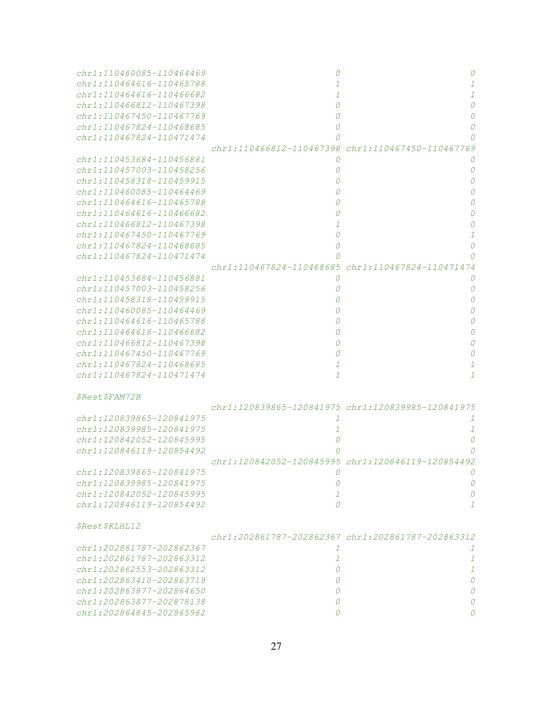| chr1:110460085-110464469            | Ω                                                 |                                                   |
|-------------------------------------|---------------------------------------------------|---------------------------------------------------|
| $chr1:110464616 - 110465788$        |                                                   |                                                   |
| $chr1:110464616 - 110466682$        |                                                   |                                                   |
| chr1:110466812-110467398            | Ω                                                 |                                                   |
| chr1:110467450-110467769            | 0                                                 |                                                   |
| chr1:110467824-110468685            | 0                                                 | O                                                 |
| chr1:110467824-110471474            | Ω                                                 |                                                   |
|                                     | chr1:110466812-110467398                          | chr1:110467450-110467769                          |
| chr1:110453684-110456881            | Ω                                                 |                                                   |
| chr1:110457003-110458256            | 0                                                 | 0                                                 |
| $chr1:110458318 - 110459915$        |                                                   |                                                   |
| $chr1:110460085 - 110464469$        |                                                   |                                                   |
| chr1:110464616-110465788            |                                                   |                                                   |
| chr1:110464616-110466682            |                                                   |                                                   |
| chr1:110466812-110467398            |                                                   |                                                   |
| chr1:110467450-110467769            | 0                                                 |                                                   |
|                                     |                                                   |                                                   |
| $chr1:110467824 - 110468685$        | 0                                                 |                                                   |
| chr1:110467824-110471474            |                                                   |                                                   |
|                                     | chr1:110467824-110468685 chr1:110467824-110471474 |                                                   |
| chr1:110453684-110456881            | O                                                 |                                                   |
| chr1:110457003-110458256            |                                                   |                                                   |
| $chr1:110458318 - 110459915$        |                                                   |                                                   |
| $chr1:110460085 - 110464469$        |                                                   |                                                   |
| chr1:110464616-110465788            |                                                   |                                                   |
| chr1:110464616-110466682            |                                                   |                                                   |
| chr1:110466812-110467398            |                                                   |                                                   |
| chr1:110467450-110467769            |                                                   |                                                   |
| chr1:110467824-110468685            | 1                                                 |                                                   |
| chr1:110467824-110471474            | $\mathcal{I}$                                     |                                                   |
|                                     |                                                   |                                                   |
| <i><i><b>\$Rest\$FAM72B</b></i></i> |                                                   |                                                   |
|                                     |                                                   | chr1:120839865-120841975 chr1:120839985-120841975 |
| chr1:120839865-120841975            | 1                                                 |                                                   |
| chr1:120839985-120841975            | 1                                                 | 1                                                 |
| chr1:120842052-120845995            |                                                   |                                                   |
| chr1:120846119-120854492            |                                                   |                                                   |
|                                     |                                                   | chr1:120842052-120845995 chr1:120846119-120854492 |
|                                     |                                                   |                                                   |
| chr1:120839865-120841975            |                                                   |                                                   |
| chr1:120839985-120841975            | 0                                                 | 0                                                 |
| chr1:120842052-120845995            | $\mathcal{I}$                                     | 0                                                 |
| chr1:120846119-120854492            | $\Omega$                                          | $\mathcal{I}$                                     |
|                                     |                                                   |                                                   |
| \$Rest\$KLHL12                      |                                                   | chr1:202861787-202862367 chr1:202861787-202863312 |
| chr1:202861787-202862367            | 1                                                 |                                                   |
|                                     |                                                   | 1                                                 |
| chr1:202861787-202863312            | $\mathcal{I}$                                     | $\mathcal{I}$                                     |
| $chr1: 202862553 - 202863312$       | 0                                                 | 1                                                 |
| $chr1: 202863410 - 202863719$       | 0                                                 | 0                                                 |
| chr1:202863877-202864650            | 0                                                 | 0                                                 |
| chr1:202863877-202878138            | 0                                                 | Ω                                                 |
| chr1:202864845-202865982            | 0                                                 |                                                   |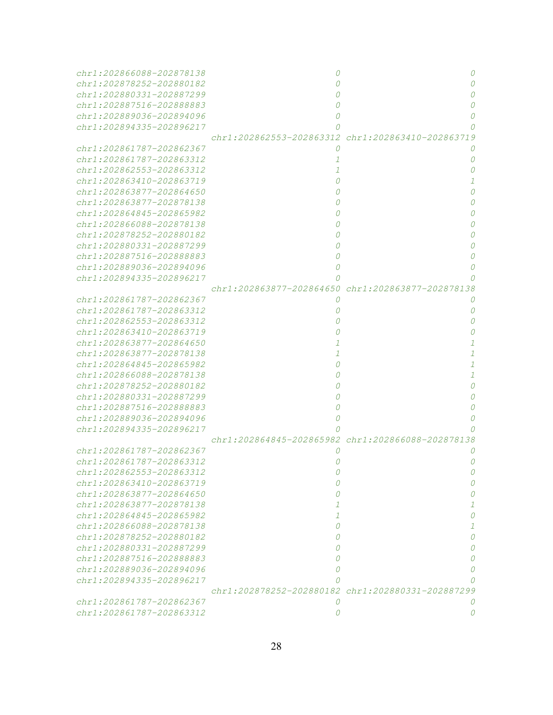| chr1:202866088-202878138      | 0                                                 | 0                                                 |
|-------------------------------|---------------------------------------------------|---------------------------------------------------|
| chr1:202878252-202880182      |                                                   | $\Omega$                                          |
| chr1:202880331-202887299      |                                                   | 0                                                 |
| chr1:202887516-202888883      |                                                   | 0                                                 |
| chr1:202889036-202894096      | 0                                                 | 0                                                 |
| chr1:202894335-202896217      |                                                   |                                                   |
|                               |                                                   | chr1:202862553-202863312 chr1:202863410-202863719 |
| chr1:202861787-202862367      | 0                                                 |                                                   |
| chr1:202861787-202863312      | 1                                                 | 0                                                 |
| chr1:202862553-202863312      |                                                   | 0                                                 |
| $chr1: 202863410 - 202863719$ |                                                   |                                                   |
| $chr1: 202863877 - 202864650$ |                                                   | 0                                                 |
| chr1:202863877-202878138      |                                                   | 0                                                 |
| chr1:202864845-202865982      |                                                   | 0                                                 |
| chr1:202866088-202878138      |                                                   | 0                                                 |
| chr1:202878252-202880182      |                                                   | 0                                                 |
| chr1:202880331-202887299      |                                                   | 0                                                 |
| chr1:202887516-202888883      | 0                                                 | 0                                                 |
| chr1:202889036-202894096      | 0                                                 | 0                                                 |
| chr1:202894335-202896217      |                                                   |                                                   |
|                               |                                                   | chr1:202863877-202864650 chr1:202863877-202878138 |
| chr1:202861787-202862367      | 0                                                 |                                                   |
| chr1:202861787-202863312      |                                                   | 0                                                 |
| chr1:202862553-202863312      |                                                   | 0                                                 |
| chr1:202863410-202863719      |                                                   |                                                   |
| chr1:202863877-202864650      |                                                   |                                                   |
| chr1:202863877-202878138      | 1                                                 | $\mathcal{I}$                                     |
| chr1:202864845-202865982      |                                                   | $\mathcal{I}$                                     |
| chr1:202866088-202878138      |                                                   | 1                                                 |
| chr1:202878252-202880182      |                                                   | 0                                                 |
| chr1:202880331-202887299      |                                                   | 0                                                 |
| chr1:202887516-202888883      |                                                   | 0                                                 |
| chr1:202889036-202894096      |                                                   |                                                   |
| chr1:202894335-202896217      |                                                   |                                                   |
|                               | chr1:202864845-202865982 chr1:202866088-202878138 |                                                   |
| chr1:202861787-202862367      |                                                   |                                                   |
| chr1:202861787-202863312      |                                                   |                                                   |
| chr1:202862553-202863312      |                                                   |                                                   |
| chr1:202863410-202863719      | 0                                                 | 0                                                 |
| $chr1: 202863877 - 202864650$ | 0                                                 | 0                                                 |
| chr1:202863877-202878138      | 1                                                 | 1                                                 |
| $chr1: 202864845 - 202865982$ | $\mathcal{I}$                                     | 0                                                 |
| chr1:202866088-202878138      | 0                                                 | 1                                                 |
| chr1:202878252-202880182      | 0                                                 | 0                                                 |
| $chr1: 202880331 - 202887299$ | 0                                                 | 0                                                 |
| chr1:202887516-202888883      | 0                                                 | 0                                                 |
| $chr1: 202889036 - 202894096$ | 0                                                 | Ω                                                 |
| chr1:202894335-202896217      |                                                   |                                                   |
|                               |                                                   | chr1:202878252-202880182 chr1:202880331-202887299 |
| chr1:202861787-202862367      | 0                                                 |                                                   |
| chr1:202861787-202863312      | 0                                                 | 0                                                 |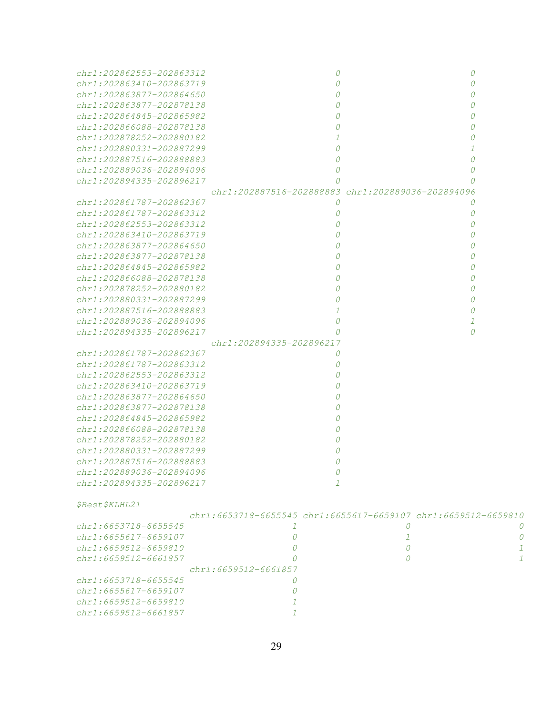| chr1:202862553-202863312            | 0                                                              | 0 |               |
|-------------------------------------|----------------------------------------------------------------|---|---------------|
| $chr1: 202863410 - 202863719$       | 0                                                              | Ω |               |
| chr1:202863877-202864650            | 0                                                              |   |               |
| chr1:202863877-202878138            |                                                                |   |               |
| chr1:202864845-202865982            | 0                                                              |   |               |
| chr1:202866088-202878138            | 0                                                              |   |               |
| chr1:202878252-202880182            |                                                                |   |               |
| chr1:202880331-202887299            | $\Omega$                                                       |   |               |
| chr1:202887516-202888883            | 0                                                              |   |               |
| chr1:202889036-202894096            | 0                                                              |   |               |
| chr1:202894335-202896217            |                                                                |   |               |
|                                     | chr1:202887516-202888883 chr1:202889036-202894096              |   |               |
| chr1:202861787-202862367            | 0                                                              | 0 |               |
| chr1:202861787-202863312            | 0                                                              | 0 |               |
| chr1:202862553-202863312            | 0                                                              | Ω |               |
| chr1:202863410-202863719            | 0                                                              |   |               |
| chr1:202863877-202864650            | 0                                                              |   |               |
| chr1:202863877-202878138            | 0                                                              |   |               |
| chr1:202864845-202865982            | 0                                                              |   |               |
| chr1:202866088-202878138            | $\Omega$                                                       |   |               |
| chr1:202878252-202880182            | $\Omega$                                                       |   |               |
| chr1:202880331-202887299            | 0                                                              |   |               |
| chr1:202887516-202888883            | 1                                                              | Ω |               |
| $chr1: 202889036 - 202894096$       | 0                                                              | 1 |               |
| chr1:202894335-202896217            | Ω                                                              | 0 |               |
|                                     | chr1:202894335-202896217                                       |   |               |
| chr1:202861787-202862367            | 0                                                              |   |               |
| chr1:202861787-202863312            | 0                                                              |   |               |
| chr1:202862553-202863312            | 0                                                              |   |               |
| chr1:202863410-202863719            | 0                                                              |   |               |
| chr1:202863877-202864650            | 0                                                              |   |               |
| chr1:202863877-202878138            | 0                                                              |   |               |
| $chr1:202864845 - 202865982$        | 0                                                              |   |               |
| $chr1:202866088 - 202878138$        | 0                                                              |   |               |
| chr1:202878252-202880182            |                                                                |   |               |
| chr1:202880331-202887299            |                                                                |   |               |
| chr1:202887516-202888883            |                                                                |   |               |
| chr1:202889036-202894096            | 0                                                              |   |               |
| chr1:202894335-202896217            | -7                                                             |   |               |
|                                     |                                                                |   |               |
| <i><i><b>\$Rest\$KLHL21</b></i></i> |                                                                |   |               |
|                                     | chr1:6653718-6655545 chr1:6655617-6659107 chr1:6659512-6659810 |   |               |
| $chr1: 6653718 - 6655545$           | T                                                              | 0 | U             |
| chr1:6655617-6659107                | 0                                                              | 1 | 0             |
| chr1:6659512-6659810                | 0                                                              | 0 | 1             |
| chr1:6659512-6661857                | 0                                                              | 0 | $\mathcal{I}$ |
|                                     | chr1:6659512-6661857                                           |   |               |
| $chr1: 6653718 - 6655545$           | 0                                                              |   |               |
| chr1:6655617-6659107                | 0                                                              |   |               |
| chr1:6659512-6659810                | 1                                                              |   |               |
| chr1:6659512-6661857                | 1                                                              |   |               |
|                                     |                                                                |   |               |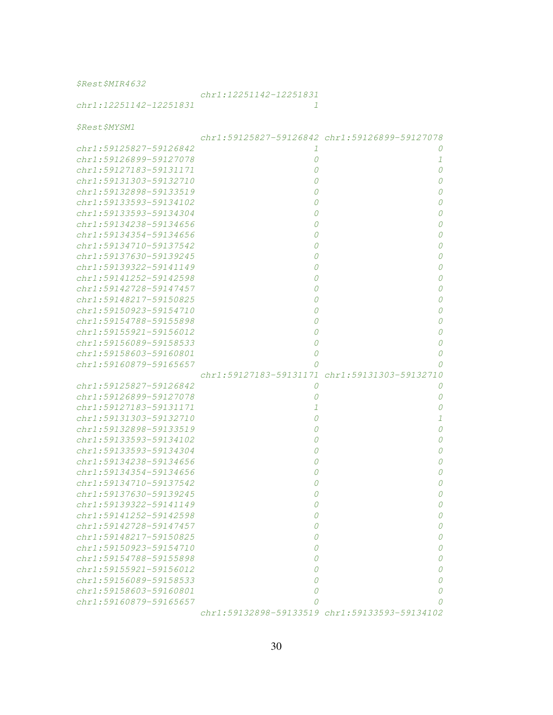\$Rest\$MIR4632

## chr1:12251142-12251831

chr1:12251142-12251831 1

\$Rest\$MYSM1

|                             |   | chr1:59125827-59126842 chr1:59126899-59127078 |
|-----------------------------|---|-----------------------------------------------|
| chr1:59125827-59126842      | 1 | 0                                             |
| chr1:59126899-59127078      | 0 | 1                                             |
| chr1:59127183-59131171      | 0 | 0                                             |
| $chr1: 59131303 - 59132710$ | 0 | 0                                             |
| chr1:59132898-59133519      | 0 | 0                                             |
| chr1:59133593-59134102      | 0 | 0                                             |
| chr1:59133593-59134304      | 0 | 0                                             |
| $chr1: 59134238 - 59134656$ | 0 | 0                                             |
| $chr1: 59134354 - 59134656$ | 0 | 0                                             |
| chr1:59134710-59137542      | 0 | 0                                             |
| chr1:59137630-59139245      | 0 | 0                                             |
| chr1:59139322-59141149      | 0 | 0                                             |
| chr1:59141252-59142598      | 0 | 0                                             |
| chr1:59142728-59147457      | 0 | 0                                             |
| chr1:59148217-59150825      | 0 | 0                                             |
| chr1:59150923-59154710      | 0 | 0                                             |
| chr1:59154788-59155898      | 0 | 0                                             |
| chr1:59155921-59156012      | 0 | 0                                             |
| chr1:59156089-59158533      | 0 | 0                                             |
| $chr1: 59158603 - 59160801$ | 0 | 0                                             |
| chr1:59160879-59165657      | 0 | 0                                             |
|                             |   | chr1:59127183-59131171 chr1:59131303-59132710 |
| chr1:59125827-59126842      | 0 | 0                                             |
| chr1:59126899-59127078      | 0 | 0                                             |
| chr1:59127183-59131171      | 1 | 0                                             |
| chr1:59131303-59132710      | 0 | 1                                             |
| chr1:59132898-59133519      | 0 | 0                                             |
| chr1:59133593-59134102      | 0 | 0                                             |
| chr1:59133593-59134304      | 0 | 0                                             |
| chr1:59134238-59134656      | 0 | 0                                             |
| chr1:59134354-59134656      | 0 | 0                                             |
| chr1:59134710-59137542      | 0 | 0                                             |
| chr1:59137630-59139245      | 0 | 0                                             |
| chr1:59139322-59141149      | Ω | 0                                             |
| $chr1: 59141252 - 59142598$ | Ω | 0                                             |
| chr1:59142728-59147457      | Ω | 0                                             |
| chr1:59148217-59150825      | 0 | 0                                             |
| chr1:59150923-59154710      | 0 | 0                                             |
| chr1:59154788-59155898      | 0 | Ω                                             |
| chr1:59155921-59156012      | 0 | O                                             |
| chr1:59156089-59158533      | 0 | O                                             |
| chr1:59158603-59160801      | 0 | O                                             |
| $chr1: 59160879 - 59165657$ | 0 |                                               |
|                             |   | chr1:59132898-59133519 chr1:59133593-59134102 |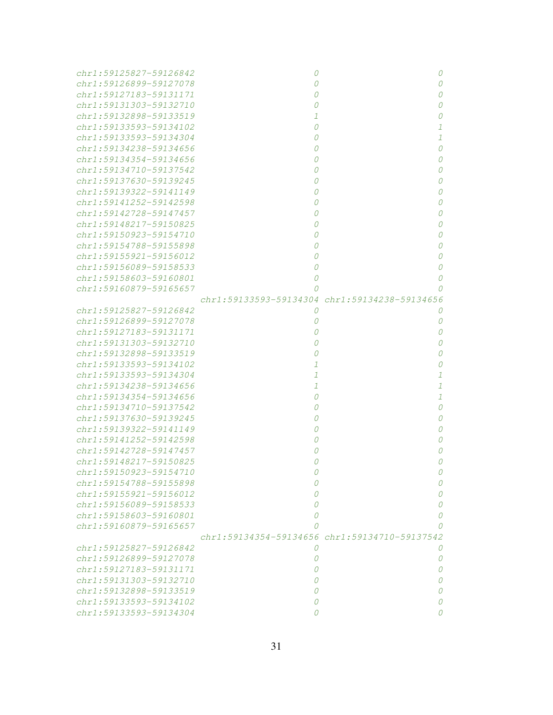| chr1:59125827-59126842      | 0 | 0                                             |
|-----------------------------|---|-----------------------------------------------|
| chr1:59126899-59127078      | 0 | 0                                             |
| chr1:59127183-59131171      | 0 | 0                                             |
| chr1:59131303-59132710      | 0 | 0                                             |
| chr1:59132898-59133519      | 1 | 0                                             |
| chr1:59133593-59134102      | 0 | 1                                             |
| chr1:59133593-59134304      | 0 | $\mathcal{I}$                                 |
| chr1:59134238-59134656      | 0 | 0                                             |
| $chr1: 59134354 - 59134656$ | 0 | 0                                             |
| chr1:59134710-59137542      | 0 | 0                                             |
| chr1:59137630-59139245      | 0 | 0                                             |
| $chr1: 59139322 - 59141149$ | 0 | 0                                             |
| chr1:59141252-59142598      | 0 | 0                                             |
| chr1:59142728-59147457      | 0 | 0                                             |
| chr1:59148217-59150825      | 0 | 0                                             |
| chr1:59150923-59154710      | O | 0                                             |
| $chr1: 59154788 - 59155898$ | 0 | 0                                             |
| $chr1: 59155921 - 59156012$ | O | 0                                             |
| chr1:59156089-59158533      | 0 | 0                                             |
| chr1:59158603-59160801      | 0 | 0                                             |
| chr1:59160879-59165657      | Ω | Ω                                             |
|                             |   | chr1:59133593-59134304 chr1:59134238-59134656 |
| chr1:59125827-59126842      | 0 | 0                                             |
| chr1:59126899-59127078      | 0 | 0                                             |
| chr1:59127183-59131171      | 0 | 0                                             |
| chr1:59131303-59132710      | Ω | 0                                             |
| chr1:59132898-59133519      |   | 0                                             |
| chr1:59133593-59134102      | 7 | 0                                             |
| chr1:59133593-59134304      | 1 | 1                                             |
| chr1:59134238-59134656      | 1 | 1                                             |
| chr1:59134354-59134656      | Ω | 1                                             |
| chr1:59134710-59137542      |   | $\Omega$                                      |
| chr1:59137630-59139245      |   | 0                                             |
| chr1:59139322-59141149      |   | 0                                             |
| chr1:59141252-59142598      |   | 0                                             |
| chr1:59142728-59147457      |   | Ω                                             |
| chr1:59148217-59150825      | Ω | 0                                             |
| chr1:59150923-59154710      | 0 | 0                                             |
| chr1:59154788-59155898      | 0 | 0                                             |
| chr1:59155921-59156012      | 0 | 0                                             |
| chr1:59156089-59158533      | 0 | 0                                             |
| chr1:59158603-59160801      | 0 | 0                                             |
| chr1:59160879-59165657      | 0 | 0                                             |
|                             |   | chr1:59134354-59134656 chr1:59134710-59137542 |
| chr1:59125827-59126842      | 0 | 0                                             |
| chr1:59126899-59127078      | 0 | 0                                             |
| chr1:59127183-59131171      | 0 | 0                                             |
| $chr1: 59131303 - 59132710$ | 0 | 0                                             |
| chr1:59132898-59133519      | 0 | 0                                             |
| chr1:59133593-59134102      | 0 | 0                                             |
| chr1:59133593-59134304      | 0 | 0                                             |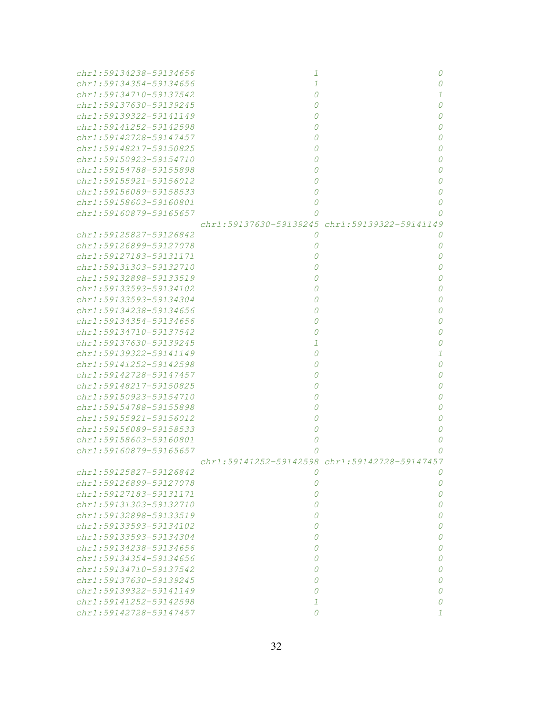| chr1:59134238-59134656      | 1              |                                               |
|-----------------------------|----------------|-----------------------------------------------|
| chr1:59134354-59134656      | 1              | 0                                             |
| $chr1: 59134710 - 59137542$ |                | 1                                             |
| chr1:59137630-59139245      |                | 0                                             |
| chr1:59139322-59141149      |                | 0                                             |
| chr1:59141252-59142598      |                | 0                                             |
| chr1:59142728-59147457      |                | 0                                             |
| chr1:59148217-59150825      |                | 0                                             |
| chr1:59150923-59154710      |                | 0                                             |
| chr1:59154788-59155898      |                | 0                                             |
| chr1:59155921-59156012      |                | 0                                             |
| chr1:59156089-59158533      |                | 0                                             |
| chr1:59158603-59160801      |                | 0                                             |
| chr1:59160879-59165657      |                | 0                                             |
|                             |                | chr1:59137630-59139245 chr1:59139322-59141149 |
| chr1:59125827-59126842      | $\theta$       | 0                                             |
| chr1:59126899-59127078      | O              | 0                                             |
| chr1:59127183-59131171      |                | 0                                             |
| chr1:59131303-59132710      |                | 0                                             |
| chr1:59132898-59133519      |                | 0                                             |
| chr1:59133593-59134102      |                | 0                                             |
| chr1:59133593-59134304      |                | 0                                             |
| chr1:59134238-59134656      |                | 0                                             |
| chr1:59134354-59134656      |                | 0                                             |
| chr1:59134710-59137542      |                | 0                                             |
| chr1:59137630-59139245      |                | 0                                             |
| chr1:59139322-59141149      |                | 1                                             |
| chr1:59141252-59142598      |                | 0                                             |
| chr1:59142728-59147457      |                | 0                                             |
| chr1:59148217-59150825      |                | 0                                             |
| chr1:59150923-59154710      |                | 0                                             |
| chr1:59154788-59155898      |                | 0                                             |
| $chr1: 59155921 - 59156012$ |                | 0                                             |
| chr1:59156089-59158533      |                | 0                                             |
| chr1:59158603-59160801      |                | 0                                             |
| chr1:59160879-59165657      |                | Ω                                             |
|                             |                | chr1:59141252-59142598 chr1:59142728-59147457 |
| chr1:59125827-59126842      |                | U                                             |
| chr1:59126899-59127078      | 0              | 0                                             |
| chr1:59127183-59131171      | 0              | 0                                             |
| chr1:59131303-59132710      | 0              | 0                                             |
| chr1:59132898-59133519      | 0              | 0                                             |
| chr1:59133593-59134102      | 0              | 0                                             |
| chr1:59133593-59134304      | 0              | 0                                             |
| chr1:59134238-59134656      | 0              | 0                                             |
| chr1:59134354-59134656      | 0              | 0                                             |
| chr1:59134710-59137542      | 0              | 0                                             |
| chr1:59137630-59139245      | 0              | 0                                             |
| chr1:59139322-59141149      | $\Omega$       | 0                                             |
| chr1:59141252-59142598      | 1              | 0                                             |
| chr1:59142728-59147457      | $\overline{O}$ | 7                                             |
|                             |                |                                               |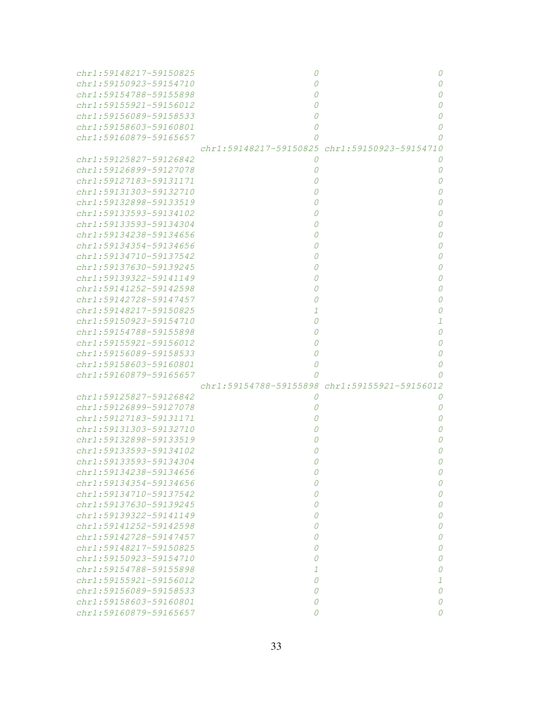| chr1:59148217-59150825      | 0                                             | 0             |
|-----------------------------|-----------------------------------------------|---------------|
| chr1:59150923-59154710      | 0                                             | 0             |
| chr1:59154788-59155898      | Ω                                             | 0             |
| chr1:59155921-59156012      | 0                                             | 0             |
| chr1:59156089-59158533      | 0                                             | 0             |
| chr1:59158603-59160801      | 0                                             | 0             |
| chr1:59160879-59165657      | 0                                             | 0             |
|                             | chr1:59148217-59150825 chr1:59150923-59154710 |               |
| chr1:59125827-59126842      | 0                                             | 0             |
| chr1:59126899-59127078      | 0                                             | 0             |
| chr1:59127183-59131171      | 0                                             | 0             |
| $chr1: 59131303 - 59132710$ |                                               | 0             |
| chr1:59132898-59133519      | Ω                                             | 0             |
| chr1:59133593-59134102      | 0                                             | 0             |
| chr1:59133593-59134304      | 0                                             | 0             |
| chr1:59134238-59134656      | 0                                             | 0             |
| chr1:59134354-59134656      | 0                                             | 0             |
| chr1:59134710-59137542      | 0                                             | 0             |
| chr1:59137630-59139245      | 0                                             | 0             |
| chr1:59139322-59141149      | 0                                             | 0             |
| chr1:59141252-59142598      |                                               | 0             |
| chr1:59142728-59147457      |                                               | 0             |
| chr1:59148217-59150825      | 1                                             | 0             |
| chr1:59150923-59154710      | 0                                             | $\mathcal{I}$ |
| chr1:59154788-59155898      |                                               | 0             |
| chr1:59155921-59156012      |                                               | 0             |
| chr1:59156089-59158533      | 0                                             | $\cal O$      |
| chr1:59158603-59160801      | 0                                             | 0             |
| chr1:59160879-59165657      | 0                                             | 0             |
|                             | chr1:59154788-59155898 chr1:59155921-59156012 |               |
| chr1:59125827-59126842      | 0                                             | 0             |
| chr1:59126899-59127078      | 0                                             | 0             |
| chr1:59127183-59131171      | 0                                             | 0             |
| chr1:59131303-59132710      | 0                                             | 0             |
| chr1:59132898-59133519      | 0                                             | 0             |
| chr1:59133593-59134102      |                                               | 0             |
| chr1:59133593-59134304      |                                               | 0             |
| chr1:59134238-59134656      |                                               |               |
| chr1:59134354-59134656      | 0                                             | 0             |
| chr1:59134710-59137542      | 0                                             | 0             |
| chr1:59137630-59139245      | 0                                             | 0             |
| chr1:59139322-59141149      | 0                                             | 0             |
| chr1:59141252-59142598      | 0                                             |               |
| chr1:59142728-59147457      | 0                                             | 0             |
| chr1:59148217-59150825      | 0                                             | 0             |
| $chr1: 59150923 - 59154710$ | 0                                             | 0             |
| chr1:59154788-59155898      | 1                                             | 0<br>0        |
| $chr1: 59155921 - 59156012$ | $\Omega$                                      |               |
| chr1:59156089-59158533      | 0                                             | 1<br>0        |
| chr1:59158603-59160801      |                                               | 0             |
|                             | 0<br>0                                        | 0             |
| chr1:59160879-59165657      |                                               |               |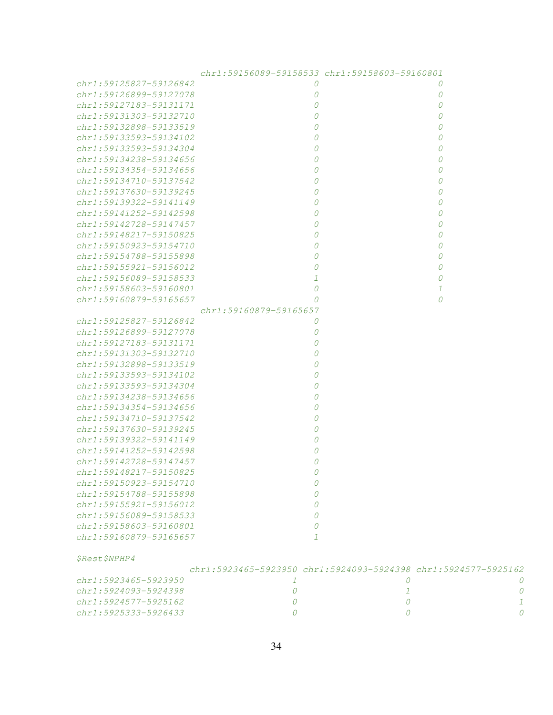|                             | chr1:59156089-59158533 chr1:59158603-59160801                  |          |   |
|-----------------------------|----------------------------------------------------------------|----------|---|
| chr1:59125827-59126842      | 0                                                              | 0        |   |
| chr1:59126899-59127078      | 0                                                              | 0        |   |
| chr1:59127183-59131171      | 0                                                              | 0        |   |
| $chr1: 59131303 - 59132710$ | 0                                                              | 0        |   |
| chr1:59132898-59133519      | 0                                                              | 0        |   |
| chr1:59133593-59134102      | 0                                                              | 0        |   |
| chr1:59133593-59134304      | 0                                                              | 0        |   |
| chr1:59134238-59134656      | 0                                                              | 0        |   |
| $chr1: 59134354 - 59134656$ | 0                                                              | 0        |   |
| $chr1: 59134710 - 59137542$ | 0                                                              | 0        |   |
| $chr1: 59137630 - 59139245$ | 0                                                              | $\Omega$ |   |
| chr1:59139322-59141149      | 0                                                              | $\theta$ |   |
| chr1:59141252-59142598      | 0                                                              | $\theta$ |   |
| chr1:59142728-59147457      | 0                                                              | $\theta$ |   |
| chr1:59148217-59150825      | 0                                                              | $\theta$ |   |
| chr1:59150923-59154710      | 0                                                              | $\theta$ |   |
| chr1:59154788-59155898      | 0                                                              | $\theta$ |   |
| chr1:59155921-59156012      | 0                                                              | $\theta$ |   |
| chr1:59156089-59158533      | $\mathcal{I}$                                                  | $\theta$ |   |
| chr1:59158603-59160801      | 0                                                              | 1        |   |
| chr1:59160879-59165657      | $\Omega$                                                       | $\Omega$ |   |
|                             | chr1:59160879-59165657                                         |          |   |
| chr1:59125827-59126842      | 0                                                              |          |   |
| chr1:59126899-59127078      | 0                                                              |          |   |
| chr1:59127183-59131171      | 0                                                              |          |   |
| chr1:59131303-59132710      | $\Omega$                                                       |          |   |
| chr1:59132898-59133519      | $\Omega$                                                       |          |   |
| chr1:59133593-59134102      | $\Omega$                                                       |          |   |
| chr1:59133593-59134304      | 0                                                              |          |   |
| chr1:59134238-59134656      | 0                                                              |          |   |
| chr1:59134354-59134656      | 0                                                              |          |   |
| $chr1: 59134710 - 59137542$ | 0                                                              |          |   |
| chr1:59137630-59139245      | 0                                                              |          |   |
| chr1:59139322-59141149      | 0                                                              |          |   |
| chr1:59141252-59142598      | $\Omega$                                                       |          |   |
| chr1:59142728-59147457      | 0                                                              |          |   |
| chr1:59148217-59150825      | $\Omega$                                                       |          |   |
| chr1:59150923-59154710      | 0                                                              |          |   |
| chr1:59154788-59155898      | $\Omega$                                                       |          |   |
| chr1:59155921-59156012      | $\Omega$                                                       |          |   |
| $chr1: 59156089 - 59158533$ | $\Omega$                                                       |          |   |
| chr1:59158603-59160801      | $\Omega$                                                       |          |   |
| chr1:59160879-59165657      | $\mathcal{I}$                                                  |          |   |
|                             |                                                                |          |   |
| \$Rest\$NPHP4               |                                                                |          |   |
|                             | chr1:5923465-5923950 chr1:5924093-5924398 chr1:5924577-5925162 |          |   |
| chr1:5923465-5923950        | 1                                                              | 0        |   |
| chr1:5924093-5924398        | 0                                                              | 1        | 0 |
| chr1:5924577-5925162        | 0                                                              | 0        | 1 |
| chr1:5925333-5926433        | 0                                                              | 0        | 0 |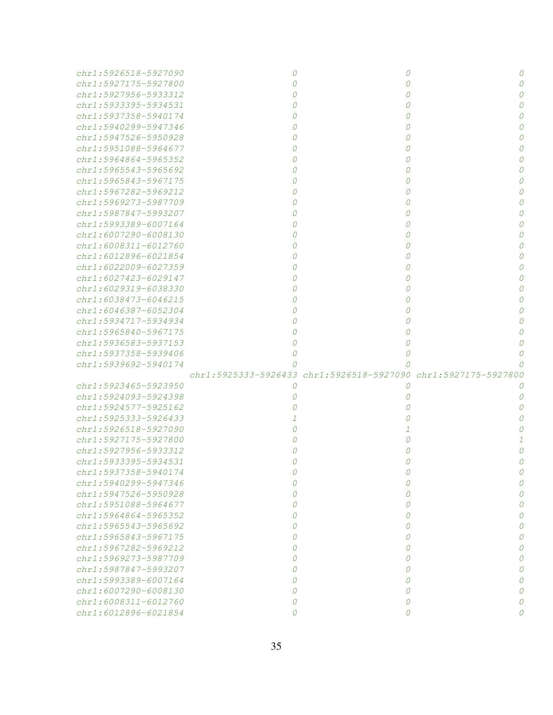| chr1:5926518-5927090      |   |                                                                | 0        |
|---------------------------|---|----------------------------------------------------------------|----------|
| chr1:5927175-5927800      |   | Ω                                                              |          |
| $chr1: 5927956 - 5933312$ |   |                                                                |          |
| chr1:5933395-5934531      |   |                                                                |          |
| $chr1: 5937358 - 5940174$ |   |                                                                |          |
| $chr1: 5940299 - 5947346$ |   |                                                                |          |
| chr1:5947526-5950928      |   |                                                                |          |
| chr1:5951088-5964677      |   |                                                                |          |
| chr1:5964864-5965352      |   |                                                                |          |
| $chr1: 5965543 - 5965692$ |   |                                                                |          |
| chr1:5965843-5967175      |   |                                                                |          |
|                           |   |                                                                |          |
| chr1:5967282-5969212      |   |                                                                |          |
| chr1:5969273-5987709      |   |                                                                |          |
| chr1:5987847-5993207      |   |                                                                |          |
| chr1:5993389-6007164      |   |                                                                |          |
| chr1:6007290-6008130      |   |                                                                |          |
| $chr1:6008311 - 6012760$  |   |                                                                |          |
| chr1:6012896-6021854      |   |                                                                |          |
| chr1:6022009-6027359      |   |                                                                |          |
| chr1:6027423-6029147      |   |                                                                |          |
| chr1:6029319-6038330      |   |                                                                |          |
| chr1:6038473-6046215      |   |                                                                |          |
| chr1:6046387-6052304      |   |                                                                |          |
| chr1:5934717-5934934      |   |                                                                |          |
| chr1:5965840-5967175      |   |                                                                |          |
| chr1:5936583-5937153      |   |                                                                |          |
| chr1:5937358-5939406      |   | 0                                                              |          |
| chr1:5939692-5940174      |   | Ω                                                              |          |
|                           |   | chr1:5925333-5926433 chr1:5926518-5927090 chr1:5927175-5927800 |          |
| chr1:5923465-5923950      | 0 | O                                                              |          |
| chr1:5924093-5924398      |   |                                                                |          |
| chr1:5924577-5925162      |   |                                                                |          |
| chr1:5925333-5926433      |   |                                                                |          |
| chr1:5926518-5927090      |   |                                                                |          |
| chr1:5927175-5927800      |   |                                                                |          |
|                           |   |                                                                |          |
| chr1:5927956-5933312      |   |                                                                |          |
| chr1:5933395-5934531      |   |                                                                |          |
| chr1:5937358-5940174      |   |                                                                |          |
| chr1:5940299-5947346      | 0 | 0                                                              |          |
| chr1:5947526-5950928      | 0 | 0                                                              | 0        |
| chr1:5951088-5964677      | 0 | 0                                                              | 0        |
| chr1:5964864-5965352      | 0 | 0                                                              | 0        |
| chr1:5965543-5965692      | 0 | 0                                                              | 0        |
| chr1:5965843-5967175      | 0 | 0                                                              | 0        |
| chr1:5967282-5969212      | 0 | 0                                                              | 0        |
| chr1:5969273-5987709      | 0 | 0                                                              | 0        |
| chr1:5987847-5993207      | 0 | 0                                                              | 0        |
| chr1:5993389-6007164      | 0 | 0                                                              | 0        |
| chr1:6007290-6008130      | 0 | 0                                                              | $\Omega$ |
| chr1:6008311-6012760      | 0 | 0                                                              |          |
| chr1:6012896-6021854      | 0 | 0                                                              | 0        |
|                           |   |                                                                |          |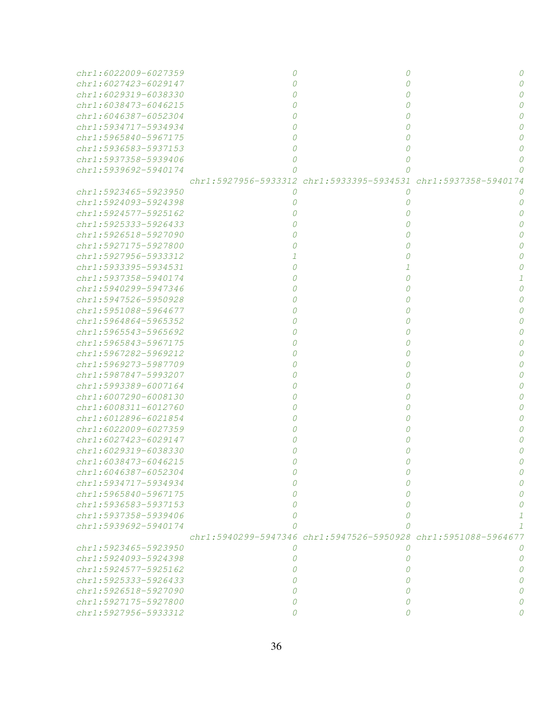| chr1:6022009-6027359        |          |                                                                |  |
|-----------------------------|----------|----------------------------------------------------------------|--|
| chr1:6027423-6029147        |          |                                                                |  |
| $chr1: 6029319 - 6038330$   |          |                                                                |  |
| chr1:6038473-6046215        |          |                                                                |  |
| chr1:6046387-6052304        |          |                                                                |  |
| chr1:5934717-5934934        |          |                                                                |  |
| chr1:5965840-5967175        |          |                                                                |  |
| chr1:5936583-5937153        |          |                                                                |  |
| chr1:5937358-5939406        |          |                                                                |  |
| $chr1: 5939692 - 5940174$   |          |                                                                |  |
|                             |          | chr1:5927956-5933312 chr1:5933395-5934531 chr1:5937358-5940174 |  |
| $chr1: 592.3465 - 592.3950$ | 0        | 0                                                              |  |
| chr1:5924093-5924398        |          | 0                                                              |  |
| chr1:5924577-5925162        |          | 0                                                              |  |
| chr1:5925333-5926433        |          |                                                                |  |
| chr1:5926518-5927090        |          |                                                                |  |
| chr1:5927175-5927800        |          |                                                                |  |
| $chr1: 5927956 - 5933312$   |          |                                                                |  |
| chr1:5933395-5934531        |          |                                                                |  |
| $chr1: 5937358 - 5940174$   |          | 0                                                              |  |
| chr1:5940299-5947346        |          | Ω                                                              |  |
| chr1:5947526-5950928        |          |                                                                |  |
| chr1:5951088-5964677        |          |                                                                |  |
| chr1:5964864-5965352        |          |                                                                |  |
| chr1:5965543-5965692        |          |                                                                |  |
|                             |          |                                                                |  |
| chr1:5965843-5967175        |          |                                                                |  |
| chr1:5967282-5969212        |          |                                                                |  |
| chr1:5969273-5987709        |          |                                                                |  |
| chr1:5987847-5993207        |          |                                                                |  |
| chr1:5993389-6007164        |          |                                                                |  |
| chr1:6007290-6008130        |          |                                                                |  |
| chr1:6008311-6012760        |          |                                                                |  |
| chr1:6012896-6021854        |          |                                                                |  |
| chr1:6022009-6027359        |          |                                                                |  |
| $chr1: 6027423 - 6029147$   |          |                                                                |  |
| chr1:6029319-6038330        |          |                                                                |  |
| chr1:6038473-6046215        |          | 0                                                              |  |
| chr1:6046387-6052304        |          |                                                                |  |
| chr1:5934717-5934934        |          |                                                                |  |
| chr1:5965840-5967175        |          |                                                                |  |
| chr1:5936583-5937153        |          |                                                                |  |
| chr1:5937358-5939406        |          |                                                                |  |
| chr1:5939692-5940174        |          |                                                                |  |
|                             |          | chr1:5940299-5947346 chr1:5947526-5950928 chr1:5951088-5964677 |  |
| chr1:5923465-5923950        | 0        | 0                                                              |  |
| $chr1: 5924093 - 5924398$   | 0        | 0                                                              |  |
| chr1:5924577-5925162        | $\Omega$ | Ω                                                              |  |
| chr1:5925333-5926433        | Ω        | O                                                              |  |
| chr1:5926518-5927090        | 0        | 0                                                              |  |
| chr1:5927175-5927800        | 0        | 0                                                              |  |
| chr1:5927956-5933312        | 0        | 0                                                              |  |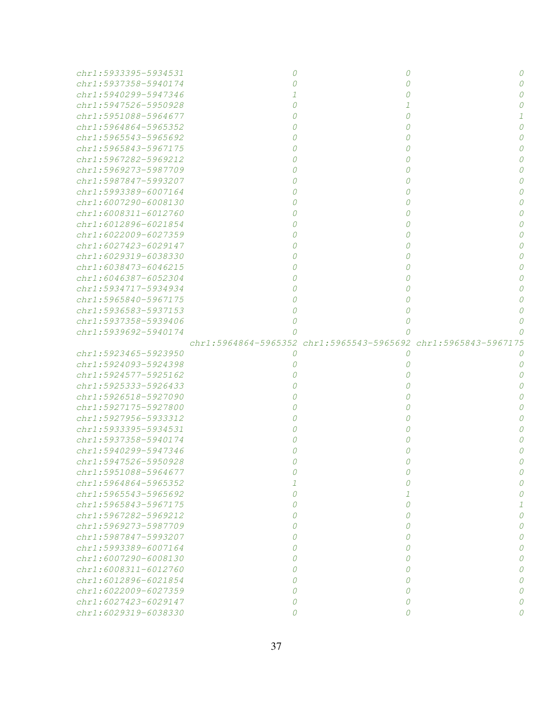| chr1:5933395-5934531      |          |                                                                | O        |
|---------------------------|----------|----------------------------------------------------------------|----------|
| chr1:5937358-5940174      |          | 0                                                              |          |
| chr1:5940299-5947346      |          | 0                                                              |          |
| chr1:5947526-5950928      |          |                                                                |          |
| chr1:5951088-5964677      |          | 0                                                              |          |
| chr1:5964864-5965352      |          | 0                                                              |          |
| chr1:5965543-5965692      |          | 0                                                              |          |
| chr1:5965843-5967175      |          | 0                                                              |          |
| chr1:5967282-5969212      |          | 0                                                              |          |
| chr1:5969273-5987709      |          | 0                                                              |          |
| $chr1: 5987847 - 5993207$ |          | 0                                                              |          |
| chr1:5993389-6007164      |          | 0                                                              |          |
| chr1:6007290-6008130      |          |                                                                |          |
| chr1:6008311-6012760      |          |                                                                |          |
| chr1:6012896-6021854      |          |                                                                |          |
| chr1:6022009-6027359      |          |                                                                |          |
| chr1:6027423-6029147      |          |                                                                |          |
| chr1:6029319-6038330      |          |                                                                |          |
|                           |          |                                                                |          |
| chr1:6038473-6046215      |          |                                                                |          |
| chr1:6046387-6052304      |          |                                                                |          |
| chr1:5934717-5934934      |          |                                                                |          |
| chr1:5965840-5967175      |          |                                                                |          |
| $chr1: 5936583 - 5937153$ |          |                                                                |          |
| chr1:5937358-5939406      |          |                                                                |          |
| chr1:5939692-5940174      |          |                                                                |          |
|                           |          | chr1:5964864-5965352 chr1:5965543-5965692 chr1:5965843-5967175 |          |
| chr1:5923465-5923950      | 0        | 0                                                              |          |
| chr1:5924093-5924398      |          | 0                                                              |          |
| chr1:5924577-5925162      |          |                                                                |          |
| chr1:5925333-5926433      |          |                                                                |          |
| chr1:5926518-5927090      |          |                                                                |          |
| chr1:5927175-5927800      |          |                                                                |          |
| chr1:5927956-5933312      |          |                                                                |          |
| chr1:5933395-5934531      |          |                                                                |          |
| $chr1: 5937358 - 5940174$ |          |                                                                |          |
| $chr1: 5940299 - 5947346$ |          |                                                                |          |
| $chr1: 5947526 - 5950928$ |          |                                                                |          |
| chr1:5951088-5964677      |          |                                                                |          |
| chr1:5964864-5965352      |          | 0                                                              |          |
| chr1:5965543-5965692      | Ω        | 1                                                              |          |
| $chr1: 5965843 - 5967175$ | O        | 0                                                              |          |
| chr1:5967282-5969212      | $\Omega$ | 0                                                              | $\Omega$ |
| $chr1: 5969273 - 5987709$ | $\Omega$ | 0                                                              |          |
| chr1:5987847-5993207      | $\Omega$ | 0                                                              |          |
| chr1:5993389-6007164      | $\Omega$ | 0                                                              |          |
| chr1:6007290-6008130      | $\Omega$ | 0                                                              |          |
| chr1:6008311-6012760      | 0        | 0                                                              |          |
| chr1:6012896-6021854      | 0        | 0                                                              |          |
| chr1:6022009-6027359      | Ω        | 0                                                              |          |
| chr1:6027423-6029147      |          | 0                                                              |          |
|                           | 0        |                                                                |          |
| chr1:6029319-6038330      | 0        | 0                                                              | Ω        |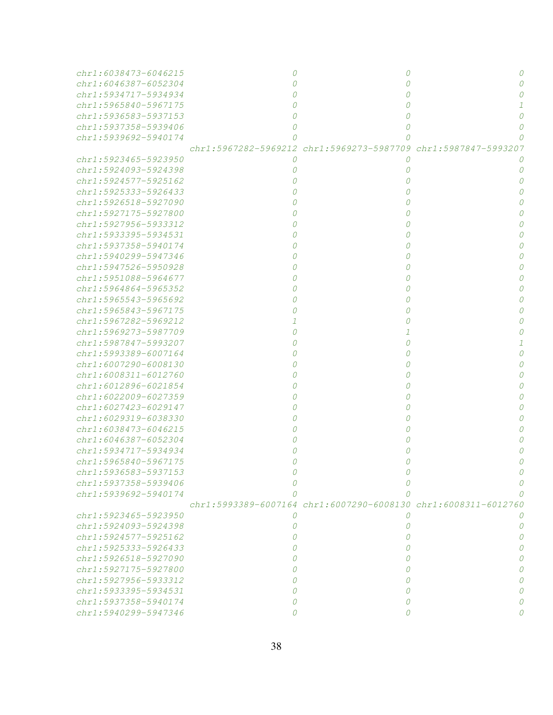| chr1:6038473-6046215      |   | O                                                              |  |
|---------------------------|---|----------------------------------------------------------------|--|
| chr1:6046387-6052304      |   | Ω                                                              |  |
| chr1:5934717-5934934      |   | 0                                                              |  |
| chr1:5965840-5967175      |   | 0                                                              |  |
| chr1:5936583-5937153      |   |                                                                |  |
| $chr1: 5937358 - 5939406$ |   | O                                                              |  |
| chr1:5939692-5940174      |   | Ω                                                              |  |
|                           |   | chr1:5967282-5969212 chr1:5969273-5987709 chr1:5987847-5993207 |  |
| chr1:5923465-5923950      | 0 | 0                                                              |  |
| chr1:5924093-5924398      |   | 0                                                              |  |
| $chr1: 5924577 - 5925162$ |   | Ω                                                              |  |
| chr1:5925333-5926433      |   |                                                                |  |
| chr1:5926518-5927090      |   |                                                                |  |
| chr1:5927175-5927800      |   |                                                                |  |
| chr1:5927956-5933312      |   |                                                                |  |
| chr1:5933395-5934531      |   |                                                                |  |
| $chr1: 5937358 - 5940174$ |   |                                                                |  |
| chr1:5940299-5947346      |   |                                                                |  |
| chr1:5947526-5950928      |   |                                                                |  |
| chr1:5951088-5964677      |   |                                                                |  |
| $chr1: 5964864 - 5965352$ |   |                                                                |  |
| chr1:5965543-5965692      |   |                                                                |  |
| chr1:5965843-5967175      |   |                                                                |  |
| chr1:5967282-5969212      |   |                                                                |  |
| chr1:5969273-5987709      |   |                                                                |  |
| chr1:5987847-5993207      |   |                                                                |  |
| chr1:5993389-6007164      |   |                                                                |  |
| chr1:6007290-6008130      |   |                                                                |  |
| chr1:6008311-6012760      |   |                                                                |  |
| chr1:6012896-6021854      |   |                                                                |  |
| chr1:6022009-6027359      |   |                                                                |  |
| chr1:6027423-6029147      |   |                                                                |  |
| $chr1: 6029319 - 6038330$ |   |                                                                |  |
| chr1:6038473-6046215      |   |                                                                |  |
| $chr1: 6046387 - 6052304$ |   |                                                                |  |
| chr1:5934717-5934934      |   |                                                                |  |
| chr1:5965840-5967175      |   |                                                                |  |
| chr1:5936583-5937153      |   |                                                                |  |
| chr1:5937358-5939406      |   |                                                                |  |
| chr1:5939692-5940174      |   |                                                                |  |
|                           |   | chr1:5993389-6007164 chr1:6007290-6008130 chr1:6008311-6012760 |  |
| chr1:5923465-5923950      | 0 | $\theta$                                                       |  |
| chr1:5924093-5924398      | 0 | O                                                              |  |
| chr1:5924577-5925162      | Ω | O                                                              |  |
| chr1:5925333-5926433      |   | ( )                                                            |  |
| chr1:5926518-5927090      |   | O                                                              |  |
| chr1:5927175-5927800      |   | O                                                              |  |
| chr1:5927956-5933312      |   | O                                                              |  |
| chr1:5933395-5934531      |   | O                                                              |  |
| chr1:5937358-5940174      | 0 | O                                                              |  |
| chr1:5940299-5947346      | Ω | 0                                                              |  |
|                           |   |                                                                |  |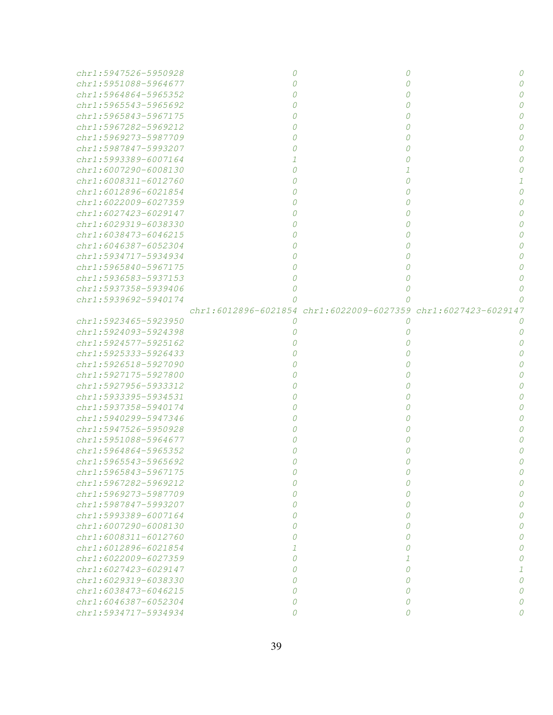| chr1:5947526-5950928                         |          | 0                                                              |   |
|----------------------------------------------|----------|----------------------------------------------------------------|---|
| chr1:5951088-5964677                         |          | 0                                                              |   |
| $chr1: 5964864 - 5965352$                    |          | 0                                                              |   |
| chr1:5965543-5965692                         |          | 0                                                              |   |
| chr1:5965843-5967175                         |          | 0                                                              |   |
| chr1:5967282-5969212                         |          | 0                                                              |   |
| chr1:5969273-5987709                         |          | 0                                                              |   |
| chr1:5987847-5993207                         |          | 0                                                              |   |
| $chr1: 5993389 - 6007164$                    |          | 0                                                              |   |
| chr1:6007290-6008130                         |          | 1                                                              |   |
| chr1:6008311-6012760                         |          | 0                                                              |   |
| $chr1: 6012896 - 6021854$                    |          | 0                                                              |   |
| chr1:6022009-6027359                         |          | 0                                                              |   |
| chr1:6027423-6029147                         |          | 0                                                              |   |
| chr1:6029319-6038330                         |          | 0                                                              |   |
| chr1:6038473-6046215                         |          | 0                                                              |   |
| $chr1: 6046387 - 6052304$                    |          | 0                                                              |   |
| chr1:5934717-5934934                         |          | 0                                                              |   |
| chr1:5965840-5967175                         |          | 0                                                              |   |
| chr1:5936583-5937153                         |          | 0                                                              |   |
| chr1:5937358-5939406                         | Ω        | 0                                                              |   |
| chr1:5939692-5940174                         | Ω        | n                                                              |   |
|                                              |          | chr1:6012896-6021854 chr1:6022009-6027359 chr1:6027423-6029147 |   |
| chr1:5923465-5923950                         | 0        | 0                                                              |   |
| chr1:5924093-5924398                         | $\theta$ | 0                                                              |   |
| chr1:5924577-5925162                         |          | 0                                                              |   |
|                                              |          | 0                                                              |   |
| chr1:5925333-5926433                         |          | 0                                                              |   |
| chr1:5926518-5927090<br>chr1:5927175-5927800 |          | 0                                                              |   |
| chr1:5927956-5933312                         |          | 0                                                              |   |
| chr1:5933395-5934531                         |          | 0                                                              |   |
|                                              |          |                                                                |   |
| chr1:5937358-5940174                         |          | 0                                                              |   |
| chr1:5940299-5947346                         |          | 0                                                              |   |
| chr1:5947526-5950928                         |          | 0                                                              |   |
| $chr1: 5951088 - 5964677$                    |          | 0                                                              |   |
| chr1:5964864-5965352                         |          | 0                                                              |   |
| chr1:5965543-5965692<br>chr1:5965843-5967175 | 0        | 0                                                              |   |
|                                              | 0        | 0                                                              | O |
| chr1:5967282-5969212                         | $\Omega$ | 0                                                              |   |
| chr1:5969273-5987709                         | Ω        | 0                                                              |   |
| chr1:5987847-5993207                         | Ω        | 0                                                              |   |
| chr1:5993389-6007164                         | Ω        | 0                                                              |   |
| chr1:6007290-6008130                         | Ω        | 0                                                              |   |
| chr1:6008311-6012760                         | Ω        | 0                                                              |   |
| $chr1: 6012896 - 6021854$                    |          | 0                                                              |   |
| chr1:6022009-6027359                         | $\Omega$ | 1                                                              | 0 |
| $chr1: 6027423 - 6029147$                    | Ω        | 0                                                              |   |
| $chr1: 6029319 - 6038330$                    | Ω        | 0                                                              | 0 |
| chr1:6038473-6046215                         | Ω        | 0                                                              | Ω |
| chr1:6046387-6052304                         | 0        | 0                                                              |   |
| chr1:5934717-5934934                         | $\theta$ | 0                                                              | 0 |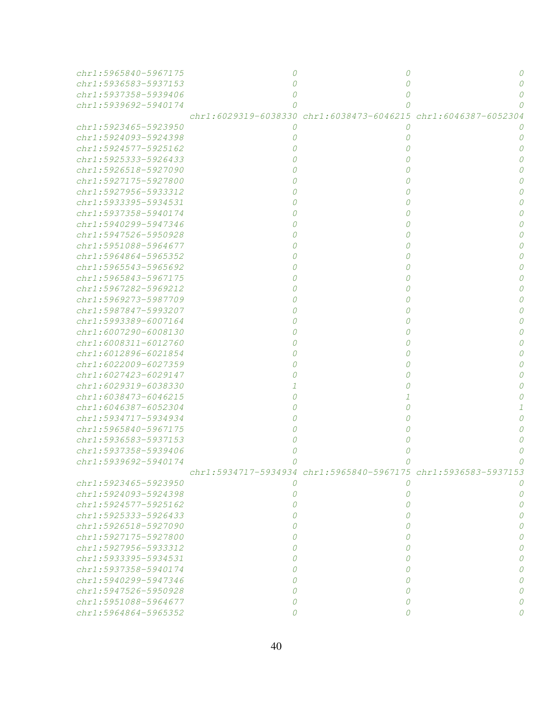| chr1:5965840-5967175      |   |                                                                |  |
|---------------------------|---|----------------------------------------------------------------|--|
| chr1:5936583-5937153      |   |                                                                |  |
| chr1:5937358-5939406      |   |                                                                |  |
| chr1:5939692-5940174      |   |                                                                |  |
|                           |   | chr1:6029319-6038330 chr1:6038473-6046215 chr1:6046387-6052304 |  |
| chr1:5923465-5923950      | 0 | O                                                              |  |
| chr1:5924093-5924398      |   | 0                                                              |  |
| chr1:5924577-5925162      |   | 0                                                              |  |
| chr1:5925333-5926433      |   | 0                                                              |  |
| chr1:5926518-5927090      |   | 0                                                              |  |
| chr1:5927175-5927800      |   | 0                                                              |  |
| chr1:5927956-5933312      |   | 0                                                              |  |
| chr1:5933395-5934531      |   | 0                                                              |  |
| chr1:5937358-5940174      |   | 0                                                              |  |
| chr1:5940299-5947346      |   | 0                                                              |  |
| chr1:5947526-5950928      |   | 0                                                              |  |
| chr1:5951088-5964677      |   | 0                                                              |  |
| $chr1: 5964864 - 5965352$ |   | 0                                                              |  |
| $chr1: 5965543 - 5965692$ |   | 0                                                              |  |
| chr1:5965843-5967175      |   | 0                                                              |  |
| chr1:5967282-5969212      |   | 0                                                              |  |
| chr1:5969273-5987709      |   | 0                                                              |  |
| chr1:5987847-5993207      |   | 0                                                              |  |
| $chr1: 5993389 - 6007164$ |   | 0                                                              |  |
| chr1:6007290-6008130      |   | 0                                                              |  |
| chr1:6008311-6012760      |   | 0                                                              |  |
| chr1:6012896-6021854      |   | 0                                                              |  |
| chr1:6022009-6027359      |   | 0                                                              |  |
| chr1:6027423-6029147      |   | 0                                                              |  |
| chr1:6029319-6038330      |   |                                                                |  |
| chr1:6038473-6046215      |   |                                                                |  |
| chr1:6046387-6052304      |   |                                                                |  |
| chr1:5934717-5934934      |   |                                                                |  |
| chr1:5965840-5967175      |   |                                                                |  |
| chr1:5936583-5937153      |   |                                                                |  |
| chr1:5937358-5939406      |   |                                                                |  |
| chr1:5939692-5940174      |   |                                                                |  |
|                           |   | chr1:5934717-5934934 chr1:5965840-5967175 chr1:5936583-5937153 |  |
| chr1:5923465-5923950      | 0 | 0                                                              |  |
| chr1:5924093-5924398      | 0 | 0                                                              |  |
| chr1:5924577-5925162      | Ω | 0                                                              |  |
| chr1:5925333-5926433      | Ω | 0                                                              |  |
| $chr1: 5926518 - 5927090$ | Ω | 0                                                              |  |
| chr1:5927175-5927800      | Ω | 0                                                              |  |
| chr1:5927956-5933312      | Ω | 0                                                              |  |
| chr1:5933395-5934531      |   | 0                                                              |  |
| chr1:5937358-5940174      |   | Ω                                                              |  |
| chr1:5940299-5947346      |   | Ω                                                              |  |
| chr1:5947526-5950928      | Ω | 0                                                              |  |
| chr1:5951088-5964677      | 0 | 0                                                              |  |
| chr1:5964864-5965352      | Ω |                                                                |  |
|                           |   |                                                                |  |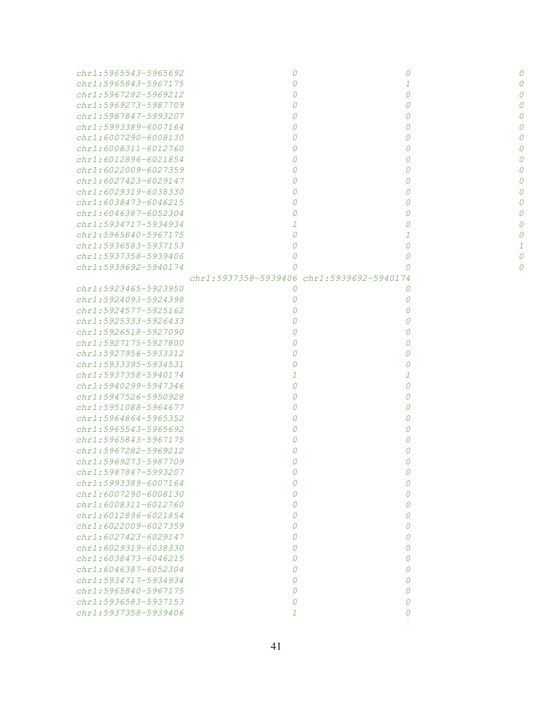| chr1:5965543-5965692      |                                           | 0 |  |
|---------------------------|-------------------------------------------|---|--|
| $chr1: 5965843 - 5967175$ |                                           | 1 |  |
| chr1:5967282-5969212      |                                           | 0 |  |
| chr1:5969273-5987709      |                                           | 0 |  |
| chr1:5987847-5993207      |                                           | 0 |  |
| chr1:5993389-6007164      |                                           | 0 |  |
| chr1:6007290-6008130      |                                           | 0 |  |
| chr1:6008311-6012760      |                                           | 0 |  |
| chr1:6012896-6021854      |                                           | 0 |  |
| chr1:6022009-6027359      |                                           | 0 |  |
| $chr1: 6027423 - 6029147$ |                                           | 0 |  |
| chr1:6029319-6038330      |                                           | 0 |  |
| chr1:6038473-6046215      |                                           | 0 |  |
| chr1:6046387-6052304      |                                           | 0 |  |
| chr1:5934717-5934934      |                                           | 0 |  |
| chr1:5965840-5967175      |                                           |   |  |
| chr1:5936583-5937153      |                                           | 0 |  |
| chr1:5937358-5939406      |                                           | 0 |  |
| chr1:5939692-5940174      |                                           | 0 |  |
|                           | chr1:5937358-5939406 chr1:5939692-5940174 |   |  |
| chr1:5923465-5923950      | 0                                         | 0 |  |
| chr1:5924093-5924398      |                                           | 0 |  |
| chr1:5924577-5925162      |                                           | 0 |  |
| chr1:5925333-5926433      |                                           | 0 |  |
| chr1:5926518-5927090      |                                           | 0 |  |
| chr1:5927175-5927800      |                                           | 0 |  |
| chr1:5927956-5933312      |                                           | 0 |  |
| chr1:5933395-5934531      |                                           | 0 |  |
| chr1:5937358-5940174      |                                           |   |  |
| chr1:5940299-5947346      |                                           | 0 |  |
| chr1:5947526-5950928      |                                           | 0 |  |
| chr1:5951088-5964677      |                                           | 0 |  |
| chr1:5964864-5965352      |                                           | 0 |  |
| chr1:5965543-5965692      |                                           | 0 |  |
| chr1:5965843-5967175      |                                           |   |  |
| chr1:5967282-5969212      |                                           |   |  |
| chr1:5969273-5987709      |                                           |   |  |
| chr1:5987847-5993207      |                                           |   |  |
| chr1:5993389-6007164      |                                           | 0 |  |
| chr1:6007290-6008130      |                                           | 0 |  |
| chr1:6008311-6012760      |                                           | 0 |  |
| chr1:6012896-6021854      |                                           | 0 |  |
| chr1:6022009-6027359      |                                           | 0 |  |
| chr1:6027423-6029147      |                                           | 0 |  |
| chr1:6029319-6038330      |                                           | 0 |  |
| chr1:6038473-6046215      |                                           | 0 |  |
| chr1:6046387-6052304      |                                           | 0 |  |
| chr1:5934717-5934934      |                                           | 0 |  |
| chr1:5965840-5967175      |                                           | 0 |  |
| chr1:5936583-5937153      |                                           | 0 |  |
| chr1:5937358-5939406      |                                           |   |  |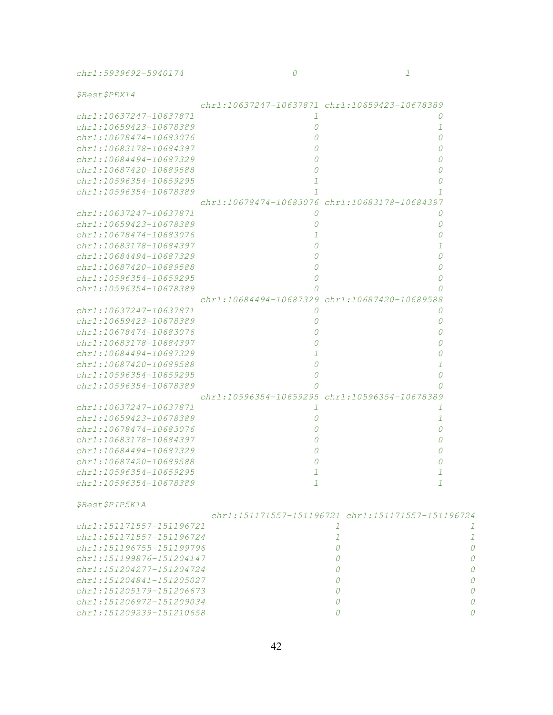chr1:5939692-5940174 0 0 1

\$Rest\$PEX14

| $\gamma$ and $\omega$ or $\gamma$ as a masses as |               |                                                   |   |
|--------------------------------------------------|---------------|---------------------------------------------------|---|
|                                                  |               | chr1:10637247-10637871 chr1:10659423-10678389     |   |
| chr1:10637247-10637871                           | 1             | 0                                                 |   |
| chr1:10659423-10678389                           | 0             | 1                                                 |   |
| chr1:10678474-10683076                           | 0             | n                                                 |   |
| chr1:10683178-10684397                           | 0             |                                                   |   |
| $chr1:10684494 - 10687329$                       | 0             |                                                   |   |
| chr1:10687420-10689588                           | 0             |                                                   |   |
| chr1:10596354-10659295                           | 1             |                                                   |   |
| $chr1:10596354-10678389$                         | 7             |                                                   |   |
|                                                  |               | chr1:10678474-10683076 chr1:10683178-10684397     |   |
| chr1:10637247-10637871                           | 0             | 0                                                 |   |
| $chr1:10659423 - 10678389$                       | 0             | Ω                                                 |   |
| chr1:10678474-10683076                           | 1             |                                                   |   |
| chr1:10683178-10684397                           | 0             |                                                   |   |
| chr1:10684494-10687329                           | 0             |                                                   |   |
| chr1:10687420-10689588                           | 0             |                                                   |   |
| chr1:10596354-10659295                           |               |                                                   |   |
|                                                  | 0<br>Ω        |                                                   |   |
| chr1:10596354-10678389                           |               | chr1:10684494-10687329 chr1:10687420-10689588     |   |
|                                                  |               |                                                   |   |
| chr1:10637247-10637871                           | 0             | $\theta$                                          |   |
| chr1:10659423-10678389                           |               | O                                                 |   |
| chr1:10678474-10683076                           |               |                                                   |   |
| chr1:10683178-10684397                           |               |                                                   |   |
| chr1:10684494-10687329                           | 1             |                                                   |   |
| chr1:10687420-10689588                           | 0             |                                                   |   |
| chr1:10596354-10659295                           | 0             |                                                   |   |
| chr1:10596354-10678389                           | Ω             |                                                   |   |
|                                                  |               | chr1:10596354-10659295 chr1:10596354-10678389     |   |
| chr1:10637247-10637871                           | 1             | 7                                                 |   |
| chr1:10659423-10678389                           | 0             | 1                                                 |   |
| chr1:10678474-10683076                           | 0             | Ω                                                 |   |
| chr1:10683178-10684397                           | 0             |                                                   |   |
| chr1:10684494-10687329                           | 0             |                                                   |   |
| $chr1:10687420 - 10689588$                       | 0             |                                                   |   |
| chr1:10596354-10659295                           | 1             |                                                   |   |
| chr1:10596354-10678389                           | $\mathcal{I}$ | 1                                                 |   |
|                                                  |               |                                                   |   |
| <i>ŞRestŞPIP5K1A</i>                             |               |                                                   |   |
|                                                  |               | chr1:151171557-151196721 chr1:151171557-151196724 |   |
| chr1:151171557-151196721                         |               | 1                                                 | 1 |
| chr1:151171557-151196724                         |               | 1                                                 | 1 |
| $chr1:151196755 - 151199796$                     |               | 0                                                 | 0 |
| chr1:151199876-151204147                         |               | 0                                                 | 0 |
| chr1:151204277-151204724                         |               | 0                                                 | 0 |
| chr1:151204841-151205027                         |               | 0                                                 | 0 |
| chr1:151205179-151206673                         |               | 0                                                 | 0 |
| chr1:151206972-151209034                         |               | 0                                                 | 0 |
| chr1:151209239-151210658                         |               | 0                                                 | 0 |
|                                                  |               |                                                   |   |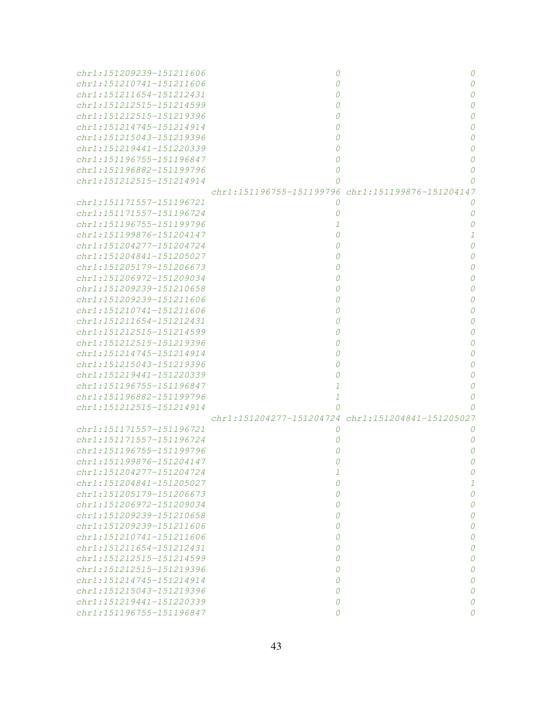| chr1:151209239-151211606 | 0                                                 | 0        |
|--------------------------|---------------------------------------------------|----------|
| chr1:151210741-151211606 | Ω                                                 | $\Omega$ |
| chr1:151211654-151212431 |                                                   | $\Omega$ |
| chr1:151212515-151214599 |                                                   | $\Omega$ |
| chr1:151212515-151219396 |                                                   | $\Omega$ |
| chr1:151214745-151214914 |                                                   | $\Omega$ |
| chr1:151215043-151219396 |                                                   | $\Omega$ |
| chr1:151219441-151220339 |                                                   | $\Omega$ |
| chr1:151196755-151196847 |                                                   | $\Omega$ |
| chr1:151196882-151199796 |                                                   | $\Omega$ |
| chr1:151212515-151214914 |                                                   |          |
|                          | chr1:151196755-151199796 chr1:151199876-151204147 |          |
| chr1:151171557-151196721 | 0                                                 |          |
| chr1:151171557-151196724 |                                                   | 0        |
| chr1:151196755-151199796 |                                                   | 0        |
| chr1:151199876-151204147 |                                                   |          |
| chr1:151204277-151204724 |                                                   | $\Omega$ |
| chr1:151204841-151205027 |                                                   | $\Omega$ |
| chr1:151205179-151206673 |                                                   | $\Omega$ |
| chr1:151206972-151209034 |                                                   | $\Omega$ |
| chr1:151209239-151210658 |                                                   | 0        |
| chr1:151209239-151211606 |                                                   | 0        |
| chr1:151210741-151211606 |                                                   | 0        |
| chr1:151211654-151212431 |                                                   | 0        |
| chr1:151212515-151214599 |                                                   | 0        |
|                          |                                                   |          |
| chr1:151212515-151219396 |                                                   | 0        |
| chr1:151214745-151214914 |                                                   | 0        |
| chr1:151215043-151219396 |                                                   | 0        |
| chr1:151219441-151220339 |                                                   | 0        |
| chr1:151196755-151196847 | 1                                                 | 0        |
| chr1:151196882-151199796 | 1                                                 | 0        |
| chr1:151212515-151214914 | 0                                                 |          |
|                          | chr1:151204277-151204724 chr1:151204841-151205027 |          |
| chr1:151171557-151196721 | 0                                                 |          |
| chr1:151171557-151196724 |                                                   | 0        |
| chr1:151196755-151199796 |                                                   | 0        |
| chr1:151199876-151204147 |                                                   |          |
| chr1:151204277-151204724 | $\perp$                                           |          |
| chr1:151204841-151205027 | 0                                                 | 1        |
| chr1:151205179-151206673 | 0                                                 | 0        |
| chr1:151206972-151209034 | 0                                                 | 0        |
| chr1:151209239-151210658 | 0                                                 | 0        |
| chr1:151209239-151211606 | 0                                                 | 0        |
| chr1:151210741-151211606 | 0                                                 | 0        |
| chr1:151211654-151212431 | 0                                                 | 0        |
| chr1:151212515-151214599 | 0                                                 | 0        |
| chr1:151212515-151219396 | 0                                                 | 0        |
| chr1:151214745-151214914 | 0                                                 | 0        |
| chr1:151215043-151219396 | 0                                                 | 0        |
| chr1:151219441-151220339 | 0                                                 | 0        |
| chr1:151196755-151196847 | 0                                                 | O        |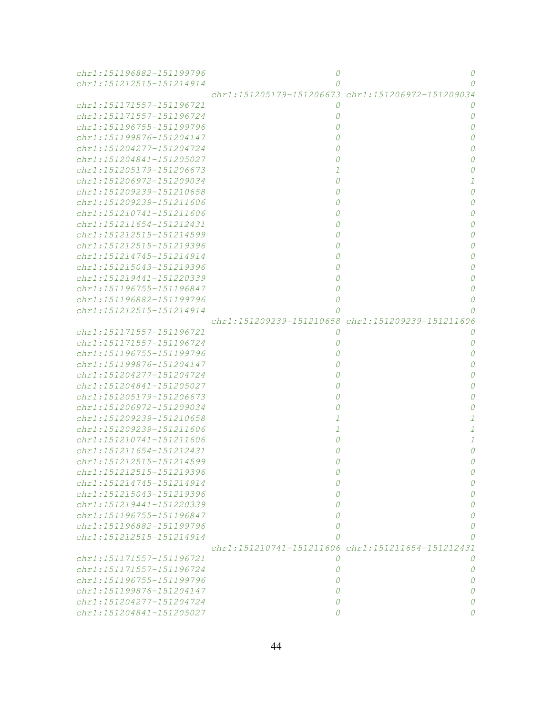| chr1:151196882-151199796     | 0                                                 | 0                                                 |
|------------------------------|---------------------------------------------------|---------------------------------------------------|
| chr1:151212515-151214914     | Ω                                                 | 0                                                 |
|                              |                                                   | chr1:151205179-151206673 chr1:151206972-151209034 |
| chr1:151171557-151196721     | 0                                                 |                                                   |
| chr1:151171557-151196724     | 0                                                 | 0                                                 |
| chr1:151196755-151199796     | 0                                                 | 0                                                 |
| chr1:151199876-151204147     | 0                                                 | 0                                                 |
| chr1:151204277-151204724     | 0                                                 | 0                                                 |
| $chr1:151204841 - 151205027$ | 0                                                 | 0                                                 |
| chr1:151205179-151206673     | 1                                                 | 0                                                 |
| chr1:151206972-151209034     | 0                                                 |                                                   |
| chr1:151209239-151210658     | 0                                                 | 0                                                 |
| chr1:151209239-151211606     | 0                                                 | 0                                                 |
| chr1:151210741-151211606     | 0                                                 |                                                   |
| chr1:151211654-151212431     | 0                                                 | 0                                                 |
| chr1:151212515-151214599     | 0                                                 |                                                   |
| chr1:151212515-151219396     | 0                                                 |                                                   |
| chr1:151214745-151214914     |                                                   |                                                   |
|                              | 0                                                 |                                                   |
| chr1:151215043-151219396     | 0                                                 |                                                   |
| chr1:151219441-151220339     | 0                                                 |                                                   |
| chr1:151196755-151196847     | 0                                                 | 0                                                 |
| chr1:151196882-151199796     | 0                                                 | Ω                                                 |
| chr1:151212515-151214914     | Ω                                                 |                                                   |
|                              | chr1:151209239-151210658 chr1:151209239-151211606 |                                                   |
| chr1:151171557-151196721     | 0                                                 |                                                   |
| chr1:151171557-151196724     | 0                                                 | 0                                                 |
| chr1:151196755-151199796     |                                                   | 0                                                 |
| chr1:151199876-151204147     |                                                   | Ω                                                 |
| chr1:151204277-151204724     | 0                                                 |                                                   |
| chr1:151204841-151205027     | 0                                                 | 0                                                 |
| chr1:151205179-151206673     | 0                                                 | 0                                                 |
| chr1:151206972-151209034     | 0                                                 | 0                                                 |
| chr1:151209239-151210658     | 1                                                 | 1                                                 |
| chr1:151209239-151211606     | $\mathcal{I}$                                     | $\mathcal{I}$                                     |
| chr1:151210741-151211606     | 0                                                 | $\mathcal{I}$                                     |
| chr1:151211654-151212431     | 0                                                 | 0                                                 |
| chr1:151212515-151214599     |                                                   | Ω                                                 |
| chr1:151212515-151219396     |                                                   |                                                   |
| chr1:151214745-151214914     | Ω                                                 |                                                   |
| chr1:151215043-151219396     |                                                   |                                                   |
| chr1:151219441-151220339     |                                                   |                                                   |
| chr1:151196755-151196847     | Ω                                                 |                                                   |
| chr1:151196882-151199796     | Ω                                                 |                                                   |
| chr1:151212515-151214914     |                                                   |                                                   |
|                              |                                                   | chr1:151210741-151211606 chr1:151211654-151212431 |
| chr1:151171557-151196721     | 0                                                 |                                                   |
| chr1:151171557-151196724     | 0                                                 | Ω                                                 |
| chr1:151196755-151199796     | 0                                                 |                                                   |
| chr1:151199876-151204147     | Ω                                                 |                                                   |
| chr1:151204277-151204724     | Ω                                                 |                                                   |
| chr1:151204841-151205027     |                                                   |                                                   |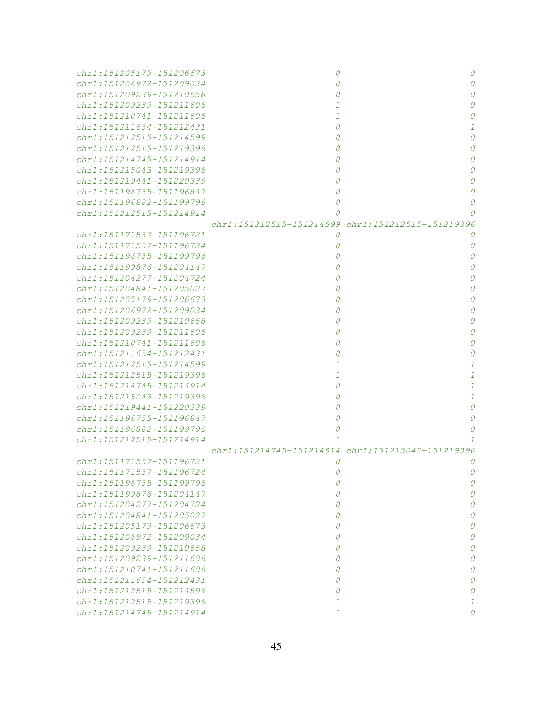| chr1:151205179-151206673                             |                                                   |   |
|------------------------------------------------------|---------------------------------------------------|---|
| chr1:151206972-151209034                             |                                                   |   |
| chr1:151209239-151210658                             |                                                   |   |
| chr1:151209239-151211606                             |                                                   |   |
| chr1:151210741-151211606                             |                                                   |   |
| chr1:151211654-151212431                             |                                                   |   |
| chr1:151212515-151214599                             |                                                   |   |
| chr1:151212515-151219396                             |                                                   |   |
| chr1:151214745-151214914                             |                                                   |   |
| chr1:151215043-151219396                             |                                                   |   |
| chr1:151219441-151220339                             |                                                   |   |
| chr1:151196755-151196847                             |                                                   |   |
| chr1:151196882-151199796                             |                                                   |   |
| chr1:151212515-151214914                             |                                                   |   |
|                                                      | chr1:151212515-151214599 chr1:151212515-151219396 |   |
| chr1:151171557-151196721                             | 0                                                 |   |
| chr1:151171557-151196724                             |                                                   |   |
| chr1:151196755-151199796                             |                                                   |   |
| chr1:151199876-151204147                             |                                                   |   |
| chr1:151204277-151204724                             |                                                   |   |
| chr1:151204841-151205027                             |                                                   |   |
| chr1:151205179-151206673                             |                                                   |   |
| chr1:151206972-151209034                             |                                                   |   |
| chr1:151209239-151210658                             |                                                   |   |
| chr1:151209239-151211606                             |                                                   |   |
| chr1:151210741-151211606                             |                                                   |   |
| chr1:151211654-151212431                             |                                                   |   |
| chr1:151212515-151214599                             |                                                   |   |
| chr1:151212515-151219396                             |                                                   |   |
| chr1:151214745-151214914                             |                                                   |   |
| chr1:151215043-151219396                             |                                                   |   |
| chr1:151219441-151220339                             |                                                   |   |
| chr1:151196755-151196847                             |                                                   |   |
| chr1:151196882-151199796                             |                                                   |   |
| chr1:151212515-151214914                             |                                                   |   |
|                                                      | chr1:151214745-151214914 chr1:151215043-151219396 |   |
| chr1:151171557-151196721                             | 0                                                 |   |
| chr1:151171557-151196724                             | 0                                                 | 0 |
| chr1:151196755-151199796<br>chr1:151199876-151204147 | 0<br>0                                            | 0 |
| chr1:151204277-151204724                             | 0                                                 | 0 |
| chr1:151204841-151205027                             | 0                                                 | 0 |
| chr1:151205179-151206673                             | 0                                                 | 0 |
| chr1:151206972-151209034                             | 0                                                 | 0 |
| chr1:151209239-151210658                             | 0                                                 | 0 |
| chr1:151209239-151211606                             | 0                                                 | 0 |
| chr1:151210741-151211606                             | 0                                                 | 0 |
| chr1:151211654-151212431                             | 0                                                 | 0 |
| chr1:151212515-151214599                             | 0                                                 | 0 |
| chr1:151212515-151219396                             | 1                                                 | 1 |
| chr1:151214745-151214914                             | 1                                                 | 0 |
|                                                      |                                                   |   |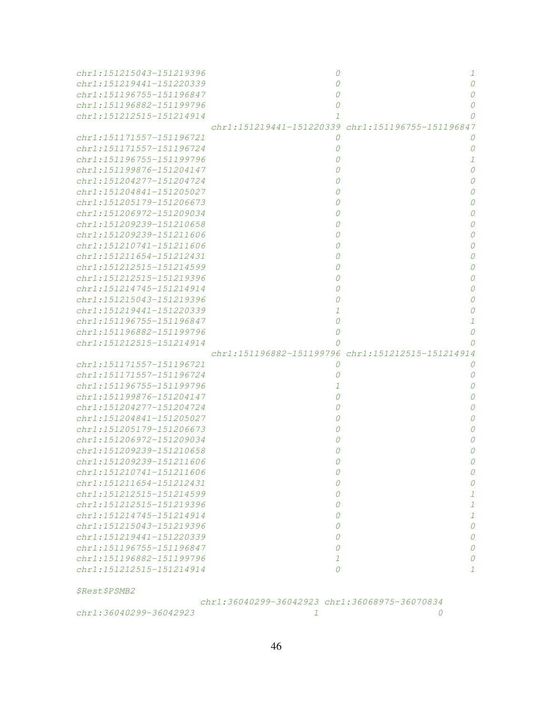| chr1:151215043-151219396           |                                                   | 1             |
|------------------------------------|---------------------------------------------------|---------------|
| chr1:151219441-151220339           | 0                                                 | 0             |
| chr1:151196755-151196847           | 0                                                 |               |
| chr1:151196882-151199796           | 0                                                 |               |
| chr1:151212515-151214914           | 1                                                 | Ω             |
|                                    | chr1:151219441-151220339 chr1:151196755-151196847 |               |
| chr1:151171557-151196721           | 0                                                 |               |
| chr1:151171557-151196724           | 0                                                 | 0             |
| chr1:151196755-151199796           | 0                                                 |               |
| chr1:151199876-151204147           | 0                                                 | 0             |
| chr1:151204277-151204724           | 0                                                 | O             |
| chr1:151204841-151205027           | 0                                                 | 0             |
| chr1:151205179-151206673           | 0                                                 | 0             |
| chr1:151206972-151209034           | 0                                                 | 0             |
| chr1:151209239-151210658           | 0                                                 | 0             |
| chr1:151209239-151211606           |                                                   | 0             |
|                                    | 0                                                 |               |
| chr1:151210741-151211606           | 0                                                 | 0             |
| chr1:151211654-151212431           | 0                                                 | 0             |
| chr1:151212515-151214599           | 0                                                 | 0             |
| chr1:151212515-151219396           | 0                                                 | 0             |
| chr1:151214745-151214914           | 0                                                 |               |
| chr1:151215043-151219396           | 0                                                 |               |
| chr1:151219441-151220339           | 1                                                 |               |
| chr1:151196755-151196847           | 0                                                 |               |
| chr1:151196882-151199796           | 0                                                 | 0             |
| chr1:151212515-151214914           | Ω                                                 |               |
|                                    |                                                   |               |
|                                    | chr1:151196882-151199796 chr1:151212515-151214914 |               |
| chr1:151171557-151196721           | 0                                                 |               |
| chr1:151171557-151196724           | 0                                                 | 0             |
| chr1:151196755-151199796           | 1                                                 | O             |
| chr1:151199876-151204147           |                                                   |               |
| chr1:151204277-151204724           |                                                   |               |
| chr1:151204841-151205027           |                                                   |               |
| chr1:151205179-151206673           |                                                   |               |
| chr1:151206972-151209034           |                                                   |               |
| chr1:151209239-151210658           |                                                   |               |
| chr1:151209239-151211606           |                                                   |               |
| chr1:151210741-151211606           | 0                                                 | U             |
| chr1:151211654-151212431           | 0                                                 | 0             |
| chr1:151212515-151214599           | 0                                                 | 1             |
| chr1:151212515-151219396           | 0                                                 | $\mathcal{I}$ |
| chr1:151214745-151214914           | 0                                                 | $\mathcal{I}$ |
| chr1:151215043-151219396           | 0                                                 | 0             |
| chr1:151219441-151220339           | 0                                                 | 0             |
| chr1:151196755-151196847           | 0                                                 | 0             |
| $chr1:151196882 - 151199796$       | $\mathcal{I}$                                     | 0             |
| chr1:151212515-151214914           | $\Omega$                                          | 1             |
|                                    |                                                   |               |
| <i><i><b>\$Rest\$PSMB2</b></i></i> | chr1:36040299-36042923 chr1:36068975-36070834     |               |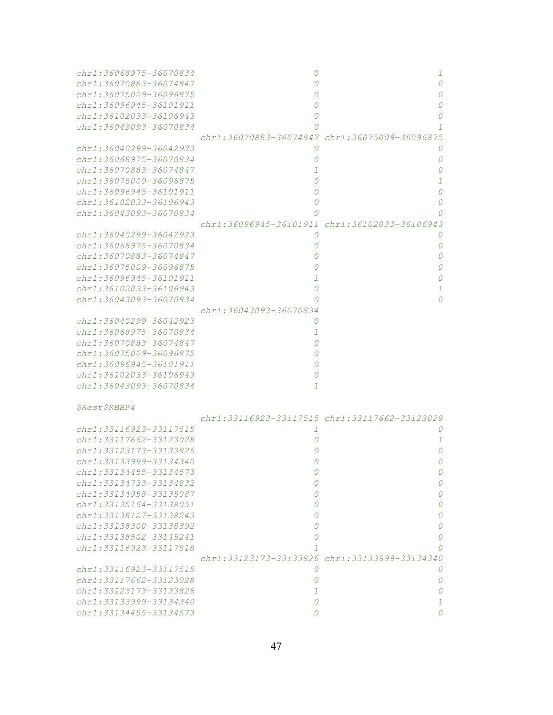| chr1:36068975-36070834      | 0                                             | 1                      |
|-----------------------------|-----------------------------------------------|------------------------|
| chr1:36070883-36074847      |                                               | 0                      |
| chr1:36075009-36096875      |                                               | Ω                      |
| chr1:36096945-36101911      |                                               | Ω                      |
| chr1:36102033-36106943      |                                               | Ω                      |
| $chr1:36043093 - 36070834$  |                                               | 1                      |
|                             | chr1:36070883-36074847 chr1:36075009-36096875 |                        |
|                             |                                               |                        |
| chr1:36040299-36042923      | 0                                             | 0                      |
| chr1:36068975-36070834      |                                               | 0                      |
| chr1:36070883-36074847      |                                               | 0                      |
| $chr1:36075009 - 36096875$  |                                               | 1                      |
| chr1:36096945-36101911      |                                               | 0                      |
| chr1:36102033-36106943      |                                               | 0                      |
| chr1:36043093-36070834      |                                               | Ω                      |
|                             | chr1:36096945-36101911                        | chr1:36102033-36106943 |
| chr1:36040299-36042923      | 0                                             | 0                      |
| chr1:36068975-36070834      | O                                             | 0                      |
|                             |                                               |                        |
| chr1:36070883-36074847      |                                               | 0                      |
| chr1:36075009-36096875      |                                               | Ω                      |
| chr1:36096945-36101911      |                                               | Ω                      |
| chr1:36102033-36106943      |                                               | 1                      |
| chr1:36043093-36070834      |                                               | 0                      |
|                             | chr1:36043093-36070834                        |                        |
| chr1:36040299-36042923      |                                               |                        |
| chr1:36068975-36070834      | 1                                             |                        |
| chr1:36070883-36074847      |                                               |                        |
| chr1:36075009-36096875      |                                               |                        |
| chr1:36096945-36101911      |                                               |                        |
| chr1:36102033-36106943      | O                                             |                        |
| chr1:36043093-36070834      | 1                                             |                        |
|                             |                                               |                        |
|                             |                                               |                        |
| <i><b>\$Rest\$RBBP4</b></i> |                                               |                        |
|                             | chr1:33116923-33117515 chr1:33117662-33123028 |                        |
| chr1:33116923-33117515      | 1                                             | O                      |
| chr1:33117662-33123028      | O                                             | 1                      |
| chr1:33123173-33133826      |                                               | 0                      |
| chr1:33133999-33134340      |                                               | 0                      |
| chr1:33134455-33134573      | U                                             | O                      |
| chr1:33134733-33134832      | 0                                             | 0                      |
| chr1:33134958-33135087      | Ω                                             | 0                      |
| chr1:33135164-33138051      | Ω                                             | 0                      |
| chr1:33138127-33138243      | Ω                                             | 0                      |
| chr1:33138300-33138392      | 0                                             |                        |
|                             |                                               | 0                      |
| $chr1: 33138502 - 33145241$ | Ω                                             | 0                      |
| chr1:33116923-33117518      | 7                                             | 0                      |
|                             | chr1:33123173-33133826 chr1:33133999-33134340 |                        |
| chr1:33116923-33117515      | 0                                             | 0                      |
| $chr1: 33117662 - 33123028$ | 0                                             | 0                      |
| chr1:33123173-33133826      | $\mathcal{I}$                                 | 0                      |
| chr1:33133999-33134340      | 0                                             | 1                      |
| chr1:33134455-33134573      | 0                                             | 0                      |
|                             |                                               |                        |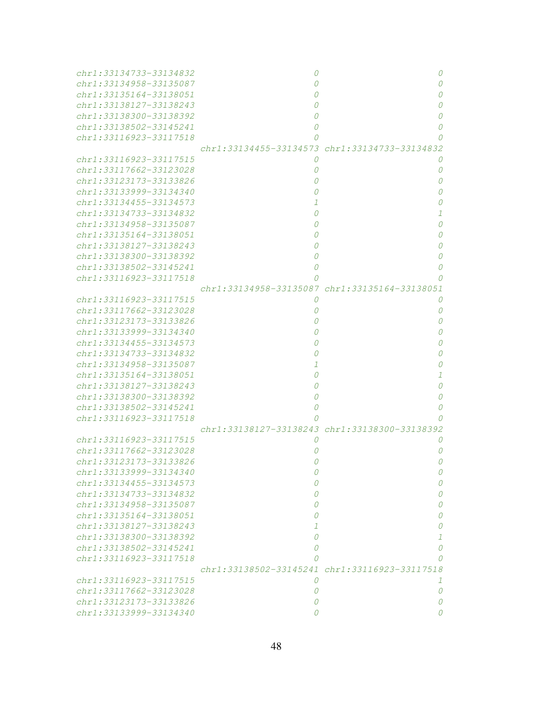| chr1:33134733-33134832      | O                                             | 0                                             |
|-----------------------------|-----------------------------------------------|-----------------------------------------------|
| chr1:33134958-33135087      |                                               | 0                                             |
| chr1:33135164-33138051      |                                               | 0                                             |
| chr1:33138127-33138243      |                                               | 0                                             |
| chr1:33138300-33138392      | 0                                             | 0                                             |
| chr1:33138502-33145241      | 0                                             | 0                                             |
| chr1:33116923-33117518      | 0                                             | 0                                             |
|                             |                                               | chr1:33134455-33134573 chr1:33134733-33134832 |
| chr1:33116923-33117515      | 0                                             | 0                                             |
| chr1:33117662-33123028      | 0                                             | 0                                             |
| chr1:33123173-33133826      | 0                                             | 0                                             |
| chr1:33133999-33134340      |                                               | 0                                             |
| chr1:33134455-33134573      | 1                                             | 0                                             |
| chr1:33134733-33134832      | 0                                             | $\mathcal{I}$                                 |
| chr1:33134958-33135087      | 0                                             | 0                                             |
| chr1:33135164-33138051      | Ω                                             | 0                                             |
| chr1:33138127-33138243      | 0                                             | 0                                             |
| chr1:33138300-33138392      | 0                                             | 0                                             |
| chr1:33138502-33145241      | 0                                             | 0                                             |
| chr1:33116923-33117518      |                                               | 0                                             |
|                             | chr1:33134958-33135087 chr1:33135164-33138051 |                                               |
| chr1:33116923-33117515      | 0                                             | 0                                             |
| chr1:33117662-33123028      | 0                                             | 0                                             |
| chr1:33123173-33133826      |                                               | 0                                             |
| chr1:33133999-33134340      |                                               | 0                                             |
| chr1:33134455-33134573      |                                               | 0                                             |
| chr1:33134733-33134832      | 0                                             | 0                                             |
| chr1:33134958-33135087      | 1                                             | 0                                             |
| chr1:33135164-33138051      | 0                                             | 1                                             |
| chr1:33138127-33138243      | 0                                             | 0                                             |
| chr1:33138300-33138392      | 0                                             | 0                                             |
| chr1:33138502-33145241      | 0                                             | 0                                             |
| chr1:33116923-33117518      | Ω                                             | n                                             |
|                             | chr1:33138127-33138243 chr1:33138300-33138392 |                                               |
| chr1:33116923-33117515      | O                                             | 0                                             |
| chr1:33117662-33123028      |                                               | 0                                             |
| chr1:33123173-33133826      |                                               | 0                                             |
| chr1:33133999-33134340      |                                               |                                               |
| chr1:33134455-33134573      | 0                                             | 0                                             |
| chr1:33134733-33134832      | 0                                             | 0                                             |
| chr1:33134958-33135087      | Ω                                             | 0                                             |
| chr1:33135164-33138051      | ( )                                           | 0                                             |
| chr1:33138127-33138243      | 7                                             | 0                                             |
| $chr1: 33138300 - 33138392$ | 0                                             | 1                                             |
| chr1:33138502-33145241      | Ω                                             | 0                                             |
| chr1:33116923-33117518      | Ω                                             | 0                                             |
|                             | chr1:33138502-33145241 chr1:33116923-33117518 |                                               |
| chr1:33116923-33117515      | 0                                             | 1                                             |
| chr1:33117662-33123028      | 0                                             | 0                                             |
| chr1:33123173-33133826      | Ω                                             | 0                                             |
| chr1:33133999-33134340      |                                               | O                                             |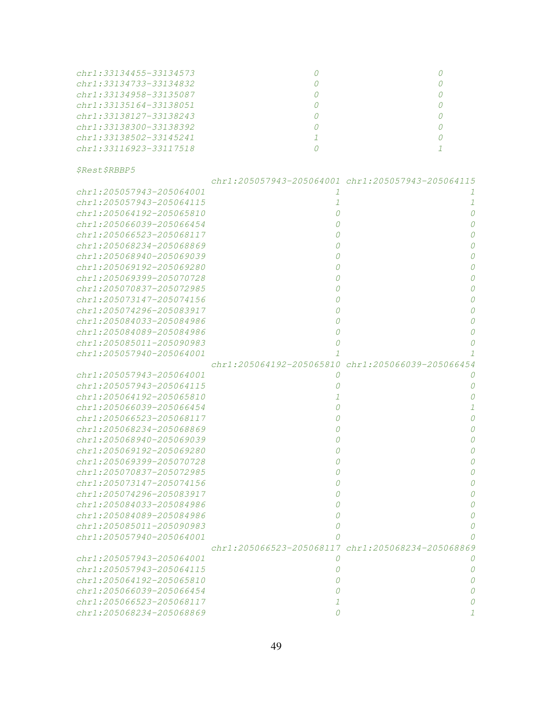| $chr1: 33134455 - 33134573$ |  |
|-----------------------------|--|
| chr1:33134733-33134832      |  |
| $chr1: 33134958 - 33135087$ |  |
| chr1:33135164-33138051      |  |
| chr1:33138127-33138243      |  |
| $chr1: 33138300 - 33138392$ |  |
| chr1:33138502-33145241      |  |
| $chr1: 33116923 - 33117518$ |  |

\$Rest\$RBBP5

|                          |                          | chr1:205057943-205064001 chr1:205057943-205064115 |
|--------------------------|--------------------------|---------------------------------------------------|
| chr1:205057943-205064001 | 1                        | 1                                                 |
| chr1:205057943-205064115 | 1                        | 1                                                 |
| chr1:205064192-205065810 | 0                        | $\Omega$                                          |
| chr1:205066039-205066454 | 0                        | 0                                                 |
| chr1:205066523-205068117 | 0                        | 0                                                 |
| chr1:205068234-205068869 | 0                        | $\Omega$                                          |
| chr1:205068940-205069039 | $\theta$                 | 0                                                 |
| chr1:205069192-205069280 | 0                        | $\Omega$                                          |
| chr1:205069399-205070728 | 0                        | 0                                                 |
| chr1:205070837-205072985 | 0                        | $\Omega$                                          |
| chr1:205073147-205074156 | 0                        | 0                                                 |
| chr1:205074296-205083917 | 0                        | 0                                                 |
| chr1:205084033-205084986 | 0                        | $\Omega$                                          |
| chr1:205084089-205084986 | 0                        | 0                                                 |
| chr1:205085011-205090983 | 0                        | 0                                                 |
| chr1:205057940-205064001 |                          |                                                   |
|                          |                          | chr1:205064192-205065810 chr1:205066039-205066454 |
| chr1:205057943-205064001 | 0                        | 0                                                 |
| chr1:205057943-205064115 | 0                        | 0                                                 |
| chr1:205064192-205065810 | $\mathcal{I}$            | $\Omega$                                          |
| chr1:205066039-205066454 | 0                        | $\mathcal{I}$                                     |
| chr1:205066523-205068117 | 0                        | 0                                                 |
| chr1:205068234-205068869 | 0                        | 0                                                 |
| chr1:205068940-205069039 | 0                        | $\Omega$                                          |
| chr1:205069192-205069280 | 0                        | 0                                                 |
| chr1:205069399-205070728 |                          | $\Omega$                                          |
| chr1:205070837-205072985 | 0                        | $\Omega$                                          |
| chr1:205073147-205074156 | 0                        | 0                                                 |
| chr1:205074296-205083917 | 0                        | 0                                                 |
| chr1:205084033-205084986 | 0                        | 0                                                 |
| chr1:205084089-205084986 | 0                        | $\Omega$                                          |
| chr1:205085011-205090983 | 0                        | 0                                                 |
| chr1:205057940-205064001 | 0                        |                                                   |
|                          | chr1:205066523-205068117 | chr1:205068234-205068869                          |
| chr1:205057943-205064001 | 0                        | 0                                                 |
| chr1:205057943-205064115 | 0                        | $\Omega$                                          |
| chr1:205064192-205065810 |                          | 0                                                 |
| chr1:205066039-205066454 |                          | 0                                                 |
| chr1:205066523-205068117 |                          | O                                                 |
| chr1:205068234-205068869 | $\theta$                 |                                                   |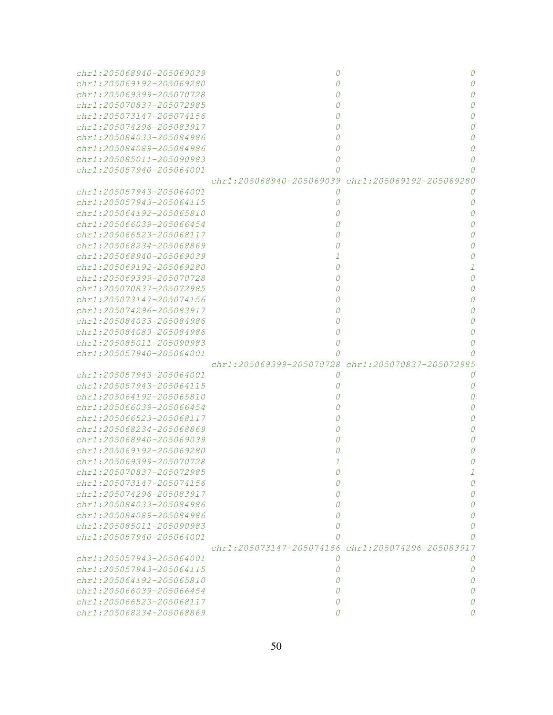| chr1:205068940-205069039      | 0                                                 | 0             |
|-------------------------------|---------------------------------------------------|---------------|
| chr1:205069192-205069280      |                                                   | $\Omega$      |
| $chr1: 205069399 - 205070728$ |                                                   | 0             |
| chr1:205070837-205072985      |                                                   | 0             |
| chr1:205073147-205074156      |                                                   | 0             |
| chr1:205074296-205083917      |                                                   | 0             |
| chr1:205084033-205084986      |                                                   | $\Omega$      |
| chr1:205084089-205084986      |                                                   | $\Omega$      |
| $chr1: 205085011 - 205090983$ |                                                   | 0             |
| chr1:205057940-205064001      |                                                   |               |
|                               | chr1:205068940-205069039 chr1:205069192-205069280 |               |
| chr1:205057943-205064001      | 0                                                 | O             |
| chr1:205057943-205064115      |                                                   | 0             |
| chr1:205064192-205065810      |                                                   | $\Omega$      |
| chr1:205066039-205066454      |                                                   | $\Omega$      |
| chr1:205066523-205068117      |                                                   | $\Omega$      |
| $chr1:205068234 - 205068869$  |                                                   | $\Omega$      |
| chr1:205068940-205069039      |                                                   | 0             |
| chr1:205069192-205069280      |                                                   | $\mathcal{I}$ |
| chr1:205069399-205070728      |                                                   | 0             |
| chr1:205070837-205072985      |                                                   | 0             |
| chr1:205073147-205074156      |                                                   | 0             |
| chr1:205074296-205083917      |                                                   | 0             |
| chr1:205084033-205084986      |                                                   | 0             |
| chr1:205084089-205084986      | 0                                                 | 0             |
| chr1:205085011-205090983      | 0                                                 | 0             |
| chr1:205057940-205064001      | 0                                                 |               |
|                               | chr1:205069399-205070728 chr1:205070837-205072985 |               |
| chr1:205057943-205064001      | 0                                                 | 0             |
| chr1:205057943-205064115      |                                                   | 0             |
| chr1:205064192-205065810      |                                                   | 0             |
| chr1:205066039-205066454      |                                                   | 0             |
| $chr1: 205066523 - 205068117$ |                                                   | 0             |
| $chr1:205068234 - 205068869$  |                                                   | 0             |
| $chr1:205068940 - 205069039$  |                                                   | 0             |
| chr1:205069192-205069280      |                                                   | 0             |
| chr1:205069399-205070728      |                                                   |               |
| chr1:205070837-205072985      |                                                   | T             |
| chr1:205073147-205074156      | 0                                                 | 0             |
| chr1:205074296-205083917      | 0                                                 | 0             |
| chr1:205084033-205084986      | 0                                                 | 0             |
| chr1:205084089-205084986      | 0                                                 | 0             |
| chr1:205085011-205090983      | 0                                                 | 0             |
| chr1:205057940-205064001      |                                                   |               |
|                               | chr1:205073147-205074156 chr1:205074296-205083917 |               |
| $chr1: 205057943 - 205064001$ | 0                                                 | 0             |
| $chr1: 205057943 - 205064115$ | 0                                                 | 0             |
| chr1:205064192-205065810      | 0                                                 | 0             |
| chr1:205066039-205066454      | $\theta$                                          |               |
| chr1:205066523-205068117      | 0                                                 |               |
| chr1:205068234-205068869      |                                                   |               |
|                               |                                                   |               |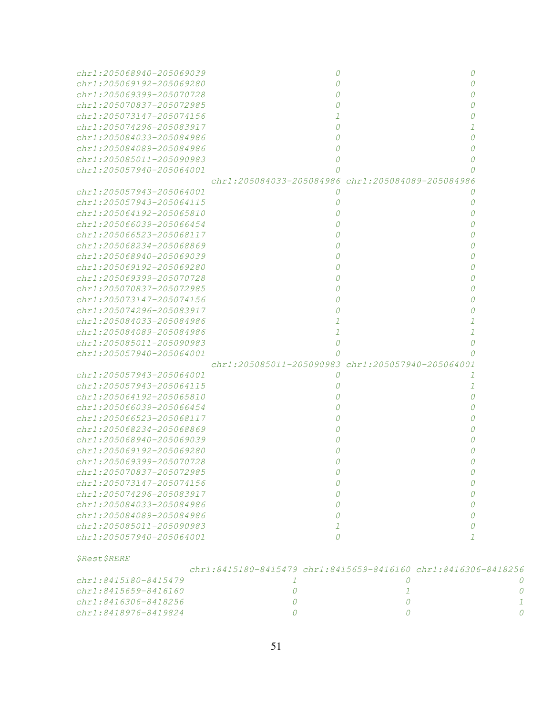| chr1:205068940-205069039      | $\Omega$                                                                |                                                   |   |
|-------------------------------|-------------------------------------------------------------------------|---------------------------------------------------|---|
| $chr1: 205069192 - 205069280$ | 0                                                                       |                                                   |   |
| chr1:205069399-205070728      |                                                                         |                                                   |   |
| chr1:205070837-205072985      |                                                                         |                                                   |   |
| chr1:205073147-205074156      |                                                                         |                                                   |   |
| chr1:205074296-205083917      |                                                                         |                                                   |   |
| chr1:205084033-205084986      |                                                                         |                                                   |   |
| chr1:205084089-205084986      |                                                                         |                                                   |   |
| $chr1:205085011 - 205090983$  |                                                                         |                                                   |   |
| chr1:205057940-205064001      |                                                                         |                                                   |   |
|                               |                                                                         | chr1:205084033-205084986 chr1:205084089-205084986 |   |
| chr1:205057943-205064001      | 0                                                                       |                                                   |   |
| chr1:205057943-205064115      |                                                                         |                                                   |   |
| chr1:205064192-205065810      |                                                                         |                                                   |   |
| chr1:205066039-205066454      |                                                                         |                                                   |   |
| chr1:205066523-205068117      |                                                                         |                                                   |   |
| chr1:205068234-205068869      |                                                                         |                                                   |   |
| chr1:205068940-205069039      |                                                                         |                                                   |   |
| chr1:205069192-205069280      |                                                                         |                                                   |   |
| chr1:205069399-205070728      |                                                                         |                                                   |   |
| chr1:205070837-205072985      |                                                                         |                                                   |   |
| chr1:205073147-205074156      |                                                                         |                                                   |   |
| $chr1: 205074296 - 205083917$ |                                                                         |                                                   |   |
| chr1:205084033-205084986      |                                                                         |                                                   |   |
| chr1:205084089-205084986      |                                                                         |                                                   |   |
| chr1:205085011-205090983      |                                                                         |                                                   |   |
| chr1:205057940-205064001      |                                                                         |                                                   |   |
|                               |                                                                         | chr1:205085011-205090983 chr1:205057940-205064001 |   |
| chr1:205057943-205064001      | 0                                                                       |                                                   |   |
| chr1:205057943-205064115      |                                                                         |                                                   |   |
|                               |                                                                         |                                                   |   |
| chr1:205064192-205065810      |                                                                         |                                                   |   |
| chr1:205066039-205066454      |                                                                         |                                                   |   |
| chr1:205066523-205068117      |                                                                         |                                                   |   |
| chr1:205068234-205068869      |                                                                         |                                                   |   |
| $chr1:205068940 - 205069039$  |                                                                         |                                                   |   |
| chr1:205069192-205069280      |                                                                         |                                                   |   |
| chr1:205069399-205070728      |                                                                         |                                                   |   |
| chr1:205070837-205072985      |                                                                         | U                                                 |   |
| chr1:205073147-205074156      | 0                                                                       | 0                                                 |   |
| chr1:205074296-205083917      | 0                                                                       | 0                                                 |   |
| chr1:205084033-205084986      | 0                                                                       | 0                                                 |   |
| chr1:205084089-205084986      | 0                                                                       | 0                                                 |   |
| chr1:205085011-205090983      | 1                                                                       | 0                                                 |   |
| chr1:205057940-205064001      | 0                                                                       | $\mathcal{I}$                                     |   |
| <i><b>\$Rest\$RERE</b></i>    |                                                                         |                                                   |   |
|                               | $chr1: 8415180-8415479$ $chr1: 8415659-8416160$ $chr1: 8416306-8418256$ |                                                   |   |
| chr1:8415180-8415479          | -7                                                                      | 0                                                 |   |
| chr1:8415659-8416160          | 0                                                                       | 1                                                 | 0 |
| chr1:8416306-8418256          | 0                                                                       | 0                                                 | 1 |
| chr1:8418976-8419824          |                                                                         |                                                   |   |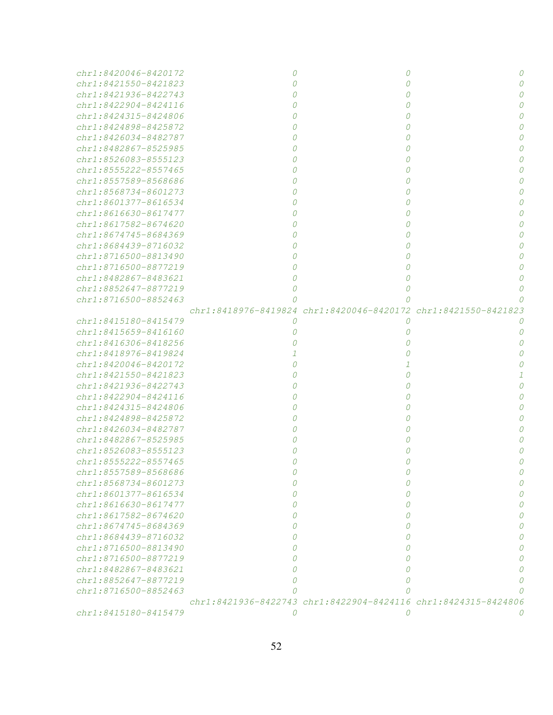| $chr1:8420046 - 8420172$  |          |                                                                |   |
|---------------------------|----------|----------------------------------------------------------------|---|
| chr1:8421550-8421823      | $\Omega$ | 0                                                              |   |
| chr1:8421936-8422743      | $\Omega$ | 0                                                              |   |
| chr1:8422904-8424116      | $\Omega$ |                                                                |   |
| chr1:8424315-8424806      | 0        | 0                                                              |   |
| chr1:8424898-8425872      | 0        | 0                                                              |   |
| chr1:8426034-8482787      | Ω        | 0                                                              |   |
| chr1:8482867-8525985      | Ω        | 0                                                              |   |
| chr1:8526083-8555123      | Ω        | 0                                                              |   |
| $chr1: 8555222 - 8557465$ | Ω        | 0                                                              |   |
| $chr1: 8557589 - 8568686$ |          | 0                                                              |   |
| chr1:8568734-8601273      |          |                                                                |   |
| chr1:8601377-8616534      |          | 0                                                              |   |
| chr1:8616630-8617477      |          | 0                                                              |   |
| chr1:8617582-8674620      |          | 0                                                              |   |
| chr1:8674745-8684369      |          | 0                                                              |   |
| $chr1:8684439 - 8716032$  |          | 0                                                              |   |
| chr1:8716500-8813490      |          | 0                                                              |   |
| chr1:8716500-8877219      |          | 0                                                              |   |
| chr1:8482867-8483621      |          | 0                                                              |   |
| chr1:8852647-8877219      | 0        | 0                                                              |   |
| chr1:8716500-8852463      | Ω        |                                                                |   |
|                           |          | chr1:8418976-8419824 chr1:8420046-8420172 chr1:8421550-8421823 |   |
| chr1:8415180-8415479      | 0        | 0                                                              | O |
| chr1:8415659-8416160      | 0        | 0                                                              | O |
| chr1:8416306-8418256      | Ω        | 0                                                              |   |
| chr1:8418976-8419824      |          | 0                                                              |   |
| chr1:8420046-8420172      |          |                                                                |   |
| chr1:8421550-8421823      |          | 0                                                              |   |
| chr1:8421936-8422743      |          | 0                                                              |   |
| chr1:8422904-8424116      |          | 0                                                              |   |
| chr1:8424315-8424806      |          | 0                                                              |   |
| chr1:8424898-8425872      |          | 0                                                              |   |
| chr1:8426034-8482787      |          | 0                                                              |   |
| $chr1:8482867 - 8525985$  |          | 0                                                              |   |
| $chr1: 8526083 - 8555123$ |          |                                                                |   |
| chr1:8555222-8557465      | 0        | 0                                                              |   |
| chr1:8557589-8568686      | 0        | 0                                                              | 0 |
| chr1:8568734-8601273      | 0        | Ω                                                              | 0 |
| $chr1:8601377 - 8616534$  | 0        |                                                                | n |
| chr1:8616630-8617477      | Ω        |                                                                | n |
| chr1:8617582-8674620      | Ω        |                                                                | n |
| chr1:8674745-8684369      | Ω        |                                                                | n |
| $chr1:8684439 - 8716032$  | Ω        | Ω                                                              | n |
| chr1:8716500-8813490      | Ω        |                                                                | n |
| chr1:8716500-8877219      | Ω        |                                                                | n |
| chr1:8482867-8483621      |          |                                                                |   |
| chr1:8852647-8877219      |          |                                                                |   |
| chr1:8716500-8852463      |          |                                                                |   |
|                           |          | chr1:8421936-8422743 chr1:8422904-8424116 chr1:8424315-8424806 |   |
| chr1:8415180-8415479      | 0        | 0                                                              | 0 |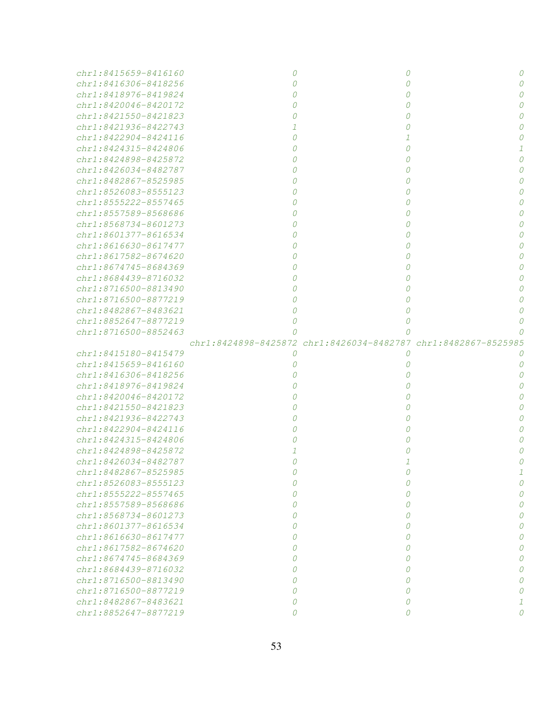| chr1:8415659-8416160                         |        |                                                                |          |
|----------------------------------------------|--------|----------------------------------------------------------------|----------|
|                                              |        | 0                                                              |          |
| chr1:8416306-8418256                         |        | 0                                                              |          |
| chr1:8418976-8419824                         |        | 0                                                              |          |
| chr1:8420046-8420172                         |        | 0                                                              |          |
| $chr1:8421550 - 8421823$                     |        | 0                                                              |          |
| chr1:8421936-8422743                         |        | 0                                                              |          |
| chr1:8422904-8424116                         |        |                                                                |          |
| chr1:8424315-8424806                         |        | 0                                                              |          |
| chr1:8424898-8425872                         |        | $\theta$                                                       |          |
| $chr1:8426034 - 8482787$                     |        | 0                                                              |          |
| $chr1:8482867 - 8525985$                     |        | 0                                                              |          |
| chr1:8526083-8555123                         |        | $\theta$                                                       |          |
| chr1:8555222-8557465                         |        | 0                                                              |          |
| chr1:8557589-8568686                         |        |                                                                |          |
| chr1:8568734-8601273                         |        | 0                                                              |          |
| chr1:8601377-8616534                         |        |                                                                |          |
| $chr1:8616630 - 8617477$                     |        |                                                                |          |
| chr1:8617582-8674620                         |        |                                                                |          |
| $chr1:8674745 - 8684369$                     |        |                                                                |          |
| chr1:8684439-8716032                         |        | 0                                                              |          |
| chr1:8716500-8813490                         |        |                                                                |          |
| $chr1: 8716500 - 8877219$                    |        |                                                                |          |
| chr1:8482867-8483621                         |        |                                                                |          |
| chr1:8852647-8877219                         |        |                                                                |          |
| chr1:8716500-8852463                         |        | Ω                                                              |          |
|                                              |        | chr1:8424898-8425872 chr1:8426034-8482787 chr1:8482867-8525985 |          |
| chr1:8415180-8415479                         | 0      | 0                                                              |          |
|                                              |        |                                                                |          |
|                                              |        |                                                                |          |
| chr1:8415659-8416160                         |        | 0                                                              |          |
| chr1:8416306-8418256                         |        |                                                                |          |
| chr1:8418976-8419824                         |        |                                                                |          |
| chr1:8420046-8420172                         |        |                                                                |          |
| chr1:8421550-8421823                         |        |                                                                |          |
| chr1:8421936-8422743                         |        |                                                                |          |
| chr1:8422904-8424116                         |        |                                                                |          |
| chr1:8424315-8424806                         |        |                                                                |          |
| chr1:8424898-8425872                         |        |                                                                |          |
| chr1:8426034-8482787                         |        |                                                                |          |
| chr1:8482867-8525985                         |        |                                                                |          |
| $chr1: 8526083 - 8555123$                    |        |                                                                |          |
| $chr1: 8555222 - 8557465$                    |        | Ω                                                              |          |
| chr1:8557589-8568686                         |        | Ω                                                              |          |
| chr1:8568734-8601273                         | Ω      | 0                                                              |          |
| chr1:8601377-8616534                         | 0      | 0                                                              |          |
| $chr1:8616630 - 8617477$                     | 0      | 0                                                              |          |
| $chr1:8617582 - 8674620$                     | Ω      | 0                                                              |          |
| chr1:8674745-8684369                         | 0      | 0                                                              |          |
| $chr1:8684439 - 8716032$                     | Ω      | 0                                                              |          |
| $chr1: 8716500 - 8813490$                    | Ω      | 0                                                              |          |
| chr1:8716500-8877219                         | Ω      | 0                                                              |          |
| chr1:8482867-8483621<br>chr1:8852647-8877219 | 0<br>0 | 0<br>0                                                         | $\Omega$ |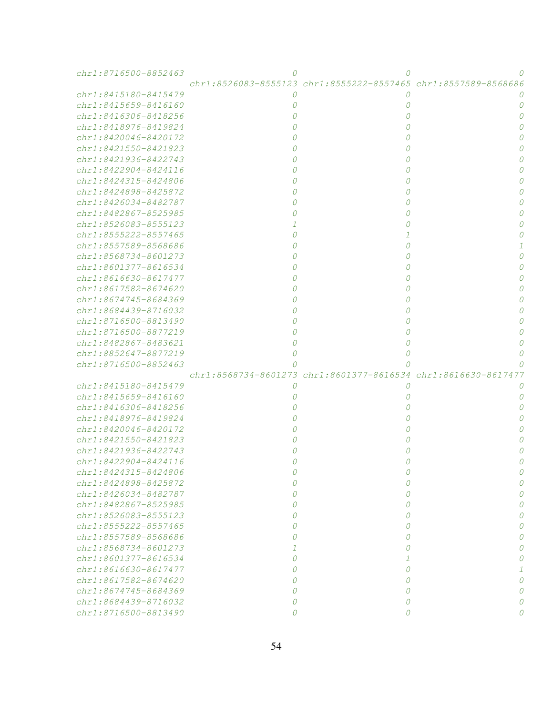| chr1:8716500-8852463                             |   |                                                                               |  |
|--------------------------------------------------|---|-------------------------------------------------------------------------------|--|
|                                                  |   | $chr1: 8526083 - 8555123$ $chr1: 8555222 - 8557465$ $chr1: 8557589 - 8568686$ |  |
| chr1:8415180-8415479                             | O |                                                                               |  |
| chr1:8415659-8416160                             |   | 0                                                                             |  |
| chr1:8416306-8418256                             |   | 0                                                                             |  |
| chr1:8418976-8419824                             |   | 0                                                                             |  |
| chr1:8420046-8420172                             |   | 0                                                                             |  |
| chr1:8421550-8421823                             |   | 0                                                                             |  |
| chr1:8421936-8422743                             |   | 0                                                                             |  |
| chr1:8422904-8424116                             |   | 0                                                                             |  |
| chr1:8424315-8424806                             |   | 0                                                                             |  |
| chr1:8424898-8425872                             |   | 0                                                                             |  |
| chr1:8426034-8482787                             |   | 0                                                                             |  |
| chr1:8482867-8525985                             |   | 0                                                                             |  |
| chr1:8526083-8555123                             |   | 0                                                                             |  |
| chr1:8555222-8557465                             |   | 1                                                                             |  |
| chr1:8557589-8568686                             |   | 0                                                                             |  |
| chr1:8568734-8601273                             |   | 0                                                                             |  |
| chr1:8601377-8616534                             |   | 0                                                                             |  |
| chr1:8616630-8617477                             |   | 0                                                                             |  |
| chr1:8617582-8674620                             |   | 0                                                                             |  |
| chr1:8674745-8684369                             |   | 0                                                                             |  |
| chr1:8684439-8716032                             |   | 0                                                                             |  |
| chr1:8716500-8813490                             |   | 0                                                                             |  |
| chr1:8716500-8877219                             |   | 0                                                                             |  |
| chr1:8482867-8483621                             |   | 0                                                                             |  |
| chr1:8852647-8877219                             |   | 0                                                                             |  |
| chr1:8716500-8852463                             |   |                                                                               |  |
|                                                  |   | chr1:8568734-8601273 chr1:8601377-8616534 chr1:8616630-8617477                |  |
| chr1:8415180-8415479                             |   |                                                                               |  |
| chr1:8415659-8416160                             |   | 0                                                                             |  |
| chr1:8416306-8418256                             |   | 0                                                                             |  |
| chr1:8418976-8419824                             |   |                                                                               |  |
| chr1:8420046-8420172                             |   | 0                                                                             |  |
|                                                  |   | 0                                                                             |  |
|                                                  |   | 0                                                                             |  |
| chr1:8421550-8421823                             |   |                                                                               |  |
| chr1:8421936-8422743                             |   |                                                                               |  |
| chr1:8422904-8424116                             |   |                                                                               |  |
| chr1:8424315-8424806<br>chr1:8424898-8425872     | Ω | 0                                                                             |  |
| chr1:8426034-8482787                             | Ω | 0                                                                             |  |
| $chr1:8482867 - 8525985$                         |   | 0                                                                             |  |
|                                                  |   | 0                                                                             |  |
| chr1:8526083-8555123<br>chr1:8555222-8557465     |   | 0                                                                             |  |
| $chr1: 8557589 - 8568686$                        |   | 0                                                                             |  |
| $chr1: 8568734 - 8601273$                        |   | 0                                                                             |  |
|                                                  |   | 1                                                                             |  |
| chr1:8601377-8616534<br>$chr1:8616630 - 8617477$ |   | 0                                                                             |  |
| chr1:8617582-8674620                             |   | 0                                                                             |  |
| chr1:8674745-8684369                             |   | 0                                                                             |  |
| chr1:8684439-8716032                             | 0 | 0                                                                             |  |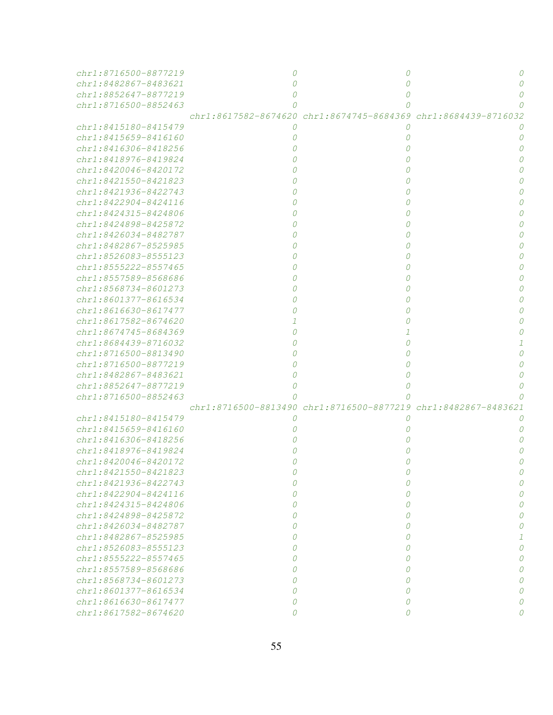| chr1:8716500-8877219      |   |                                                                |  |
|---------------------------|---|----------------------------------------------------------------|--|
| chr1:8482867-8483621      |   |                                                                |  |
| chr1:8852647-8877219      |   | 0                                                              |  |
| chr1:8716500-8852463      |   | 0                                                              |  |
|                           |   | chr1:8617582-8674620 chr1:8674745-8684369 chr1:8684439-8716032 |  |
| $chr1:8415180 - 8415479$  |   | $\theta$                                                       |  |
| chr1:8415659-8416160      |   | 0                                                              |  |
| chr1:8416306-8418256      |   | 0                                                              |  |
| chr1:8418976-8419824      |   | 0                                                              |  |
| chr1:8420046-8420172      |   | 0                                                              |  |
| chr1:8421550-8421823      |   | 0                                                              |  |
| chr1:8421936-8422743      |   | 0                                                              |  |
| chr1:8422904-8424116      |   | 0                                                              |  |
| chr1:8424315-8424806      |   | 0                                                              |  |
| chr1:8424898-8425872      |   | 0                                                              |  |
| chr1:8426034-8482787      |   | 0                                                              |  |
| chr1:8482867-8525985      |   | 0                                                              |  |
| chr1:8526083-8555123      |   | 0                                                              |  |
| chr1:8555222-8557465      |   | 0                                                              |  |
| chr1:8557589-8568686      |   | 0                                                              |  |
| chr1:8568734-8601273      |   |                                                                |  |
| chr1:8601377-8616534      |   |                                                                |  |
| chr1:8616630-8617477      |   |                                                                |  |
| chr1:8617582-8674620      |   |                                                                |  |
| chr1:8674745-8684369      |   |                                                                |  |
| chr1:8684439-8716032      |   |                                                                |  |
| chr1:8716500-8813490      |   |                                                                |  |
| chr1:8716500-8877219      |   |                                                                |  |
| chr1:8482867-8483621      |   |                                                                |  |
| chr1:8852647-8877219      |   |                                                                |  |
| chr1:8716500-8852463      |   |                                                                |  |
|                           |   | chr1:8716500-8813490 chr1:8716500-8877219 chr1:8482867-8483621 |  |
| chr1:8415180-8415479      |   | O                                                              |  |
| chr1:8415659-8416160      |   |                                                                |  |
| chr1:8416306-8418256      |   |                                                                |  |
| chr1:8418976-8419824      |   |                                                                |  |
| chr1:8420046-8420172      |   |                                                                |  |
| chr1:8421550-8421823      |   |                                                                |  |
| chr1:8421936-8422743      |   | Ω                                                              |  |
| chr1:8422904-8424116      |   | 0                                                              |  |
| $chr1: 8424315 - 8424806$ |   | 0                                                              |  |
| chr1:8424898-8425872      |   | 0                                                              |  |
| chr1:8426034-8482787      |   | 0                                                              |  |
| $chr1:8482867 - 8525985$  |   | 0                                                              |  |
| $chr1: 8526083 - 8555123$ |   | 0                                                              |  |
| $chr1: 8555222 - 8557465$ |   | 0                                                              |  |
| chr1:8557589-8568686      |   | 0                                                              |  |
| chr1:8568734-8601273      |   | 0                                                              |  |
| chr1:8601377-8616534      |   | 0                                                              |  |
| chr1:8616630-8617477      | 0 | 0                                                              |  |
|                           | 0 | $\Omega$                                                       |  |
| chr1:8617582-8674620      |   |                                                                |  |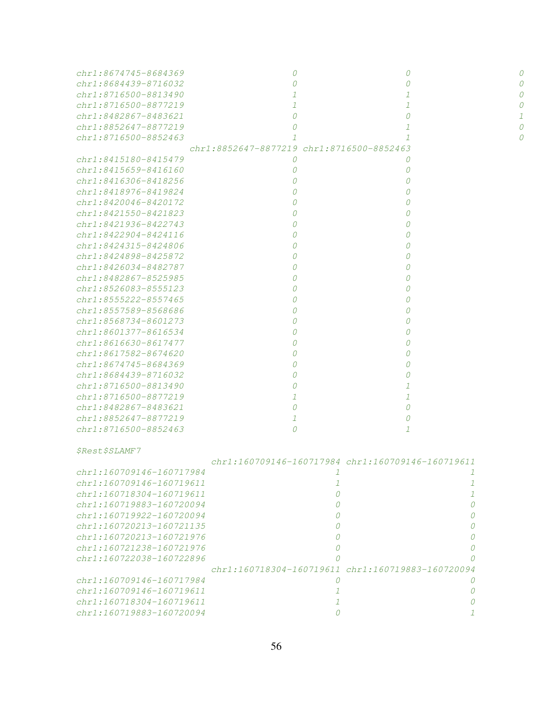| chr1:8674745-8684369                         | 0                                         | 0                                                           |   |
|----------------------------------------------|-------------------------------------------|-------------------------------------------------------------|---|
| chr1:8684439-8716032                         | $\Omega$                                  | 0                                                           |   |
| chr1:8716500-8813490                         | $\mathcal{I}$                             | 1                                                           |   |
| chr1:8716500-8877219                         | $\mathcal{I}$                             | 1                                                           |   |
| chr1:8482867-8483621                         | $\overline{O}$                            | 0                                                           | 1 |
| chr1:8852647-8877219                         | $\Omega$                                  | 1                                                           | 0 |
| chr1:8716500-8852463                         |                                           | $\mathcal{I}$                                               | 0 |
|                                              | chr1:8852647-8877219 chr1:8716500-8852463 |                                                             |   |
| chr1:8415180-8415479                         | 0                                         | 0                                                           |   |
| chr1:8415659-8416160                         | 0                                         | 0                                                           |   |
| $chr1:8416306 - 8418256$                     | 0                                         | 0                                                           |   |
| chr1:8418976-8419824                         | $\Omega$                                  | 0                                                           |   |
| chr1:8420046-8420172                         | $\theta$                                  | 0                                                           |   |
| chr1:8421550-8421823                         | 0                                         | 0                                                           |   |
| chr1:8421936-8422743                         | 0                                         | 0                                                           |   |
| chr1:8422904-8424116                         | 0                                         | 0                                                           |   |
| chr1:8424315-8424806                         | $\theta$                                  | 0                                                           |   |
| $chr1:8424898 - 8425872$                     | $\theta$                                  | 0                                                           |   |
| $chr1:8426034 - 8482787$                     | $\theta$                                  | 0                                                           |   |
| chr1:8482867-8525985                         | 0                                         | 0                                                           |   |
| chr1:8526083-8555123                         | 0                                         | 0                                                           |   |
| chr1:8555222-8557465                         | 0                                         | 0                                                           |   |
| chr1:8557589-8568686                         | 0                                         | 0                                                           |   |
| $chr1:8568734 - 8601273$                     | 0                                         | 0                                                           |   |
| chr1:8601377-8616534                         | 0                                         | 0                                                           |   |
| chr1:8616630-8617477<br>chr1:8617582-8674620 | 0<br>0                                    | 0                                                           |   |
| chr1:8674745-8684369                         | 0                                         | 0<br>0                                                      |   |
| chr1:8684439-8716032                         | 0                                         | 0                                                           |   |
| chr1:8716500-8813490                         | $\Omega$                                  | 1                                                           |   |
| chr1:8716500-8877219                         | 1                                         | 1                                                           |   |
| chr1:8482867-8483621                         | $\Omega$                                  | 0                                                           |   |
| chr1:8852647-8877219                         | 1                                         | 0                                                           |   |
| chr1:8716500-8852463                         | 0                                         | 1                                                           |   |
|                                              |                                           |                                                             |   |
| <i><i><b>\$Rest\$SLAMF7</b></i></i>          |                                           |                                                             |   |
|                                              |                                           | $chr1: 160709146 - 160717984$ $chr1: 160709146 - 160719611$ |   |
| chr1:160709146-160717984                     | $\mathcal{I}$                             | $\mathcal{I}$                                               |   |
| chr1:160709146-160719611                     | $\mathcal{I}$                             | $\mathcal{I}$                                               |   |
| $chr1:160718304-160719611$                   | $\overline{O}$                            | $\mathcal{I}$                                               |   |
| $chr1:160719883-160720094$                   | $\overline{O}$                            | $\overline{O}$                                              |   |
| chr1:160719922-160720094                     | 0                                         | $\Omega$                                                    |   |
| chr1:160720213-160721135                     | 0                                         | $\Omega$                                                    |   |
| chr1:160720213-160721976                     | 0                                         | $\Omega$                                                    |   |
| chr1:160721238-160721976                     | 0                                         | 0                                                           |   |
| chr1:160722038-160722896                     | 0                                         | $\Omega$                                                    |   |
|                                              |                                           | chr1:160718304-160719611 chr1:160719883-160720094           |   |
| chr1:160709146-160717984                     | 0                                         | $\Omega$                                                    |   |
| chr1:160709146-160719611                     | 1                                         | 0                                                           |   |
| chr1:160718304-160719611                     | 1                                         | 0                                                           |   |
| chr1:160719883-160720094                     | 0                                         | $\mathcal{I}$                                               |   |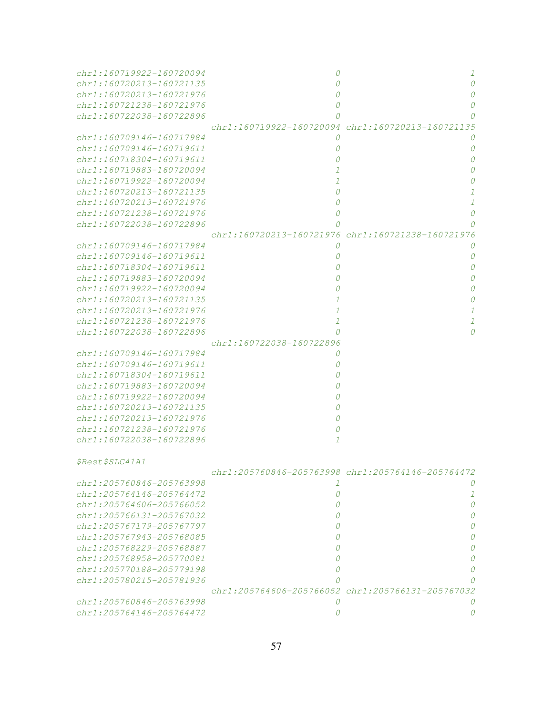| chr1:160719922-160720094 | 0                                                 | 1                                                 |
|--------------------------|---------------------------------------------------|---------------------------------------------------|
| chr1:160720213-160721135 | 0                                                 | 0                                                 |
| chr1:160720213-160721976 | 0                                                 | 0                                                 |
| chr1:160721238-160721976 | 0                                                 | 0                                                 |
| chr1:160722038-160722896 | 0                                                 |                                                   |
|                          | chr1:160719922-160720094                          | chr1:160720213-160721135                          |
| chr1:160709146-160717984 | 0                                                 |                                                   |
| chr1:160709146-160719611 | 0                                                 | 0                                                 |
| chr1:160718304-160719611 | 0                                                 | 0                                                 |
| chr1:160719883-160720094 | 1                                                 |                                                   |
| chr1:160719922-160720094 | 1                                                 |                                                   |
| chr1:160720213-160721135 | 0                                                 |                                                   |
| chr1:160720213-160721976 | 0                                                 | $\mathcal{I}$                                     |
| chr1:160721238-160721976 | 0                                                 | 0                                                 |
| chr1:160722038-160722896 | 0                                                 |                                                   |
|                          | chr1:160720213-160721976 chr1:160721238-160721976 |                                                   |
| chr1:160709146-160717984 | 0                                                 |                                                   |
| chr1:160709146-160719611 | 0                                                 | 0                                                 |
| chr1:160718304-160719611 | 0                                                 | 0                                                 |
| chr1:160719883-160720094 | 0                                                 | Ω                                                 |
| chr1:160719922-160720094 | 0                                                 |                                                   |
| chr1:160720213-160721135 | 1                                                 |                                                   |
| chr1:160720213-160721976 | 1                                                 | 1                                                 |
| chr1:160721238-160721976 | 1                                                 | 1                                                 |
| chr1:160722038-160722896 | 0                                                 | 0                                                 |
|                          | chr1:160722038-160722896                          |                                                   |
| chr1:160709146-160717984 | 0                                                 |                                                   |
| chr1:160709146-160719611 | 0                                                 |                                                   |
| chr1:160718304-160719611 | 0                                                 |                                                   |
| chr1:160719883-160720094 | 0                                                 |                                                   |
| chr1:160719922-160720094 | 0                                                 |                                                   |
| chr1:160720213-160721135 | 0                                                 |                                                   |
| chr1:160720213-160721976 | 0                                                 |                                                   |
| chr1:160721238-160721976 | 0                                                 |                                                   |
| chr1:160722038-160722896 | $\mathcal{I}$                                     |                                                   |
|                          |                                                   |                                                   |
| <i>\$Rest\$SLC41A1</i>   |                                                   |                                                   |
|                          |                                                   | chr1:205760846-205763998 chr1:205764146-205764472 |
| chr1:205760846-205763998 | 1                                                 |                                                   |
| chr1:205764146-205764472 | 0                                                 | 1                                                 |
| chr1:205764606-205766052 | 0                                                 | Ω                                                 |
| chr1:205766131-205767032 | Ω                                                 |                                                   |
| chr1:205767179-205767797 | Ω                                                 |                                                   |
| chr1:205767943-205768085 | Ω                                                 |                                                   |
| chr1:205768229-205768887 | Ω                                                 |                                                   |
| chr1:205768958-205770081 | Ω                                                 |                                                   |
| chr1:205770188-205779198 | Ω                                                 |                                                   |
| chr1:205780215-205781936 |                                                   |                                                   |
|                          |                                                   |                                                   |
|                          | chr1:205764606-205766052 chr1:205766131-205767032 |                                                   |
| chr1:205760846-205763998 | 0                                                 |                                                   |
| chr1:205764146-205764472 | 0                                                 |                                                   |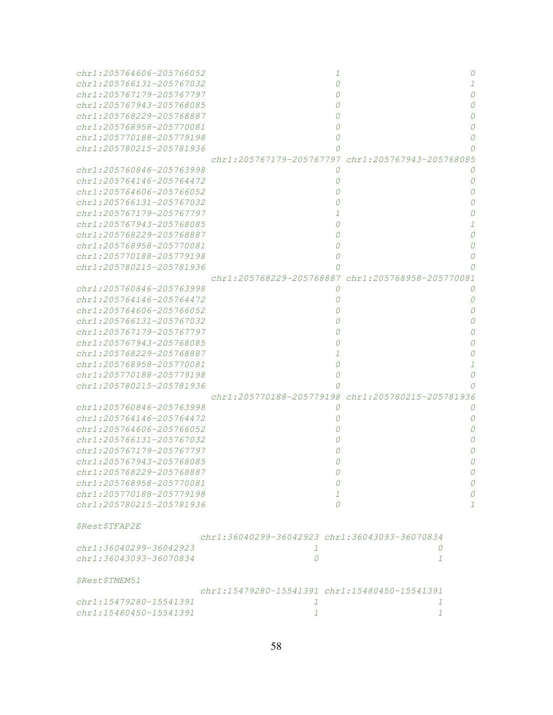| chr1:205764606-205766052      |                                               | 0                                                 |
|-------------------------------|-----------------------------------------------|---------------------------------------------------|
| chr1:205766131-205767032      |                                               | 1                                                 |
| chr1:205767179-205767797      |                                               |                                                   |
| chr1:205767943-205768085      |                                               |                                                   |
| chr1:205768229-205768887      |                                               |                                                   |
| chr1:205768958-205770081      |                                               |                                                   |
| chr1:205770188-205779198      |                                               |                                                   |
| chr1:205780215-205781936      |                                               |                                                   |
|                               |                                               | chr1:205767179-205767797 chr1:205767943-205768085 |
| chr1:205760846-205763998      | 0                                             |                                                   |
| $chr1: 205764146 - 205764472$ |                                               | 0                                                 |
| chr1:205764606-205766052      |                                               | n                                                 |
| chr1:205766131-205767032      |                                               |                                                   |
| chr1:205767179-205767797      |                                               |                                                   |
| chr1:205767943-205768085      |                                               |                                                   |
| chr1:205768229-205768887      |                                               |                                                   |
| chr1:205768958-205770081      |                                               | Ω                                                 |
| chr1:205770188-205779198      |                                               |                                                   |
| chr1:205780215-205781936      |                                               |                                                   |
|                               | chr1:205768229-205768887                      | chr1:205768958-205770081                          |
| chr1:205760846-205763998      | Ω                                             |                                                   |
| chr1:205764146-205764472      |                                               | 0                                                 |
| chr1:205764606-205766052      |                                               | 0                                                 |
| chr1:205766131-205767032      |                                               | 0                                                 |
|                               |                                               | 0                                                 |
| chr1:205767179-205767797      |                                               |                                                   |
| chr1:205767943-205768085      |                                               | 0                                                 |
| chr1:205768229-205768887      |                                               |                                                   |
| chr1:205768958-205770081      | 0                                             |                                                   |
| chr1:205770188-205779198      |                                               | 0                                                 |
| chr1:205780215-205781936      |                                               |                                                   |
|                               |                                               | chr1:205770188-205779198 chr1:205780215-205781936 |
| chr1:205760846-205763998      |                                               |                                                   |
| chr1:205764146-205764472      |                                               | 0                                                 |
| $chr1: 205764606 - 205766052$ |                                               | 0                                                 |
| $chr1: 205766131 - 205767032$ |                                               |                                                   |
| chr1:205767179-205767797      |                                               |                                                   |
| chr1:205767943-205768085      |                                               |                                                   |
| chr1:205768229-205768887      | U                                             | U                                                 |
| chr1:205768958-205770081      | 0                                             | $\mathcal O$                                      |
| chr1:205770188-205779198      | $\mathcal{I}$                                 | 0                                                 |
| chr1:205780215-205781936      | $\Omega$                                      | $\mathcal{I}$                                     |
|                               |                                               |                                                   |
| \$Rest\$TFAP2E                |                                               |                                                   |
|                               | chr1:36040299-36042923 chr1:36043093-36070834 |                                                   |
| chr1:36040299-36042923        | 1                                             | 0                                                 |
| chr1:36043093-36070834        | $\mathcal O$                                  | $\mathcal{I}$                                     |
|                               |                                               |                                                   |
| \$Rest\$TMEM51                |                                               |                                                   |
|                               | chr1:15479280-15541391 chr1:15480450-15541391 |                                                   |
| chr1:15479280-15541391        | 1                                             | 1                                                 |
| chr1:15480450-15541391        |                                               | $\mathcal{I}$                                     |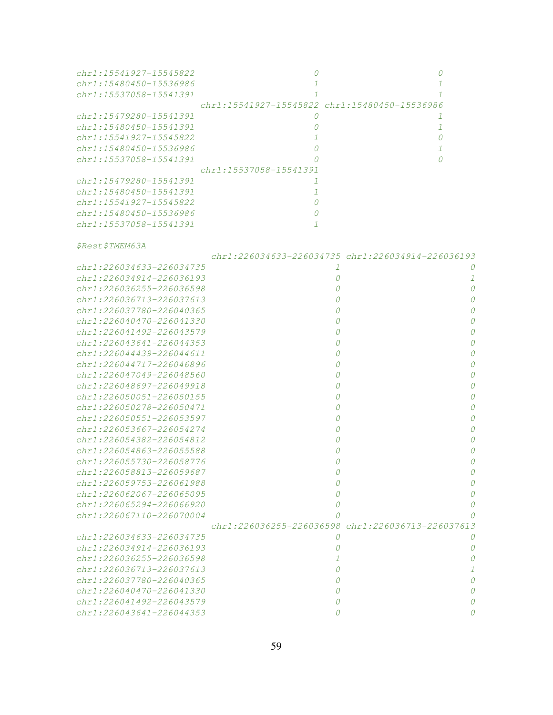| chr1:15541927-15545822      |                            |                                               |
|-----------------------------|----------------------------|-----------------------------------------------|
| $chr1: 15480450 - 15536986$ |                            |                                               |
| chr1:15537058-15541391      |                            |                                               |
|                             |                            | chr1:15541927-15545822 chr1:15480450-15536986 |
| $chr1:15479280 - 15541391$  |                            |                                               |
| $chr1:15480450 - 15541391$  |                            |                                               |
| $chr1: 15541927 - 15545822$ |                            |                                               |
| $chr1: 15480450 - 15536986$ |                            |                                               |
| $chr1: 15537058 - 15541391$ |                            |                                               |
|                             | $chr1:15537058 - 15541391$ |                                               |
| $chr1: 15479280 - 15541391$ |                            |                                               |
| $chr1:15480450 - 15541391$  |                            |                                               |
| $chr1: 15541927 - 15545822$ |                            |                                               |
| $chr1: 15480450 - 15536986$ |                            |                                               |
| $chr1: 15537058 - 15541391$ |                            |                                               |

\$Rest\$TMEM63A

|                               |                                                   | chr1:226034633-226034735 chr1:226034914-226036193 |
|-------------------------------|---------------------------------------------------|---------------------------------------------------|
| $chr1: 226034633 - 226034735$ |                                                   |                                                   |
| chr1:226034914-226036193      |                                                   |                                                   |
| $chr1: 226036255 - 226036598$ |                                                   | $\cap$                                            |
| chr1:226036713-226037613      |                                                   |                                                   |
| chr1:226037780-226040365      |                                                   |                                                   |
| chr1:226040470-226041330      |                                                   | Ω                                                 |
| chr1:226041492-226043579      |                                                   | Ω                                                 |
| $chr1: 226043641 - 226044353$ |                                                   | O                                                 |
| chr1:226044439-226044611      |                                                   | 0                                                 |
| chr1:226044717-226046896      |                                                   | O                                                 |
| chr1:226047049-226048560      |                                                   | O                                                 |
| chr1:226048697-226049918      |                                                   | Ω                                                 |
| chr1:226050051-226050155      |                                                   |                                                   |
| chr1:226050278-226050471      |                                                   |                                                   |
| $chr1: 226050551 - 226053597$ |                                                   | 0                                                 |
| chr1:226053667-226054274      |                                                   | Ω                                                 |
| chr1:226054382-226054812      |                                                   | O                                                 |
| chr1:226054863-226055588      |                                                   | O                                                 |
| chr1:226055730-226058776      |                                                   | 0                                                 |
| chr1:226058813-226059687      |                                                   | O                                                 |
| chr1:226059753-226061988      |                                                   | Ω                                                 |
| chr1:226062067-226065095      | 0                                                 |                                                   |
| chr1:226065294-226066920      | 0                                                 |                                                   |
| chr1:226067110-226070004      |                                                   |                                                   |
|                               | chr1:226036255-226036598 chr1:226036713-226037613 |                                                   |
| chr1:226034633-226034735      | $\theta$                                          |                                                   |
| $chr1: 226034914 - 226036193$ |                                                   | Ω                                                 |
| chr1:226036255-226036598      |                                                   |                                                   |
| chr1:226036713-226037613      |                                                   |                                                   |
| chr1:226037780-226040365      |                                                   |                                                   |
| chr1:226040470-226041330      |                                                   |                                                   |
| chr1:226041492-226043579      |                                                   |                                                   |
| $chr1: 226043641 - 226044353$ |                                                   |                                                   |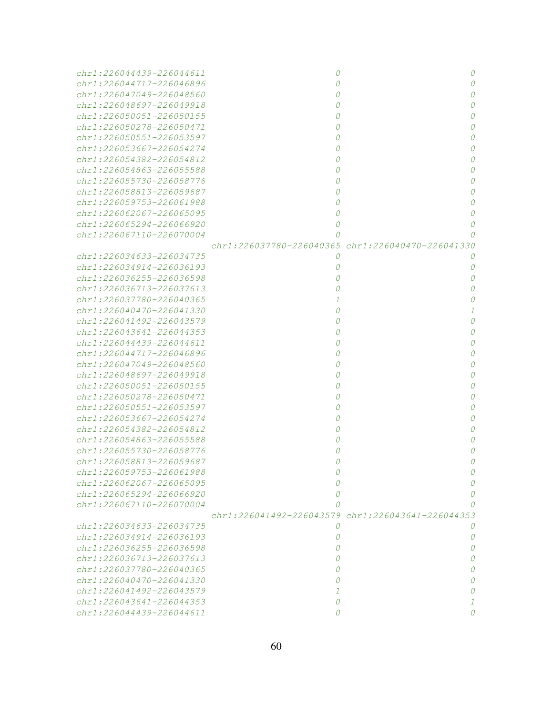| chr1:226044439-226044611      | 0        | 0                                                           |
|-------------------------------|----------|-------------------------------------------------------------|
| chr1:226044717-226046896      | 0        | $\Omega$                                                    |
| chr1:226047049-226048560      |          |                                                             |
| chr1:226048697-226049918      |          |                                                             |
| chr1:226050051-226050155      |          |                                                             |
| $chr1: 226050278 - 226050471$ |          | Ω                                                           |
| chr1:226050551-226053597      |          | n                                                           |
| chr1:226053667-226054274      |          | n                                                           |
| chr1:226054382-226054812      |          |                                                             |
| chr1:226054863-226055588      |          | n                                                           |
| $chr1: 226055730 - 226058776$ |          | n                                                           |
| chr1:226058813-226059687      |          | n                                                           |
| chr1:226059753-226061988      |          | $\Omega$                                                    |
| chr1:226062067-226065095      |          | $\Omega$                                                    |
| chr1:226065294-226066920      | 0        | 0                                                           |
| chr1:226067110-226070004      | n        |                                                             |
|                               |          | chr1:226037780-226040365 chr1:226040470-226041330           |
| chr1:226034633-226034735      | 0        | 0                                                           |
| $chr1: 226034914 - 226036193$ | 0        | 0                                                           |
| chr1:226036255-226036598      |          | 0                                                           |
| chr1:226036713-226037613      |          | n                                                           |
| $chr1: 226037780 - 226040365$ |          | Ω                                                           |
| $chr1: 226040470 - 226041330$ | 0        | 1                                                           |
| chr1:226041492-226043579      |          | $\Omega$                                                    |
| chr1:226043641-226044353      |          | $\Omega$                                                    |
| chr1:226044439-226044611      |          | $\Omega$                                                    |
| chr1:226044717-226046896      |          | $\Omega$                                                    |
| chr1:226047049-226048560      |          | $\Omega$                                                    |
| chr1:226048697-226049918      |          | n                                                           |
| chr1:226050051-226050155      |          | n                                                           |
| chr1:226050278-226050471      |          | n                                                           |
| chr1:226050551-226053597      |          | $\Omega$                                                    |
| chr1:226053667-226054274      |          | $\Omega$                                                    |
| chr1:226054382-226054812      |          | n                                                           |
| $chr1: 226054863 - 226055588$ |          | n                                                           |
| chr1:226055730-226058776      |          | n                                                           |
| chr1:226058813-226059687      |          |                                                             |
| chr1:226059753-226061988      |          |                                                             |
| chr1:226062067-226065095      |          |                                                             |
| chr1:226065294-226066920      |          |                                                             |
| chr1:226067110-226070004      |          |                                                             |
|                               |          | $chr1: 226041492 - 226043579$ $chr1: 226043641 - 226044353$ |
| chr1:226034633-226034735      | 0        | 0                                                           |
| chr1:226034914-226036193      | 0        | 0                                                           |
| chr1:226036255-226036598      | 0        | 0                                                           |
| chr1:226036713-226037613      | $\theta$ | 0                                                           |
| chr1:226037780-226040365      | 0        | 0                                                           |
| $chr1: 226040470 - 226041330$ | $\theta$ | 0                                                           |
| chr1:226041492-226043579      | 1        |                                                             |
| chr1:226043641-226044353      | 0        |                                                             |
| chr1:226044439-226044611      | 0        |                                                             |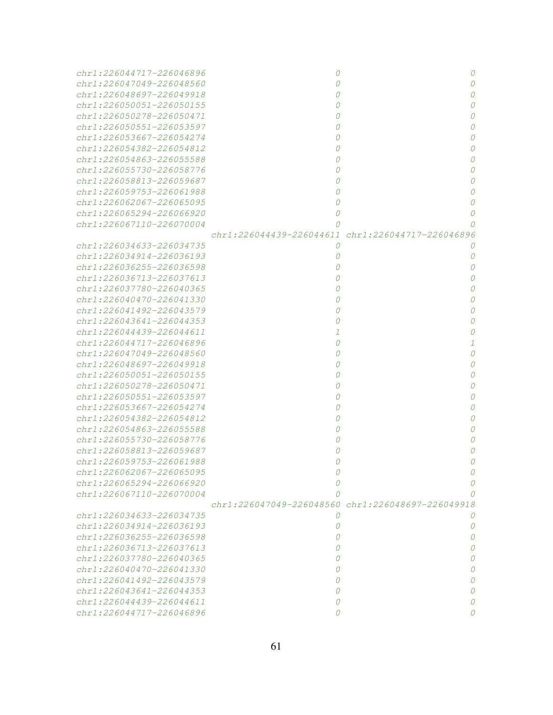| chr1:226044717-226046896      | 0                                                 | 0                                                 |
|-------------------------------|---------------------------------------------------|---------------------------------------------------|
| chr1:226047049-226048560      | 0                                                 | $\Omega$                                          |
| chr1:226048697-226049918      |                                                   |                                                   |
| chr1:226050051-226050155      |                                                   |                                                   |
| $chr1: 226050278 - 226050471$ |                                                   |                                                   |
| chr1:226050551-226053597      |                                                   | n                                                 |
| chr1:226053667-226054274      |                                                   | n                                                 |
| chr1:226054382-226054812      |                                                   | n                                                 |
| $chr1: 226054863 - 226055588$ |                                                   | n                                                 |
| $chr1: 226055730 - 226058776$ |                                                   | n                                                 |
| chr1:226058813-226059687      |                                                   | n                                                 |
| chr1:226059753-226061988      |                                                   | $\Omega$                                          |
| chr1:226062067-226065095      | 0                                                 | $\Omega$                                          |
| chr1:226065294-226066920      | 0                                                 | 0                                                 |
| chr1:226067110-226070004      | 0                                                 |                                                   |
|                               |                                                   | chr1:226044439-226044611 chr1:226044717-226046896 |
| chr1:226034633-226034735      | 0                                                 | 0                                                 |
| chr1:226034914-226036193      | 0                                                 | 0                                                 |
| chr1:226036255-226036598      |                                                   | 0                                                 |
| chr1:226036713-226037613      |                                                   | n                                                 |
| $chr1: 226037780 - 226040365$ |                                                   | $\Omega$                                          |
| chr1:226040470-226041330      |                                                   | $\Omega$                                          |
| chr1:226041492-226043579      |                                                   | $\Omega$                                          |
| chr1:226043641-226044353      |                                                   | n                                                 |
| chr1:226044439-226044611      |                                                   | Ω                                                 |
| chr1:226044717-226046896      | 0                                                 | 1                                                 |
| chr1:226047049-226048560      |                                                   | $\Omega$                                          |
| chr1:226048697-226049918      |                                                   | $\Omega$                                          |
| chr1:226050051-226050155      |                                                   | n                                                 |
| chr1:226050278-226050471      |                                                   | n                                                 |
| chr1:226050551-226053597      |                                                   | $\Omega$                                          |
| chr1:226053667-226054274      |                                                   | $\Omega$                                          |
| chr1:226054382-226054812      |                                                   | $\Omega$                                          |
| chr1:226054863-226055588      |                                                   | $\Omega$                                          |
| chr1:226055730-226058776      |                                                   | n                                                 |
| chr1:226058813-226059687      |                                                   | n                                                 |
| chr1:226059753-226061988      |                                                   |                                                   |
| chr1:226062067-226065095      |                                                   |                                                   |
| chr1:226065294-226066920      |                                                   |                                                   |
| chr1:226067110-226070004      |                                                   |                                                   |
|                               | chr1:226047049-226048560 chr1:226048697-226049918 |                                                   |
| chr1:226034633-226034735      | 0                                                 | $\theta$                                          |
| chr1:226034914-226036193      | 0                                                 | 0                                                 |
| chr1:226036255-226036598      | 0                                                 | 0                                                 |
| chr1:226036713-226037613      | $\theta$                                          | 0                                                 |
| chr1:226037780-226040365      | $\theta$                                          | 0                                                 |
| chr1:226040470-226041330      | 0                                                 | 0                                                 |
| chr1:226041492-226043579      | 0                                                 | 0                                                 |
| chr1:226043641-226044353      | 0                                                 | 0                                                 |
| chr1:226044439-226044611      | 0                                                 | O                                                 |
| chr1:226044717-226046896      | 0                                                 | Ω                                                 |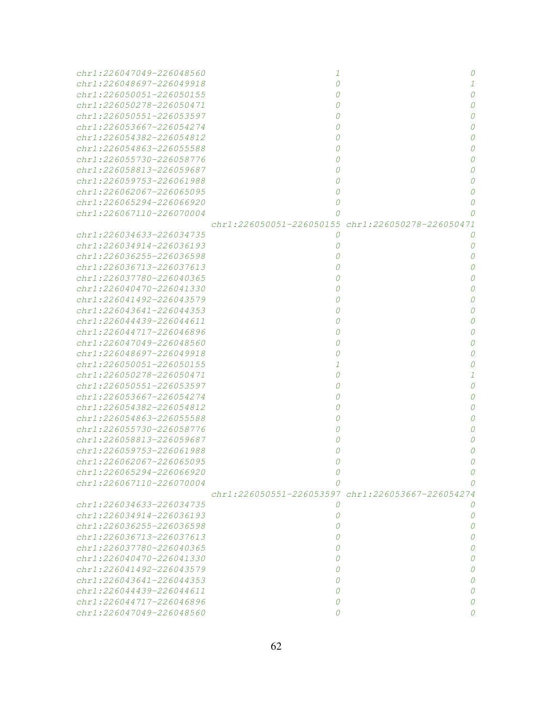| chr1:226047049-226048560                                  | -7                                                |   |
|-----------------------------------------------------------|---------------------------------------------------|---|
| chr1:226048697-226049918                                  | $\Omega$                                          |   |
| chr1:226050051-226050155                                  |                                                   |   |
| chr1:226050278-226050471                                  |                                                   |   |
| $chr1: 226050551 - 226053597$                             |                                                   |   |
| $chr1: 226053667 - 226054274$                             |                                                   |   |
| chr1:226054382-226054812                                  |                                                   |   |
| chr1:226054863-226055588                                  |                                                   |   |
| $chr1: 226055730 - 226058776$                             |                                                   |   |
| chr1:226058813-226059687                                  |                                                   |   |
| chr1:226059753-226061988                                  |                                                   |   |
| $chr1: 226062067 - 226065095$                             |                                                   |   |
| chr1:226065294-226066920                                  | 0                                                 |   |
| chr1:226067110-226070004                                  | 0                                                 |   |
|                                                           | chr1:226050051-226050155 chr1:226050278-226050471 |   |
| chr1:226034633-226034735                                  | 0                                                 | 0 |
| chr1:226034914-226036193                                  | 0                                                 | 0 |
| chr1:226036255-226036598                                  |                                                   | Ω |
| $chr1: 226036713 - 226037613$                             |                                                   | Ω |
| chr1:226037780-226040365                                  |                                                   | O |
| $chr1: 226040470 - 226041330$                             |                                                   |   |
| chr1:226041492-226043579                                  |                                                   |   |
| $chr1: 226043641 - 226044353$                             |                                                   |   |
| $chr1: 226044439 - 226044611$                             |                                                   |   |
| chr1:226044717-226046896                                  |                                                   |   |
| chr1:226047049-226048560                                  |                                                   |   |
| chr1:226048697-226049918                                  |                                                   |   |
| chr1:226050051-226050155                                  |                                                   |   |
| chr1:226050278-226050471                                  | 0                                                 |   |
| chr1:226050551-226053597                                  |                                                   |   |
| chr1:226053667-226054274                                  |                                                   |   |
| chr1:226054382-226054812                                  |                                                   |   |
| chr1:226054863-226055588                                  |                                                   |   |
| chr1:226055730-226058776                                  |                                                   |   |
| $chr1: 226058813 - 226059687$                             |                                                   |   |
| $chr1: 226059753 - 226061988$                             |                                                   |   |
| chr1:226062067-226065095                                  |                                                   |   |
| chr1:226065294-226066920                                  |                                                   |   |
| chr1:226067110-226070004                                  |                                                   |   |
|                                                           | chr1:226050551-226053597 chr1:226053667-226054274 |   |
| chr1:226034633-226034735                                  | 0                                                 | 0 |
| chr1:226034914-226036193                                  | 0                                                 | 0 |
| chr1:226036255-226036598                                  | 0                                                 | 0 |
| chr1:226036713-226037613                                  | 0                                                 | 0 |
| chr1:226037780-226040365                                  | $\theta$                                          | 0 |
| chr1:226040470-226041330                                  | 0                                                 | 0 |
| chr1:226041492-226043579<br>$chr1: 226043641 - 226044353$ | 0                                                 | 0 |
|                                                           | 0                                                 | 0 |
| chr1:226044439-226044611                                  | 0                                                 | 0 |
| chr1:226044717-226046896                                  | 0                                                 |   |
| chr1:226047049-226048560                                  | 0                                                 |   |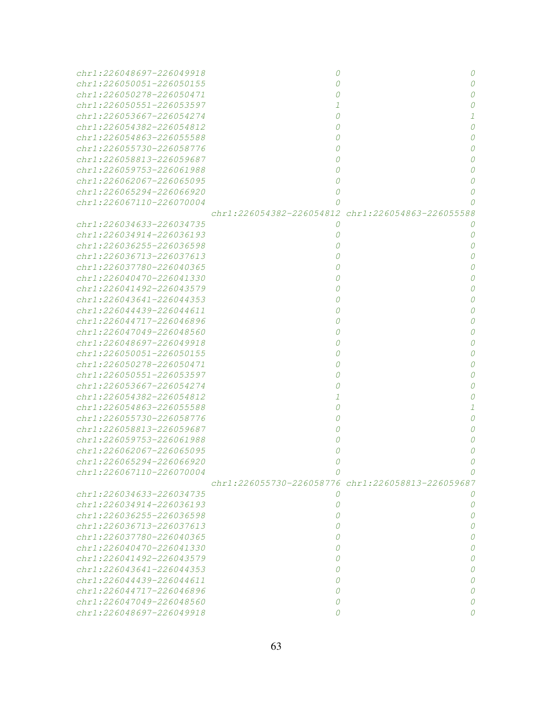| $chr1: 226048697 - 226049918$ | 0        | 0                                                 |
|-------------------------------|----------|---------------------------------------------------|
| $chr1: 226050051 - 226050155$ |          |                                                   |
| chr1:226050278-226050471      |          |                                                   |
| chr1:226050551-226053597      |          |                                                   |
| $chr1: 226053667 - 226054274$ | 0        |                                                   |
| chr1:226054382-226054812      |          |                                                   |
| chr1:226054863-226055588      |          |                                                   |
| chr1:226055730-226058776      |          |                                                   |
| chr1:226058813-226059687      |          |                                                   |
| chr1:226059753-226061988      |          |                                                   |
| $chr1: 226062067 - 226065095$ | 0        |                                                   |
| chr1:226065294-226066920      | 0        |                                                   |
| chr1:226067110-226070004      | 0        |                                                   |
|                               |          | chr1:226054382-226054812 chr1:226054863-226055588 |
| chr1:226034633-226034735      | $\Omega$ |                                                   |
| chr1:226034914-226036193      | 0        | 0                                                 |
| chr1:226036255-226036598      |          | Ω                                                 |
| $chr1: 226036713 - 226037613$ |          | Ω                                                 |
| chr1:226037780-226040365      |          | O                                                 |
| chr1:226040470-226041330      |          | O                                                 |
| chr1:226041492-226043579      |          |                                                   |
| chr1:226043641-226044353      |          |                                                   |
| $chr1: 226044439 - 226044611$ |          |                                                   |
| chr1:226044717-226046896      |          |                                                   |
| chr1:226047049-226048560      |          |                                                   |
| chr1:226048697-226049918      |          |                                                   |
| chr1:226050051-226050155      |          |                                                   |
| chr1:226050278-226050471      |          |                                                   |
| chr1:226050551-226053597      |          |                                                   |
| chr1:226053667-226054274      |          |                                                   |
| chr1:226054382-226054812      |          |                                                   |
| chr1:226054863-226055588      |          |                                                   |
| chr1:226055730-226058776      |          |                                                   |
| chr1:226058813-226059687      |          |                                                   |
| chr1:226059753-226061988      |          |                                                   |
| chr1:226062067-226065095      |          |                                                   |
| chr1:226065294-226066920      |          |                                                   |
| chr1:226067110-226070004      |          |                                                   |
|                               |          | chr1:226055730-226058776 chr1:226058813-226059687 |
| chr1:226034633-226034735      | 0        |                                                   |
| chr1:226034914-226036193      | 0        | 0                                                 |
| chr1:226036255-226036598      | 0        | 0                                                 |
| chr1:226036713-226037613      | 0        | 0                                                 |
| chr1:226037780-226040365      | 0        | 0                                                 |
| chr1:226040470-226041330      | 0        | 0                                                 |
| chr1:226041492-226043579      | 0        | 0                                                 |
| chr1:226043641-226044353      | 0        | 0                                                 |
| chr1:226044439-226044611      | 0        | 0                                                 |
| chr1:226044717-226046896      | 0        | 0                                                 |
| chr1:226047049-226048560      | 0        | Ω                                                 |
| chr1:226048697-226049918      | 0        | Ω                                                 |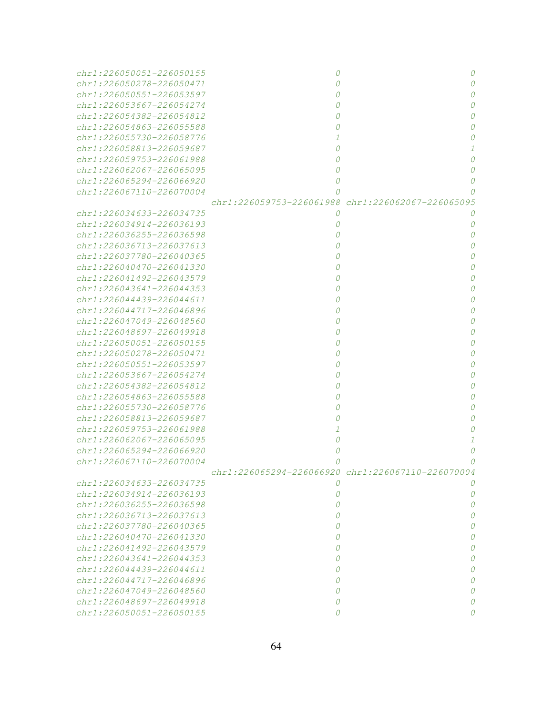| $chr1: 226050051 - 226050155$ | 0                                                 | 0        |
|-------------------------------|---------------------------------------------------|----------|
| chr1:226050278-226050471      | n                                                 | $\Omega$ |
| $chr1: 226050551 - 226053597$ |                                                   | $\Omega$ |
| chr1:226053667-226054274      |                                                   | $\Omega$ |
| chr1:226054382-226054812      |                                                   | $\Omega$ |
| chr1:226054863-226055588      |                                                   | $\Omega$ |
| chr1:226055730-226058776      |                                                   | O        |
| chr1:226058813-226059687      | 0                                                 | 1        |
| $chr1: 226059753 - 226061988$ | 0                                                 | $\Omega$ |
| $chr1: 226062067 - 226065095$ | 0                                                 | $\Omega$ |
| chr1:226065294-226066920      | 0                                                 | $\Omega$ |
| $chr1: 226067110 - 226070004$ | 0                                                 |          |
|                               | chr1:226059753-226061988 chr1:226062067-226065095 |          |
| chr1:226034633-226034735      | 0                                                 | $\theta$ |
| chr1:226034914-226036193      | 0                                                 | 0        |
| chr1:226036255-226036598      |                                                   | $\Omega$ |
| $chr1: 226036713 - 226037613$ |                                                   | $\Omega$ |
| chr1:226037780-226040365      |                                                   | $\Omega$ |
| chr1:226040470-226041330      |                                                   | $\Omega$ |
| chr1:226041492-226043579      |                                                   | $\Omega$ |
| chr1:226043641-226044353      |                                                   | $\Omega$ |
| chr1:226044439-226044611      |                                                   | $\Omega$ |
| chr1:226044717-226046896      |                                                   | $\Omega$ |
| chr1:226047049-226048560      |                                                   | $\Omega$ |
| chr1:226048697-226049918      |                                                   | $\Omega$ |
| chr1:226050051-226050155      |                                                   | $\Omega$ |
| chr1:226050278-226050471      |                                                   | $\Omega$ |
| chr1:226050551-226053597      |                                                   | $\Omega$ |
| chr1:226053667-226054274      |                                                   | $\Omega$ |
| chr1:226054382-226054812      |                                                   | 0        |
| chr1:226054863-226055588      |                                                   | 0        |
| chr1:226055730-226058776      |                                                   | 0        |
| chr1:226058813-226059687      |                                                   | 0        |
| chr1:226059753-226061988      |                                                   |          |
| chr1:226062067-226065095      | 0                                                 |          |
| chr1:226065294-226066920      | 0                                                 | 0        |
| chr1:226067110-226070004      |                                                   |          |
|                               | chr1:226065294-226066920 chr1:226067110-226070004 |          |
| chr1:226034633-226034735      | 0                                                 |          |
| chr1:226034914-226036193      | 0                                                 | 0        |
| chr1:226036255-226036598      | 0                                                 | 0        |
| chr1:226036713-226037613      | 0                                                 | 0        |
| chr1:226037780-226040365      | 0                                                 | 0        |
| chr1:226040470-226041330      | 0                                                 | 0        |
| chr1:226041492-226043579      | 0                                                 | 0        |
| chr1:226043641-226044353      | 0                                                 | 0        |
| chr1:226044439-226044611      | 0                                                 | 0        |
| chr1:226044717-226046896      | 0                                                 | 0        |
| chr1:226047049-226048560      | 0                                                 | 0        |
| chr1:226048697-226049918      | 0                                                 |          |
| chr1:226050051-226050155      | 0                                                 |          |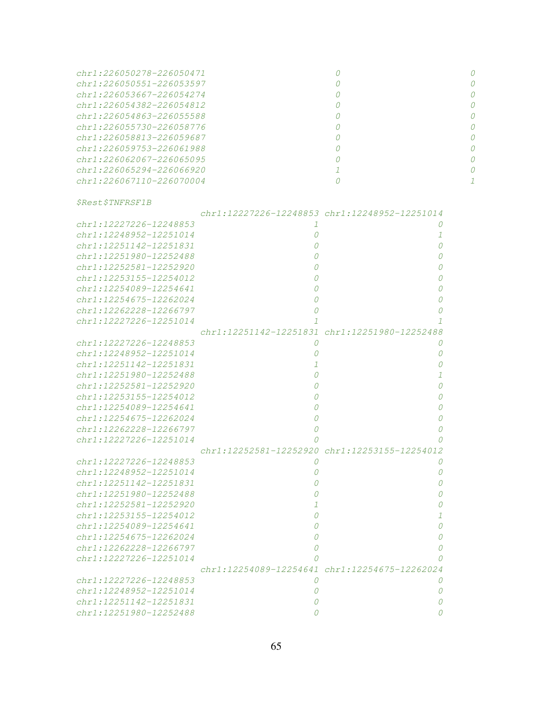| $chr1: 226050278 - 226050471$ |  |
|-------------------------------|--|
| $chr1: 226050551 - 226053597$ |  |
| chr1:226053667-226054274      |  |
| $chr1: 226054382 - 226054812$ |  |
| $chr1: 226054863 - 226055588$ |  |
| $chr1: 226055730 - 226058776$ |  |
| $chr1: 226058813 - 226059687$ |  |
| $chr1: 226059753 - 226061988$ |  |
| $chr1: 226062067 - 226065095$ |  |
| $chr1: 226065294 - 226066920$ |  |
| $chr1: 226067110 - 226070004$ |  |
|                               |  |

|                        | chr1:12227226-12248853 chr1:12248952-12251014 |   |
|------------------------|-----------------------------------------------|---|
| chr1:12227226-12248853 |                                               | O |
| chr1:12248952-12251014 | 0                                             | 1 |
| chr1:12251142-12251831 | Ω                                             | 0 |
| chr1:12251980-12252488 |                                               | Ω |
| chr1:12252581-12252920 |                                               | Ω |
| chr1:12253155-12254012 | 0                                             | 0 |
| chr1:12254089-12254641 | 0                                             | 0 |
| chr1:12254675-12262024 | 0                                             | 0 |
| chr1:12262228-12266797 | 0                                             | 0 |
| chr1:12227226-12251014 |                                               |   |
|                        | chr1:12251142-12251831 chr1:12251980-12252488 |   |
| chr1:12227226-12248853 | 0                                             | 0 |
| chr1:12248952-12251014 | 0                                             | 0 |
| chr1:12251142-12251831 |                                               | 0 |
| chr1:12251980-12252488 | 0                                             | 1 |
| chr1:12252581-12252920 |                                               | Ω |
| chr1:12253155-12254012 |                                               | Ω |
| chr1:12254089-12254641 |                                               | Ω |
| chr1:12254675-12262024 | O                                             | 0 |
| chr1:12262228-12266797 | O                                             | 0 |
| chr1:12227226-12251014 |                                               |   |
|                        | chr1:12252581-12252920 chr1:12253155-12254012 |   |
| chr1:12227226-12248853 | 0                                             | O |
| chr1:12248952-12251014 | Ω                                             | 0 |
| chr1:12251142-12251831 |                                               | 0 |
| chr1:12251980-12252488 |                                               | 0 |
| chr1:12252581-12252920 |                                               | 0 |
| chr1:12253155-12254012 |                                               | 1 |
| chr1:12254089-12254641 |                                               | 0 |
| chr1:12254675-12262024 | Ω                                             | 0 |
| chr1:12262228-12266797 | Ω                                             | 0 |
| chr1:12227226-12251014 |                                               | O |
|                        | chr1:12254089-12254641 chr1:12254675-12262024 |   |
| chr1:12227226-12248853 | O                                             | O |
| chr1:12248952-12251014 |                                               | 0 |
| chr1:12251142-12251831 |                                               | 0 |
| chr1:12251980-12252488 |                                               | Ω |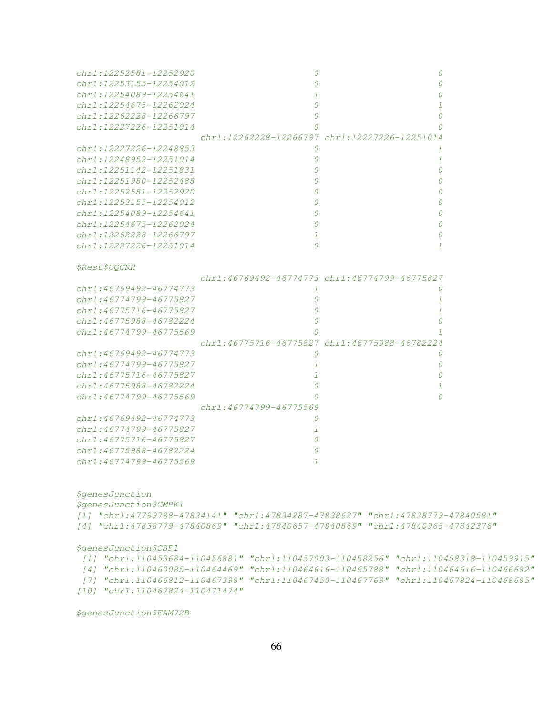| chr1:12252581-12252920      |                                               | 0                                                                                                                                                                |  |
|-----------------------------|-----------------------------------------------|------------------------------------------------------------------------------------------------------------------------------------------------------------------|--|
| chr1:12253155-12254012      |                                               |                                                                                                                                                                  |  |
| chr1:12254089-12254641      |                                               |                                                                                                                                                                  |  |
| chr1:12254675-12262024      | $\Omega$                                      |                                                                                                                                                                  |  |
| chr1:12262228-12266797      | 0                                             | n                                                                                                                                                                |  |
| chr1:12227226-12251014      |                                               |                                                                                                                                                                  |  |
|                             | chr1:12262228-12266797 chr1:12227226-12251014 |                                                                                                                                                                  |  |
| chr1:12227226-12248853      | 0                                             | 1                                                                                                                                                                |  |
| chr1:12248952-12251014      | 0                                             | 1                                                                                                                                                                |  |
| chr1:12251142-12251831      | 0                                             | n                                                                                                                                                                |  |
| chr1:12251980-12252488      |                                               |                                                                                                                                                                  |  |
| $chr1: 12252581 - 12252920$ | 0                                             |                                                                                                                                                                  |  |
| chr1:12253155-12254012      | 0                                             |                                                                                                                                                                  |  |
| chr1:12254089-12254641      | 0                                             | n                                                                                                                                                                |  |
| chr1:12254675-12262024      | 0                                             | 0                                                                                                                                                                |  |
| chr1:12262228-12266797      | -1                                            | 0                                                                                                                                                                |  |
| chr1:12227226-12251014      | $\Omega$                                      | 1                                                                                                                                                                |  |
| <i><b>\$Rest\$UQCRH</b></i> |                                               |                                                                                                                                                                  |  |
|                             | chr1:46769492-46774773 chr1:46774799-46775827 |                                                                                                                                                                  |  |
| chr1:46769492-46774773      | 1                                             | 0                                                                                                                                                                |  |
| chr1:46774799-46775827      | 0                                             | 1                                                                                                                                                                |  |
| chr1:46775716-46775827      | 0                                             | 1                                                                                                                                                                |  |
| chr1:46775988-46782224      | 0                                             | 0                                                                                                                                                                |  |
| chr1:46774799-46775569      |                                               | 7                                                                                                                                                                |  |
|                             | chr1:46775716-46775827 chr1:46775988-46782224 |                                                                                                                                                                  |  |
| chr1:46769492-46774773      | 0                                             | 0                                                                                                                                                                |  |
| chr1:46774799-46775827      |                                               | 0                                                                                                                                                                |  |
| chr1:46775716-46775827      | 1                                             | 0                                                                                                                                                                |  |
| chr1:46775988-46782224      | 0                                             | 7                                                                                                                                                                |  |
| chr1:46774799-46775569      |                                               |                                                                                                                                                                  |  |
|                             | chr1:46774799-46775569                        |                                                                                                                                                                  |  |
| chr1:46769492-46774773      | 0                                             |                                                                                                                                                                  |  |
| chr1:46774799-46775827      | 1                                             |                                                                                                                                                                  |  |
| chr1:46775716-46775827      | 0                                             |                                                                                                                                                                  |  |
| chr1:46775988-46782224      | O                                             |                                                                                                                                                                  |  |
| chr1:46774799-46775569      |                                               |                                                                                                                                                                  |  |
|                             |                                               |                                                                                                                                                                  |  |
| <i>\$genesJunction</i>      |                                               |                                                                                                                                                                  |  |
| \$genesJunction\$CMPK1      |                                               |                                                                                                                                                                  |  |
|                             |                                               | [1] "chrl:47799788-47834141" "chrl:47834287-47838627" "chrl:47838779-47840581"<br>[4] "chr1:47838779-47840869" "chr1:47840657-47840869" "chr1:47840965-47842376" |  |
|                             |                                               |                                                                                                                                                                  |  |
| \$genesJunction\$CSF1       |                                               |                                                                                                                                                                  |  |

|                                 | $[1] \quad \text{"chrl:110453684-110456881"} \quad \text{"chrl:110457003-110458256"} \quad \text{"chrl:110458318-110459915"}$             |  |
|---------------------------------|-------------------------------------------------------------------------------------------------------------------------------------------|--|
|                                 | $\lceil 4 \rceil \quad \text{"chr1:110460085-110464469"} \quad \text{"chr1:110464616-110465788"} \quad \text{"chr1:110464616-110466682"}$ |  |
|                                 | 「7] "chr1:110466812-110467398" "chr1:110467450-110467769" "chr1:110467824-110468685"                                                      |  |
| [10] "chr1:110467824-110471474" |                                                                                                                                           |  |

\$genesJunction\$FAM72B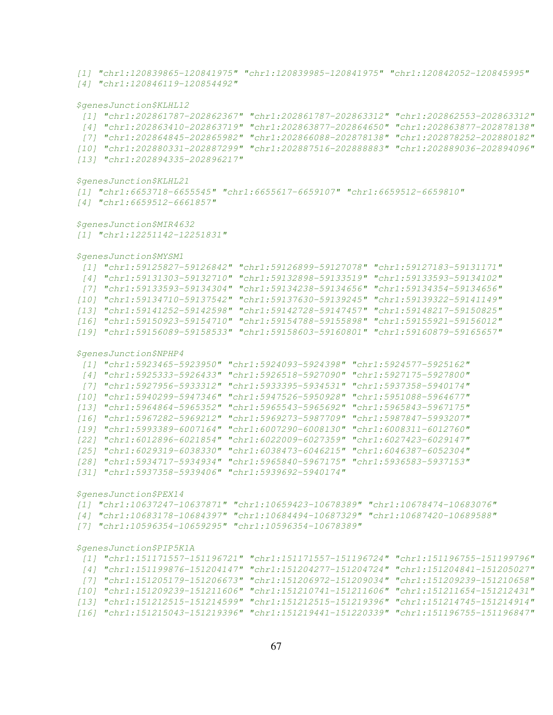```
[1] "chr1:120839865-120841975" "chr1:120839985-120841975" "chr1:120842052-120845995"
[4] "chr1:120846119-120854492"
$genesJunction$KLHL12
[1] "chr1:202861787-202862367" "chr1:202861787-202863312" "chr1:202862553-202863312"
[4] "chr1:202863410-202863719" "chr1:202863877-202864650" "chr1:202863877-202878138"
 [7] "chr1:202864845-202865982" "chr1:202866088-202878138" "chr1:202878252-202880182"
[10] "chr1:202880331-202887299" "chr1:202887516-202888883" "chr1:202889036-202894096"
[13] "chr1:202894335-202896217"
$genesJunction$KLHL21
[1] "chr1:6653718-6655545" "chr1:6655617-6659107" "chr1:6659512-6659810"
[4] "chr1:6659512-6661857"
$genesJunction$MIR4632
[1] "chr1:12251142-12251831"
$genesJunction$MYSM1
 [1] "chr1:59125827-59126842" "chr1:59126899-59127078" "chr1:59127183-59131171"
[4] "chr1:59131303-59132710" "chr1:59132898-59133519" "chr1:59133593-59134102"
[7] "chr1:59133593-59134304" "chr1:59134238-59134656" "chr1:59134354-59134656"
[10] "chr1:59134710-59137542" "chr1:59137630-59139245" "chr1:59139322-59141149"
[13] "chr1:59141252-59142598" "chr1:59142728-59147457" "chr1:59148217-59150825"
[16] "chr1:59150923-59154710" "chr1:59154788-59155898" "chr1:59155921-59156012"
[19] "chr1:59156089-59158533" "chr1:59158603-59160801" "chr1:59160879-59165657"
$genesJunction$NPHP4
[1] "chr1:5923465-5923950" "chr1:5924093-5924398" "chr1:5924577-5925162"
[4] "chr1:5925333-5926433" "chr1:5926518-5927090" "chr1:5927175-5927800"
 [7] "chr1:5927956-5933312" "chr1:5933395-5934531" "chr1:5937358-5940174"
[10] "chr1:5940299-5947346" "chr1:5947526-5950928" "chr1:5951088-5964677"
[13] "chr1:5964864-5965352" "chr1:5965543-5965692" "chr1:5965843-5967175"
[16] "chr1:5967282-5969212" "chr1:5969273-5987709" "chr1:5987847-5993207"
[19] "chr1:5993389-6007164" "chr1:6007290-6008130" "chr1:6008311-6012760"
[22] "chr1:6012896-6021854" "chr1:6022009-6027359" "chr1:6027423-6029147"
[25] "chr1:6029319-6038330" "chr1:6038473-6046215" "chr1:6046387-6052304"
[28] "chr1:5934717-5934934" "chr1:5965840-5967175" "chr1:5936583-5937153"
[31] "chr1:5937358-5939406" "chr1:5939692-5940174"
$genesJunction$PEX14
[1] "chr1:10637247-10637871" "chr1:10659423-10678389" "chr1:10678474-10683076"
[4] "chr1:10683178-10684397" "chr1:10684494-10687329" "chr1:10687420-10689588"
[7] "chr1:10596354-10659295" "chr1:10596354-10678389"
```

```
$genesJunction$PIP5K1A
```

|  | $[1] \quad \text{"chrl:} 151171557 - 151196721" \quad \text{"chrl:} 151171557 - 151196724" \quad \text{"chrl:} 151196755 - 151199796"$ |                                                                                       |
|--|----------------------------------------------------------------------------------------------------------------------------------------|---------------------------------------------------------------------------------------|
|  |                                                                                                                                        | [4] "chr1:151199876-151204147" "chr1:151204277-151204724" "chr1:151204841-151205027"  |
|  | [7] "chr1:151205179-151206673" "chr1:151206972-151209034" "chr1:151209239-151210658"                                                   |                                                                                       |
|  | [10] "chr1:151209239-151211606" "chr1:151210741-151211606" "chr1:151211654-151212431"                                                  |                                                                                       |
|  |                                                                                                                                        | [13] "chr1:151212515-151214599" "chr1:151212515-151219396" "chr1:151214745-151214914" |
|  |                                                                                                                                        | [16] "chr1:151215043-151219396" "chr1:151219441-151220339" "chr1:151196755-151196847" |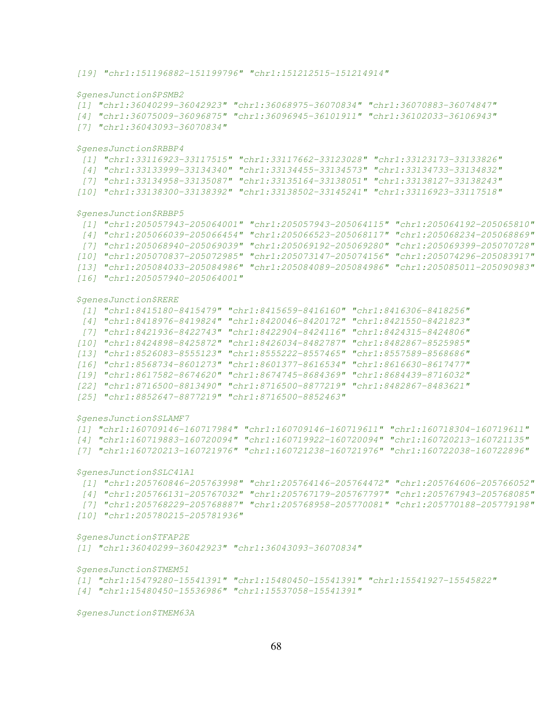\$genesJunction\$PSMB2

[1] "chr1:36040299-36042923" "chr1:36068975-36070834" "chr1:36070883-36074847"

- [4] "chr1:36075009-36096875" "chr1:36096945-36101911" "chr1:36102033-36106943"
- [7] "chr1:36043093-36070834"

\$genesJunction\$RBBP4

```
[1] "chr1:33116923-33117515" "chr1:33117662-33123028" "chr1:33123173-33133826"
[4] "chr1:33133999-33134340" "chr1:33134455-33134573" "chr1:33134733-33134832"
```
- [7] "chr1:33134958-33135087" "chr1:33135164-33138051" "chr1:33138127-33138243"
- [10] "chr1:33138300-33138392" "chr1:33138502-33145241" "chr1:33116923-33117518"

\$genesJunction\$RBBP5

```
[1] "chr1:205057943-205064001" "chr1:205057943-205064115" "chr1:205064192-205065810"
[4] "chr1:205066039-205066454" "chr1:205066523-205068117" "chr1:205068234-205068869"
[7] "chr1:205068940-205069039" "chr1:205069192-205069280" "chr1:205069399-205070728"
[10] "chr1:205070837-205072985" "chr1:205073147-205074156" "chr1:205074296-205083917"
[13] "chr1:205084033-205084986" "chr1:205084089-205084986" "chr1:205085011-205090983"
```

```
[16] "chr1:205057940-205064001"
```
\$genesJunction\$RERE

```
[1] "chr1:8415180-8415479" "chr1:8415659-8416160" "chr1:8416306-8418256"
[4] "chr1:8418976-8419824" "chr1:8420046-8420172" "chr1:8421550-8421823"
 [7] "chr1:8421936-8422743" "chr1:8422904-8424116" "chr1:8424315-8424806"
[10] "chr1:8424898-8425872" "chr1:8426034-8482787" "chr1:8482867-8525985"
[13] "chr1:8526083-8555123" "chr1:8555222-8557465" "chr1:8557589-8568686"
[16] "chr1:8568734-8601273" "chr1:8601377-8616534" "chr1:8616630-8617477"
[19] "chr1:8617582-8674620" "chr1:8674745-8684369" "chr1:8684439-8716032"
[22] "chr1:8716500-8813490" "chr1:8716500-8877219" "chr1:8482867-8483621"
[25] "chr1:8852647-8877219" "chr1:8716500-8852463"
```
\$genesJunction\$SLAMF7

```
[1] "chr1:160709146-160717984" "chr1:160709146-160719611" "chr1:160718304-160719611"
```
[4] "chr1:160719883-160720094" "chr1:160719922-160720094" "chr1:160720213-160721135"

[7] "chr1:160720213-160721976" "chr1:160721238-160721976" "chr1:160722038-160722896"

\$genesJunction\$SLC41A1

- [1] "chr1:205760846-205763998" "chr1:205764146-205764472" "chr1:205764606-205766052"
- [4] "chr1:205766131-205767032" "chr1:205767179-205767797" "chr1:205767943-205768085"
- [7] "chr1:205768229-205768887" "chr1:205768958-205770081" "chr1:205770188-205779198"
- [10] "chr1:205780215-205781936"

\$genesJunction\$TFAP2E

[1] "chr1:36040299-36042923" "chr1:36043093-36070834"

\$genesJunction\$TMEM51

```
[1] "chr1:15479280-15541391" "chr1:15480450-15541391" "chr1:15541927-15545822"
```
[4] "chr1:15480450-15536986" "chr1:15537058-15541391"

\$genesJunction\$TMEM63A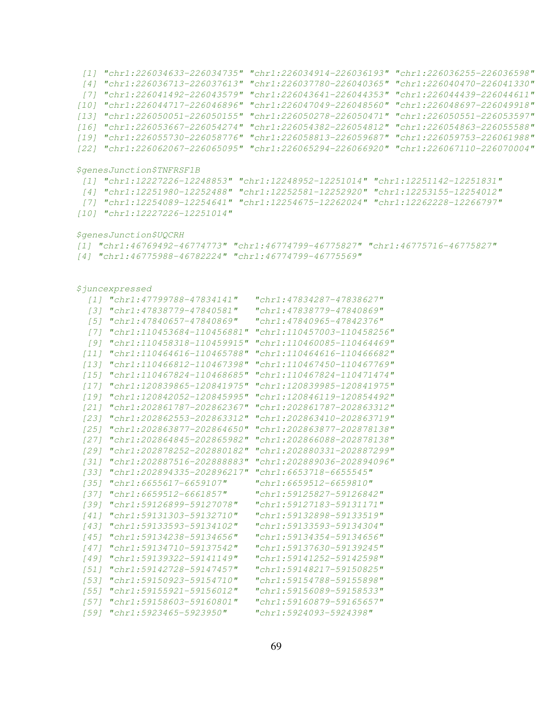[1] "chr1:226034633-226034735" "chr1:226034914-226036193" "chr1:226036255-226036598" [4] "chr1:226036713-226037613" "chr1:226037780-226040365" "chr1:226040470-226041330" [7] "chr1:226041492-226043579" "chr1:226043641-226044353" "chr1:226044439-226044611" [10] "chr1:226044717-226046896" "chr1:226047049-226048560" "chr1:226048697-226049918" [13] "chr1:226050051-226050155" "chr1:226050278-226050471" "chr1:226050551-226053597" [16] "chr1:226053667-226054274" "chr1:226054382-226054812" "chr1:226054863-226055588" [19] "chr1:226055730-226058776" "chr1:226058813-226059687" "chr1:226059753-226061988" [22] "chr1:226062067-226065095" "chr1:226065294-226066920" "chr1:226067110-226070004" \$genesJunction\$TNFRSF1B [1] "chr1:12227226-12248853" "chr1:12248952-12251014" "chr1:12251142-12251831" [4] "chr1:12251980-12252488" "chr1:12252581-12252920" "chr1:12253155-12254012" [7] "chr1:12254089-12254641" "chr1:12254675-12262024" "chr1:12262228-12266797" [10] "chr1:12227226-12251014" \$genesJunction\$UQCRH [1] "chr1:46769492-46774773" "chr1:46774799-46775827" "chr1:46775716-46775827" [4] "chr1:46775988-46782224" "chr1:46774799-46775569" \$juncexpressed [1] "chr1:47799788-47834141" "chr1:47834287-47838627" [3] "chr1:47838779-47840581" "chr1:47838779-47840869" [5] "chr1:47840657-47840869" "chr1:47840965-47842376" [7] "chr1:110453684-110456881" "chr1:110457003-110458256" [9] "chr1:110458318-110459915" "chr1:110460085-110464469" [11] "chr1:110464616-110465788" "chr1:110464616-110466682" [13] "chr1:110466812-110467398" "chr1:110467450-110467769" [15] "chr1:110467824-110468685" "chr1:110467824-110471474" [17] "chr1:120839865-120841975" "chr1:120839985-120841975" [19] "chr1:120842052-120845995" "chr1:120846119-120854492" [21] "chr1:202861787-202862367" "chr1:202861787-202863312" [23] "chr1:202862553-202863312" "chr1:202863410-202863719" [25] "chr1:202863877-202864650" "chr1:202863877-202878138" [27] "chr1:202864845-202865982" "chr1:202866088-202878138" [29] "chr1:202878252-202880182" "chr1:202880331-202887299" [31] "chr1:202887516-202888883" "chr1:202889036-202894096" [33] "chr1:202894335-202896217" "chr1:6653718-6655545" [35] "chr1:6655617-6659107" "chr1:6659512-6659810" [37] "chr1:6659512-6661857" "chr1:59125827-59126842" [39] "chr1:59126899-59127078" "chr1:59127183-59131171" [41] "chr1:59131303-59132710" "chr1:59132898-59133519" [43] "chr1:59133593-59134102" "chr1:59133593-59134304" [45] "chr1:59134238-59134656" "chr1:59134354-59134656" [47] "chr1:59134710-59137542" "chr1:59137630-59139245" [49] "chr1:59139322-59141149" "chr1:59141252-59142598" [51] "chr1:59142728-59147457" "chr1:59148217-59150825" [53] "chr1:59150923-59154710" "chr1:59154788-59155898" [55] "chr1:59155921-59156012" "chr1:59156089-59158533" [57] "chr1:59158603-59160801" "chr1:59160879-59165657" [59] "chr1:5923465-5923950" "chr1:5924093-5924398"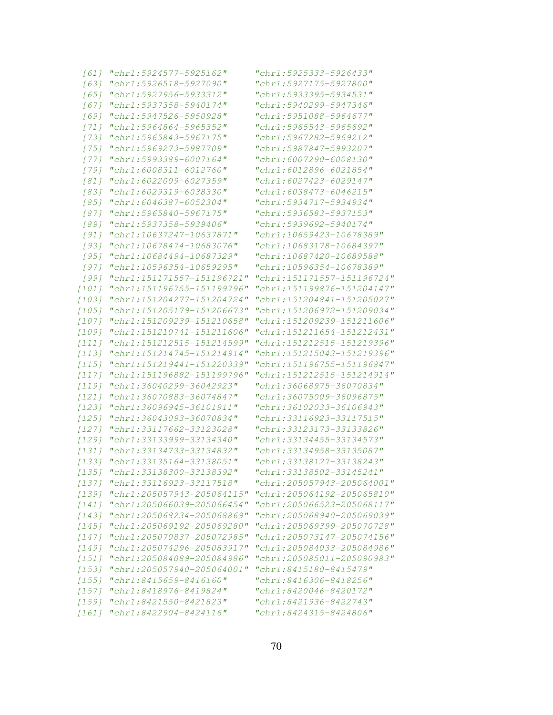| "chr1:5924577-5925162"     | "chr1:5925333-5926433"                                                                                           |
|----------------------------|------------------------------------------------------------------------------------------------------------------|
| "chr1:5926518-5927090"     | "chr1:5927175-5927800"                                                                                           |
| "chr1:5927956-5933312"     | "chr1:5933395-5934531"                                                                                           |
| "chr1:5937358-5940174"     | "chr1:5940299-5947346"                                                                                           |
| "chr1:5947526-5950928"     | "chr1:5951088-5964677"                                                                                           |
| "chr1:5964864-5965352"     | "chr1:5965543-5965692"                                                                                           |
| "chr1:5965843-5967175"     | "chr1:5967282-5969212"                                                                                           |
| "chr1:5969273-5987709"     | "chr1:5987847-5993207"                                                                                           |
| "chr1:5993389-6007164"     | "chr1:6007290-6008130"                                                                                           |
| "chr1:6008311-6012760"     | "chr1:6012896-6021854"                                                                                           |
| "chr1:6022009-6027359"     | "chr1:6027423-6029147"                                                                                           |
| "chr1:6029319-6038330"     | "chr1:6038473-6046215"                                                                                           |
| "chr1:6046387-6052304"     | "chr1:5934717-5934934"                                                                                           |
| "chr1:5965840-5967175"     | "chr1:5936583-5937153"                                                                                           |
| "chr1:5937358-5939406"     | "chr1:5939692-5940174"                                                                                           |
| "chr1:10637247-10637871"   | "chr1:10659423-10678389"                                                                                         |
| "chr1:10678474-10683076"   | "chr1:10683178-10684397"                                                                                         |
| "chr1:10684494-10687329"   | "chr1:10687420-10689588"                                                                                         |
|                            | "chr1:10596354-10678389"                                                                                         |
|                            | "chr1:151171557-151196724"                                                                                       |
| "chr1:151196755-151199796" | "chr1:151199876-151204147"                                                                                       |
| "chr1:151204277-151204724" | "chr1:151204841-151205027"                                                                                       |
| "chr1:151205179-151206673" | "chr1:151206972-151209034"                                                                                       |
| "chr1:151209239-151210658" | "chr1:151209239-151211606"                                                                                       |
| "chr1:151210741-151211606" | "chr1:151211654-151212431"                                                                                       |
| "chr1:151212515-151214599" | "chr1:151212515-151219396"                                                                                       |
| "chr1:151214745-151214914" | "chr1:151215043-151219396"                                                                                       |
|                            | "chr1:151196755-151196847"                                                                                       |
| "chr1:151196882-151199796" | "chr1:151212515-151214914"                                                                                       |
| "chr1:36040299-36042923"   | "chr1:36068975-36070834"                                                                                         |
| "chr1:36070883-36074847"   | "chr1:36075009-36096875"                                                                                         |
| "chr1:36096945-36101911"   | "chr1:36102033-36106943"                                                                                         |
| "chr1:36043093-36070834"   | "chr1:33116923-33117515"                                                                                         |
| "chr1:33117662-33123028"   | "chr1:33123173-33133826"                                                                                         |
| "chr1:33133999-33134340"   | "chr1:33134455-33134573"                                                                                         |
|                            | "chr1:33134958-33135087"                                                                                         |
| "chr1:33135164-33138051"   | "chr1:33138127-33138243"                                                                                         |
| "chr1:33138300-33138392"   | "chr1:33138502-33145241"                                                                                         |
| "chr1:33116923-33117518"   | "chr1:205057943-205064001"                                                                                       |
| "chr1:205057943-205064115" | "chr1:205064192-205065810"                                                                                       |
| "chr1:205066039-205066454" | "chr1:205066523-205068117"                                                                                       |
| "chr1:205068234-205068869" | "chr1:205068940-205069039"                                                                                       |
| "chr1:205069192-205069280" | "chr1:205069399-205070728"                                                                                       |
| "chr1:205070837-205072985" | "chr1:205073147-205074156"                                                                                       |
| "chr1:205074296-205083917" | "chr1:205084033-205084986"                                                                                       |
| "chr1:205084089-205084986" | "chr1:205085011-205090983"                                                                                       |
| "chr1:205057940-205064001" | "chr1:8415180-8415479"                                                                                           |
| "chr1:8415659-8416160"     | "chr1:8416306-8418256"                                                                                           |
| "chr1:8418976-8419824"     | "chr1:8420046-8420172"                                                                                           |
| "chr1:8421550-8421823"     | "chr1:8421936-8422743"                                                                                           |
| "chr1:8422904-8424116"     | "chr1:8424315-8424806"                                                                                           |
|                            | "chr1:10596354-10659295"<br>"chr1:151171557-151196721"<br>"chr1:151219441-151220339"<br>"chr1:33134733-33134832" |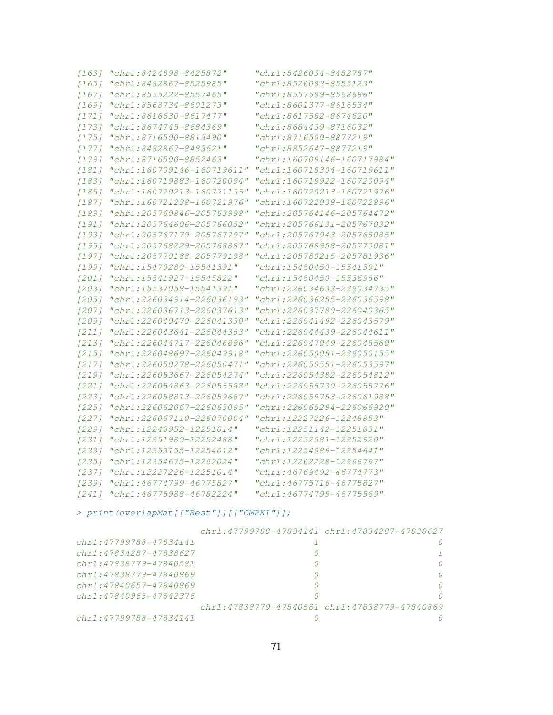| $[163]$ | "chr1:8424898-8425872"     | "chr1:8426034-8482787"     |
|---------|----------------------------|----------------------------|
| $[165]$ | "chr1:8482867-8525985"     | "chr1:8526083-8555123"     |
| $[167]$ | "chr1:8555222-8557465"     | "chr1:8557589-8568686"     |
| $[169]$ | "chr1:8568734-8601273"     | "chr1:8601377-8616534"     |
| $[171]$ | "chr1:8616630-8617477"     | "chr1:8617582-8674620"     |
| [173]   | "chr1:8674745-8684369"     | "chr1:8684439-8716032"     |
| [175]   | "chr1:8716500-8813490"     | "chr1:8716500-8877219"     |
| [177]   | "chr1:8482867-8483621"     | "chr1:8852647-8877219"     |
| $[179]$ | "chr1:8716500-8852463"     | "chr1:160709146-160717984" |
| $[181]$ | "chr1:160709146-160719611" | "chr1:160718304-160719611" |
| $[183]$ | "chr1:160719883-160720094" | "chr1:160719922-160720094" |
| $[185]$ | "chr1:160720213-160721135" | "chr1:160720213-160721976" |
| $[187]$ | "chr1:160721238-160721976" | "chr1:160722038-160722896" |
| [189]   | "chr1:205760846-205763998" | "chr1:205764146-205764472" |
| $[191]$ | "chr1:205764606-205766052" | "chr1:205766131-205767032" |
| $[193]$ | "chr1:205767179-205767797" | "chr1:205767943-205768085" |
| $[195]$ | "chr1:205768229-205768887" | "chr1:205768958-205770081" |
| $[197]$ | "chr1:205770188-205779198" | "chr1:205780215-205781936" |
| $[199]$ | "chr1:15479280-15541391"   | "chr1:15480450-15541391"   |
| $[201]$ | "chr1:15541927-15545822"   | "chr1:15480450-15536986"   |
| $[203]$ | "chr1:15537058-15541391"   | "chr1:226034633-226034735" |
| $[205]$ | "chr1:226034914-226036193" | "chr1:226036255-226036598" |
| $[207]$ | "chr1:226036713-226037613" | "chr1:226037780-226040365" |
| $[209]$ | "chr1:226040470-226041330" | "chr1:226041492-226043579" |
| $[211]$ | "chr1:226043641-226044353" | "chr1:226044439-226044611" |
| $[213]$ | "chr1:226044717-226046896" | "chr1:226047049-226048560" |
| $[215]$ | "chr1:226048697-226049918" | "chr1:226050051-226050155" |
| [217]   | "chr1:226050278-226050471" | "chr1:226050551-226053597" |
| $[219]$ | "chr1:226053667-226054274" | "chr1:226054382-226054812" |
| $[221]$ | "chr1:226054863-226055588" | "chr1:226055730-226058776" |
| $[223]$ | "chr1:226058813-226059687" | "chr1:226059753-226061988" |
| $[225]$ | "chr1:226062067-226065095" | "chr1:226065294-226066920" |
| $[227]$ | "chr1:226067110-226070004" | "chr1:12227226-12248853"   |
| $[229]$ | "chr1:12248952-12251014"   | "chr1:12251142-12251831"   |
| $[231]$ | "chr1:12251980-12252488"   | "chr1:12252581-12252920"   |
| $[233]$ | "chr1:12253155-12254012"   | "chr1:12254089-12254641"   |
| $[235]$ | "chr1:12254675-12262024"   | "chr1:12262228-12266797"   |
| [237]   | "chr1:12227226-12251014"   | "chr1:46769492-46774773"   |
| [239]   | "chr1:46774799-46775827"   | "chr1:46775716-46775827"   |
| $[241]$ | "chr1:46775988-46782224"   | "chr1:46774799-46775569"   |

> print(overlapMat[["Rest"]][["CMPK1"]])

|                             | chr1:47799788-47834141 chr1:47834287-47838627 |
|-----------------------------|-----------------------------------------------|
| chr1:47799788-47834141      |                                               |
| chr1:47834287-47838627      |                                               |
| chr1:47838779-47840581      |                                               |
| $chr1: 47838779 - 47840869$ |                                               |
| $chr1: 47840657 - 47840869$ |                                               |
| $chr1: 47840965 - 47842376$ |                                               |
|                             | chr1:47838779-47840581 chr1:47838779-47840869 |
| chr1:47799788-47834141      |                                               |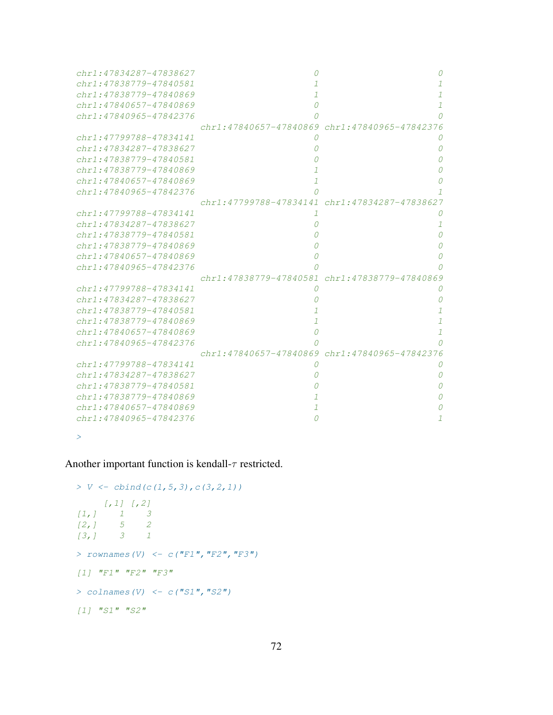| chr1:47834287-47838627 |                                               |   |
|------------------------|-----------------------------------------------|---|
| chr1:47838779-47840581 |                                               |   |
| chr1:47838779-47840869 |                                               |   |
| chr1:47840657-47840869 |                                               |   |
| chr1:47840965-47842376 |                                               |   |
|                        | chr1:47840657-47840869 chr1:47840965-47842376 |   |
| chr1:47799788-47834141 |                                               |   |
| chr1:47834287-47838627 |                                               | O |
| chr1:47838779-47840581 |                                               |   |
| chr1:47838779-47840869 |                                               |   |
| chr1:47840657-47840869 |                                               |   |
| chr1:47840965-47842376 |                                               |   |
|                        | chr1:47799788-47834141 chr1:47834287-47838627 |   |
| chr1:47799788-47834141 | 1                                             |   |
| chr1:47834287-47838627 |                                               |   |
| chr1:47838779-47840581 |                                               |   |
| chr1:47838779-47840869 |                                               |   |
| chr1:47840657-47840869 |                                               |   |
| chr1:47840965-47842376 |                                               |   |
|                        | chr1:47838779-47840581 chr1:47838779-47840869 |   |
| chr1:47799788-47834141 | O                                             |   |
| chr1:47834287-47838627 |                                               |   |
| chr1:47838779-47840581 |                                               |   |
| chr1:47838779-47840869 |                                               |   |
| chr1:47840657-47840869 |                                               | 7 |
| chr1:47840965-47842376 |                                               |   |
|                        | chr1:47840657-47840869 chr1:47840965-47842376 |   |
| chr1:47799788-47834141 |                                               |   |
| chr1:47834287-47838627 |                                               |   |
| chr1:47838779-47840581 |                                               |   |
| chr1:47838779-47840869 |                                               |   |
| chr1:47840657-47840869 |                                               |   |
| chr1:47840965-47842376 |                                               |   |
|                        |                                               |   |

>

Another important function is kendall- $\tau$  restricted.

```
> V \leftarrow \text{cbind}(c(1, 5, 3), c(3, 2, 1))[,1] [,2]
[1, 1 1 3[2, 1 5 2[3,] 3 1
> rownames(V) <- c("F1", "F2", "F3")
[1] "F1" "F2" "F3"> colnames(V) \leftarrow c("S1", "S2")[1] "S1" "S2"
```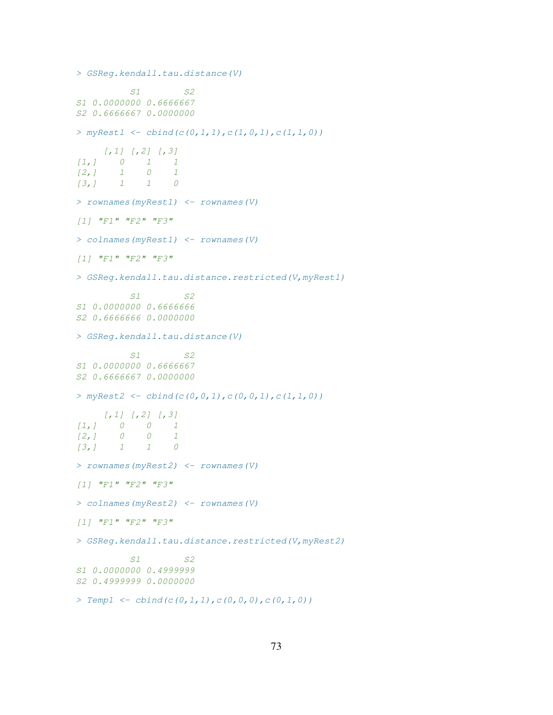```
> GSReg.kendall.tau.distance(V)
          S1 S2
S1 0.0000000 0.6666667
S2 0.6666667 0.0000000
> myRest1 \leftarrow \text{cbind}(c(0,1,1),c(1,0,1),c(1,1,0))[,1] [,2] [,3]
[1,] 0 1 1
[2,] 1 0 1
[3,] 1 1 0
> rownames(myRest1) <- rownames(V)
[1] "F1" "F2" "F3"
> colnames(myRest1) <- rownames(V)
[1] "F1" "F2" "F3"
> GSReg.kendall.tau.distance.restricted(V,myRest1)
          S1 S2
S1 0.0000000 0.6666666
S2 0.6666666 0.0000000
> GSReg.kendall.tau.distance(V)
         S1 S2
S1 0.0000000 0.6666667
S2 0.6666667 0.0000000
> myRest2 <- cbind(c(0,0,1),c(0,0,1),c(1,1,0))
    [1, 1] [1, 2] [1, 3][1,] 0 0 1
\begin{array}{ccccccccc} \{2\,,\, & 0 & 0 & 1 \\ \{3\,,\, & 1 & 1 & 0 \end{array}[3,] 1 1 0
> rownames(myRest2) <- rownames(V)
[1] "F1" "F2" "F3"
> colnames(myRest2) <- rownames(V)
[1] "F1" "F2" "F3"
> GSReg.kendall.tau.distance.restricted(V,myRest2)
          S1 S2
S1 0.0000000 0.4999999
S2 0.4999999 0.0000000
> Templ \leq cbind(c(0, 1, 1), c(0, 0, 0), c(0, 1, 0))
```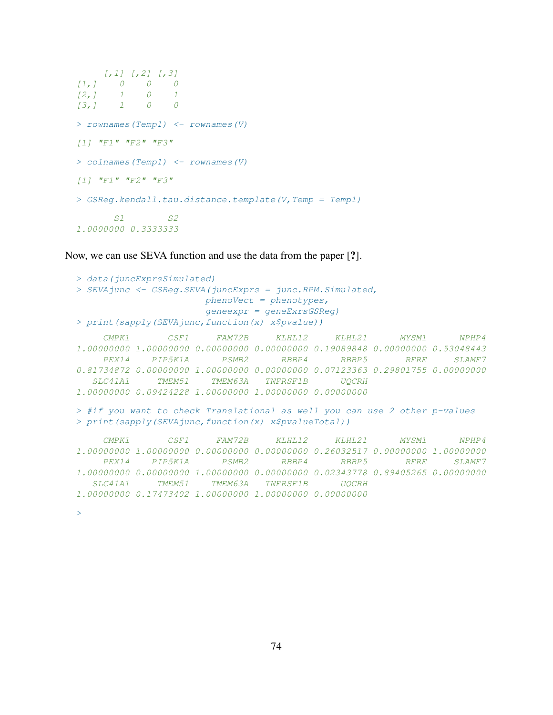```
[,1] [,2] [,3]
[1,] 0 0 0
[2, 1 1 0 1[3,] 1 0 0
> rownames(Temp1) <- rownames(V)
[1] "F1" "F2" "F3"> colnames(Temp1) <- rownames(V)
[1] "F1" "F2" "F3"
> GSReg.kendall.tau.distance.template(V,Temp = Temp1)
      S1 S21.0000000 0.3333333
```
Now, we can use SEVA function and use the data from the paper [?].

```
> data(juncExprsSimulated)
> SEVAjunc <- GSReg.SEVA(juncExprs = junc.RPM.Simulated,
                     phenoVect = phenotypes,
                     geneexpr = geneExrsGSReg)
> print(sapply(SEVAjunc,function(x) x$pvalue))
    CMPK1 CSF1 FAM72B KLHL12 KLHL21 MYSM1 NPHP4
1.00000000 1.00000000 0.00000000 0.00000000 0.19089848 0.00000000 0.53048443
    PEX14 PIP5K1A PSMB2 RBBP4 RBBP5 RERE SLAMF7
0.81734872 0.00000000 1.00000000 0.00000000 0.07123363 0.29801755 0.00000000
  SLC41A1 TMEM51 TMEM63A TNFRSF1B UQCRH
1.00000000 0.09424228 1.00000000 1.00000000 0.00000000
> #if you want to check Translational as well you can use 2 other p-values
> print(sapply(SEVAjunc,function(x) x$pvalueTotal))
    CMPK1 CSF1 FAM72B KLHL12 KLHL21 MYSM1 NPHP4
1.00000000 1.00000000 0.00000000 0.00000000 0.26032517 0.00000000 1.00000000
    PEX14 PIP5K1A PSMB2 RBBP4 RBBP5 RERE SLAMF7
1.00000000 0.00000000 1.00000000 0.00000000 0.02343778 0.89405265 0.00000000
  SLC41A1 TMEM51 TMEM63A TNFRSF1B UQCRH
1.00000000 0.17473402 1.00000000 1.00000000 0.00000000
```
>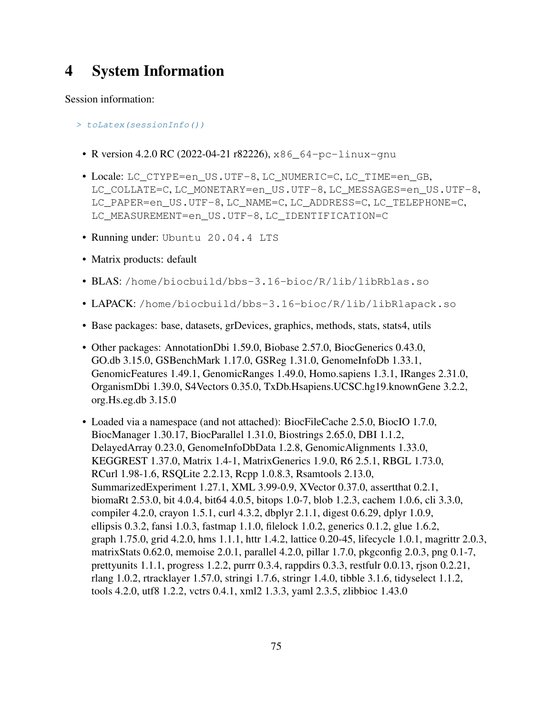## 4 System Information

Session information:

- > toLatex(sessionInfo())
	- R version 4.2.0 RC (2022-04-21 r82226), x86\_64-pc-linux-gnu
	- Locale: LC\_CTYPE=en\_US.UTF-8, LC\_NUMERIC=C, LC\_TIME=en\_GB, LC\_COLLATE=C, LC\_MONETARY=en\_US.UTF-8, LC\_MESSAGES=en\_US.UTF-8, LC\_PAPER=en\_US.UTF-8, LC\_NAME=C, LC\_ADDRESS=C, LC\_TELEPHONE=C, LC\_MEASUREMENT=en\_US.UTF-8, LC\_IDENTIFICATION=C
	- Running under: Ubuntu 20.04.4 LTS
	- Matrix products: default
	- BLAS: /home/biocbuild/bbs-3.16-bioc/R/lib/libRblas.so
	- LAPACK: /home/biocbuild/bbs-3.16-bioc/R/lib/libRlapack.so
	- Base packages: base, datasets, grDevices, graphics, methods, stats, stats4, utils
	- Other packages: AnnotationDbi 1.59.0, Biobase 2.57.0, BiocGenerics 0.43.0, GO.db 3.15.0, GSBenchMark 1.17.0, GSReg 1.31.0, GenomeInfoDb 1.33.1, GenomicFeatures 1.49.1, GenomicRanges 1.49.0, Homo.sapiens 1.3.1, IRanges 2.31.0, OrganismDbi 1.39.0, S4Vectors 0.35.0, TxDb.Hsapiens.UCSC.hg19.knownGene 3.2.2, org.Hs.eg.db 3.15.0
	- Loaded via a namespace (and not attached): BiocFileCache 2.5.0, BiocIO 1.7.0, BiocManager 1.30.17, BiocParallel 1.31.0, Biostrings 2.65.0, DBI 1.1.2, DelayedArray 0.23.0, GenomeInfoDbData 1.2.8, GenomicAlignments 1.33.0, KEGGREST 1.37.0, Matrix 1.4-1, MatrixGenerics 1.9.0, R6 2.5.1, RBGL 1.73.0, RCurl 1.98-1.6, RSQLite 2.2.13, Rcpp 1.0.8.3, Rsamtools 2.13.0, SummarizedExperiment 1.27.1, XML 3.99-0.9, XVector 0.37.0, assertthat 0.2.1, biomaRt 2.53.0, bit 4.0.4, bit64 4.0.5, bitops 1.0-7, blob 1.2.3, cachem 1.0.6, cli 3.3.0, compiler 4.2.0, crayon 1.5.1, curl 4.3.2, dbplyr 2.1.1, digest 0.6.29, dplyr 1.0.9, ellipsis 0.3.2, fansi 1.0.3, fastmap 1.1.0, filelock 1.0.2, generics 0.1.2, glue 1.6.2, graph 1.75.0, grid 4.2.0, hms 1.1.1, httr 1.4.2, lattice 0.20-45, lifecycle 1.0.1, magrittr 2.0.3, matrixStats 0.62.0, memoise 2.0.1, parallel 4.2.0, pillar 1.7.0, pkgconfig 2.0.3, png 0.1-7, prettyunits 1.1.1, progress 1.2.2, purrr 0.3.4, rappdirs 0.3.3, restfulr 0.0.13, rjson 0.2.21, rlang 1.0.2, rtracklayer 1.57.0, stringi 1.7.6, stringr 1.4.0, tibble 3.1.6, tidyselect 1.1.2, tools 4.2.0, utf8 1.2.2, vctrs 0.4.1, xml2 1.3.3, yaml 2.3.5, zlibbioc 1.43.0